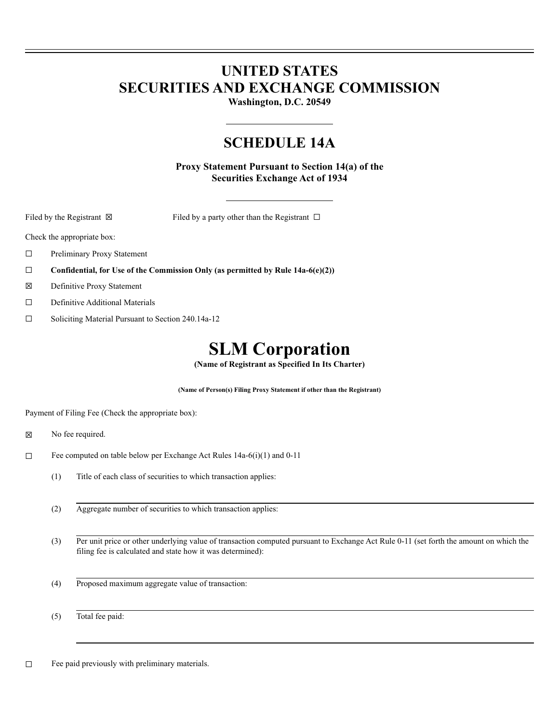# **UNITED STATES SECURITIES AND EXCHANGE COMMISSION**

**Washington, D.C. 20549**

# **SCHEDULE 14A**

**Proxy Statement Pursuant to Section 14(a) of the Securities Exchange Act of 1934**

Filed by the Registrant  $\boxtimes$  Filed by a party other than the Registrant  $\Box$ 

Check the appropriate box:

- ☐ Preliminary Proxy Statement
- ☐ **Confidential, for Use of the Commission Only (as permitted by Rule 14a-6(e)(2))**
- ☒ Definitive Proxy Statement
- ☐ Definitive Additional Materials
- ☐ Soliciting Material Pursuant to Section 240.14a-12

# **SLM Corporation**

**(Name of Registrant as Specified In Its Charter)**

**(Name of Person(s) Filing Proxy Statement if other than the Registrant)**

Payment of Filing Fee (Check the appropriate box):

- ☒ No fee required.
- ☐ Fee computed on table below per Exchange Act Rules 14a-6(i)(1) and 0-11
	- (1) Title of each class of securities to which transaction applies:
	- (2) Aggregate number of securities to which transaction applies:
	- (3) Per unit price or other underlying value of transaction computed pursuant to Exchange Act Rule 0-11 (set forth the amount on which the filing fee is calculated and state how it was determined):
	- (4) Proposed maximum aggregate value of transaction:

(5) Total fee paid:

☐ Fee paid previously with preliminary materials.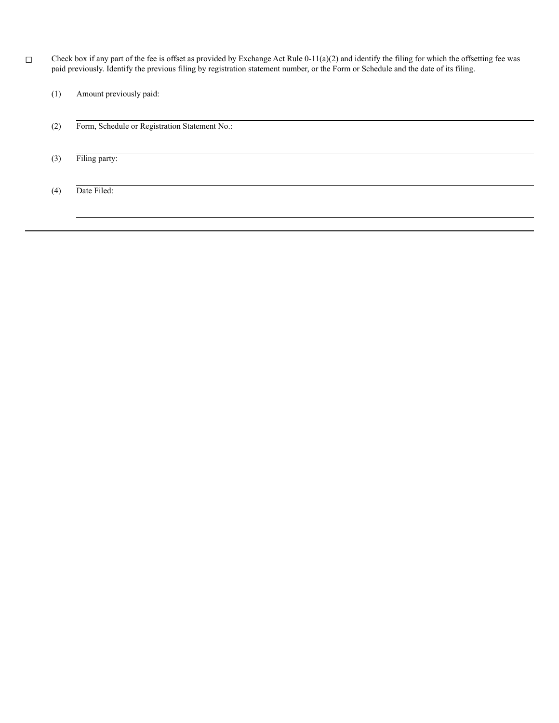☐ Check box if any part of the fee is offset as provided by Exchange Act Rule 0-11(a)(2) and identify the filing for which the offsetting fee was paid previously. Identify the previous filing by registration statement number, or the Form or Schedule and the date of its filing.

(1) Amount previously paid:

- (2) Form, Schedule or Registration Statement No.:
- (3) Filing party:

(4) Date Filed: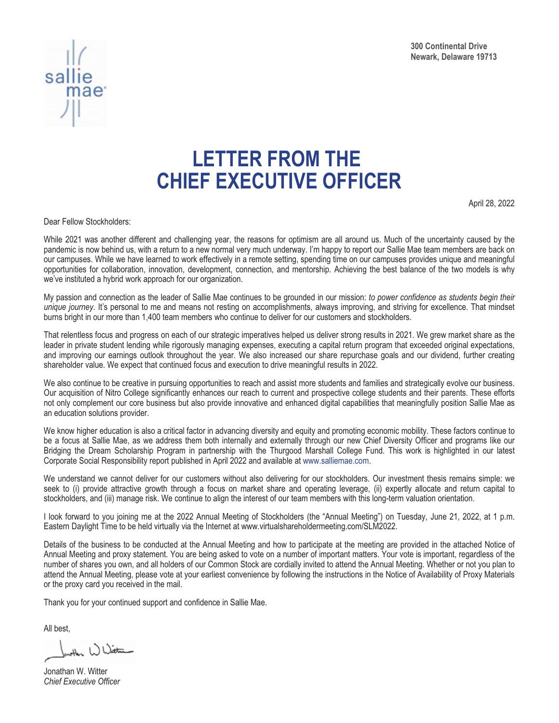



# **LETTER FROM THE CHIEF EXECUTIVE OFFICER**

April 28, 2022

Dear Fellow Stockholders:

While 2021 was another different and challenging year, the reasons for optimism are all around us. Much of the uncertainty caused by the pandemic is now behind us, with a return to a new normal very much underway. I'm happy to report our Sallie Mae team members are back on our campuses. While we have learned to work effectively in a remote setting, spending time on our campuses provides unique and meaningful opportunities for collaboration, innovation, development, connection, and mentorship. Achieving the best balance of the two models is why we've instituted a hybrid work approach for our organization.

My passion and connection as the leader of Sallie Mae continues to be grounded in our mission: *to power confidence as students begin their unique journey*. It's personal to me and means not resting on accomplishments, always improving, and striving for excellence. That mindset burns bright in our more than 1,400 team members who continue to deliver for our customers and stockholders.

That relentless focus and progress on each of our strategic imperatives helped us deliver strong results in 2021. We grew market share as the leader in private student lending while rigorously managing expenses, executing a capital return program that exceeded original expectations, and improving our earnings outlook throughout the year. We also increased our share repurchase goals and our dividend, further creating shareholder value. We expect that continued focus and execution to drive meaningful results in 2022.

We also continue to be creative in pursuing opportunities to reach and assist more students and families and strategically evolve our business. Our acquisition of Nitro College significantly enhances our reach to current and prospective college students and their parents. These efforts not only complement our core business but also provide innovative and enhanced digital capabilities that meaningfully position Sallie Mae as an education solutions provider.

We know higher education is also a critical factor in advancing diversity and equity and promoting economic mobility. These factors continue to be a focus at Sallie Mae, as we address them both internally and externally through our new Chief Diversity Officer and programs like our Bridging the Dream Scholarship Program in partnership with the Thurgood Marshall College Fund. This work is highlighted in our latest Corporate Social Responsibility report published in April 2022 and available at www.salliemae.com.

We understand we cannot deliver for our customers without also delivering for our stockholders. Our investment thesis remains simple: we seek to (i) provide attractive growth through a focus on market share and operating leverage, (ii) expertly allocate and return capital to stockholders, and (iii) manage risk. We continue to align the interest of our team members with this long-term valuation orientation.

I look forward to you joining me at the 2022 Annual Meeting of Stockholders (the "Annual Meeting") on Tuesday, June 21, 2022, at 1 p.m. Eastern Daylight Time to be held virtually via the Internet at www.virtualshareholdermeeting.com/SLM2022.

Details of the business to be conducted at the Annual Meeting and how to participate at the meeting are provided in the attached Notice of Annual Meeting and proxy statement. You are being asked to vote on a number of important matters. Your vote is important, regardless of the number of shares you own, and all holders of our Common Stock are cordially invited to attend the Annual Meeting. Whether or not you plan to attend the Annual Meeting, please vote at your earliest convenience by following the instructions in the Notice of Availability of Proxy Materials or the proxy card you received in the mail.

Thank you for your continued support and confidence in Sallie Mae.

All best,

the White

Jonathan W. Witter *Chief Executive Officer*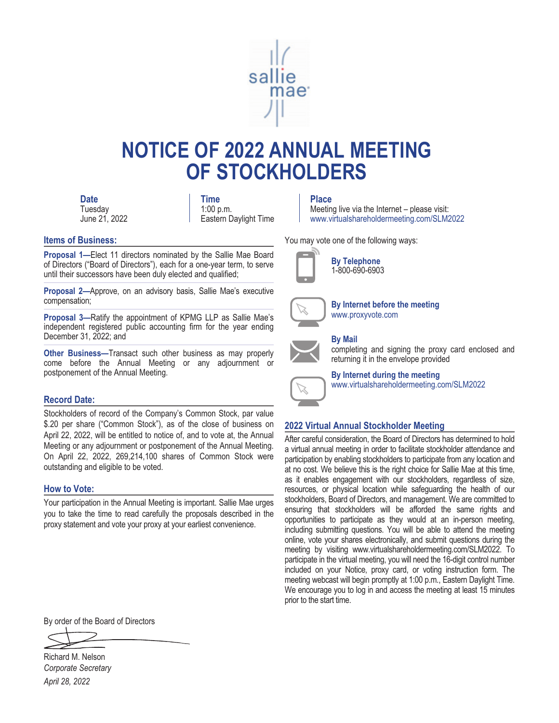

# **NOTICE OF 2022 ANNUAL MEETING OF STOCKHOLDERS**

**Tuesday** June 21, 2022

**Date** Place **Place Place** 1:00 p.m. Eastern Daylight Time

#### **Items of Business:**

**Proposal 1—**Elect 11 directors nominated by the Sallie Mae Board of Directors ("Board of Directors"), each for a one-year term, to serve until their successors have been duly elected and qualified;

**Proposal 2—**Approve, on an advisory basis, Sallie Mae's executive compensation;

**Proposal 3—**Ratify the appointment of KPMG LLP as Sallie Mae's independent registered public accounting firm for the year ending December 31, 2022; and

**Other Business—**Transact such other business as may properly come before the Annual Meeting or any adjournment or postponement of the Annual Meeting.

#### **Record Date:**

Stockholders of record of the Company's Common Stock, par value \$.20 per share ("Common Stock"), as of the close of business on April 22, 2022, will be entitled to notice of, and to vote at, the Annual Meeting or any adjournment or postponement of the Annual Meeting. On April 22, 2022, 269,214,100 shares of Common Stock were outstanding and eligible to be voted.

#### **How to Vote:**

Your participation in the Annual Meeting is important. Sallie Mae urges you to take the time to read carefully the proposals described in the proxy statement and vote your proxy at your earliest convenience.

Meeting live via the Internet – please visit: www.virtualshareholdermeeting.com/SLM2022

You may vote one of the following ways:



**By Telephone** 1-800-690-6903



**By Internet before the meeting** www.proxyvote.com

#### **By Mail**



completing and signing the proxy card enclosed and returning it in the envelope provided



**By Internet during the meeting** www.virtualshareholdermeeting.com/SLM2022

#### **2022 Virtual Annual Stockholder Meeting**

After careful consideration, the Board of Directors has determined to hold a virtual annual meeting in order to facilitate stockholder attendance and participation by enabling stockholders to participate from any location and at no cost. We believe this is the right choice for Sallie Mae at this time, as it enables engagement with our stockholders, regardless of size, resources, or physical location while safeguarding the health of our stockholders, Board of Directors, and management. We are committed to ensuring that stockholders will be afforded the same rights and opportunities to participate as they would at an in-person meeting, including submitting questions. You will be able to attend the meeting online, vote your shares electronically, and submit questions during the meeting by visiting www.virtualshareholdermeeting.com/SLM2022. To participate in the virtual meeting, you will need the 16-digit control number included on your Notice, proxy card, or voting instruction form. The meeting webcast will begin promptly at 1:00 p.m., Eastern Daylight Time. We encourage you to log in and access the meeting at least 15 minutes prior to the start time.

By order of the Board of Directors

Richard M. Nelson *Corporate Secretary April 28, 2022*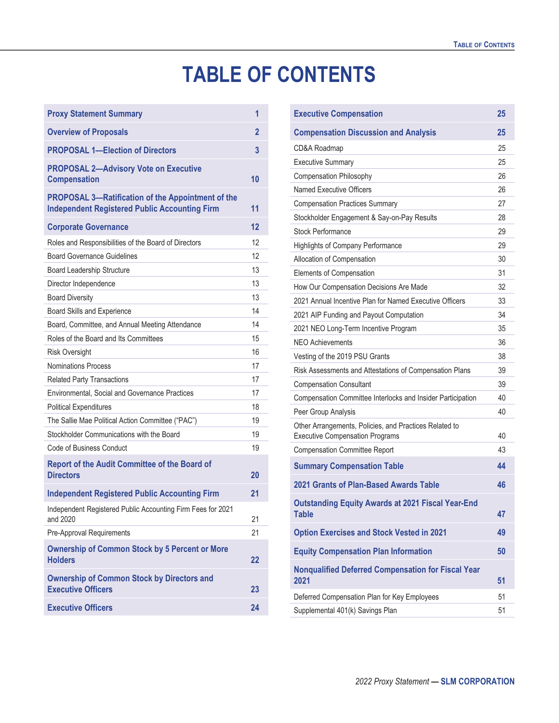# **TABLE OF CONTENTS**

| <b>Proxy Statement Summary</b>                                                                                   | 1  |
|------------------------------------------------------------------------------------------------------------------|----|
| <b>Overview of Proposals</b>                                                                                     | 2  |
| <b>PROPOSAL 1-Election of Directors</b>                                                                          | 3  |
| <b>PROPOSAL 2-Advisory Vote on Executive</b><br><b>Compensation</b>                                              | 10 |
| <b>PROPOSAL 3-Ratification of the Appointment of the</b><br><b>Independent Registered Public Accounting Firm</b> | 11 |
| <b>Corporate Governance</b>                                                                                      | 12 |
| Roles and Responsibilities of the Board of Directors                                                             | 12 |
| <b>Board Governance Guidelines</b>                                                                               | 12 |
| <b>Board Leadership Structure</b>                                                                                | 13 |
| Director Independence                                                                                            | 13 |
| <b>Board Diversity</b>                                                                                           | 13 |
| Board Skills and Experience                                                                                      | 14 |
| Board, Committee, and Annual Meeting Attendance                                                                  | 14 |
| Roles of the Board and Its Committees                                                                            | 15 |
| <b>Risk Oversight</b>                                                                                            | 16 |
| <b>Nominations Process</b>                                                                                       | 17 |
| <b>Related Party Transactions</b>                                                                                | 17 |
| Environmental, Social and Governance Practices                                                                   | 17 |
| <b>Political Expenditures</b>                                                                                    | 18 |
| The Sallie Mae Political Action Committee ("PAC")                                                                | 19 |
| Stockholder Communications with the Board                                                                        | 19 |
| Code of Business Conduct                                                                                         | 19 |
| <b>Report of the Audit Committee of the Board of</b><br><b>Directors</b>                                         | 20 |
| <b>Independent Registered Public Accounting Firm</b>                                                             | 21 |
| Independent Registered Public Accounting Firm Fees for 2021<br>and 2020                                          | 21 |
| Pre-Approval Requirements                                                                                        | 21 |
| <b>Ownership of Common Stock by 5 Percent or More</b><br><b>Holders</b>                                          | 22 |
| <b>Ownership of Common Stock by Directors and</b><br><b>Executive Officers</b>                                   | 23 |
| <b>Executive Officers</b>                                                                                        | 24 |

| <b>Executive Compensation</b>                                                                    | 25 |
|--------------------------------------------------------------------------------------------------|----|
| <b>Compensation Discussion and Analysis</b>                                                      | 25 |
| CD&A Roadmap                                                                                     | 25 |
| <b>Executive Summary</b>                                                                         | 25 |
| Compensation Philosophy                                                                          | 26 |
| Named Executive Officers                                                                         | 26 |
| <b>Compensation Practices Summary</b>                                                            | 27 |
| Stockholder Engagement & Say-on-Pay Results                                                      | 28 |
| <b>Stock Performance</b>                                                                         | 29 |
| Highlights of Company Performance                                                                | 29 |
| Allocation of Compensation                                                                       | 30 |
| Elements of Compensation                                                                         | 31 |
| How Our Compensation Decisions Are Made                                                          | 32 |
| 2021 Annual Incentive Plan for Named Executive Officers                                          | 33 |
| 2021 AIP Funding and Payout Computation                                                          | 34 |
| 2021 NEO Long-Term Incentive Program                                                             | 35 |
| NEO Achievements                                                                                 | 36 |
| Vesting of the 2019 PSU Grants                                                                   | 38 |
| Risk Assessments and Attestations of Compensation Plans                                          | 39 |
| <b>Compensation Consultant</b>                                                                   | 39 |
| Compensation Committee Interlocks and Insider Participation                                      | 40 |
| Peer Group Analysis                                                                              | 40 |
| Other Arrangements, Policies, and Practices Related to<br><b>Executive Compensation Programs</b> | 40 |
| <b>Compensation Committee Report</b>                                                             | 43 |
| <b>Summary Compensation Table</b>                                                                | 44 |
| 2021 Grants of Plan-Based Awards Table                                                           | 46 |
| <b>Outstanding Equity Awards at 2021 Fiscal Year-End</b><br><b>Table</b>                         | 47 |
| <b>Option Exercises and Stock Vested in 2021</b>                                                 | 49 |
| <b>Equity Compensation Plan Information</b>                                                      | 50 |
| <b>Nonqualified Deferred Compensation for Fiscal Year</b><br>2021                                | 51 |
| Deferred Compensation Plan for Key Employees                                                     | 51 |
| Supplemental 401(k) Savings Plan                                                                 | 51 |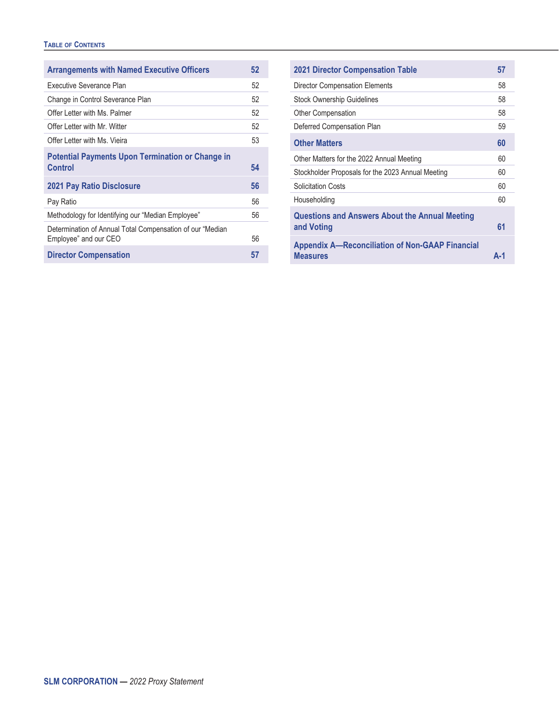#### **TABLE OF CONTENTS**

| <b>Arrangements with Named Executive Officers</b>                                  | 52 |
|------------------------------------------------------------------------------------|----|
| Executive Severance Plan                                                           | 52 |
| Change in Control Severance Plan                                                   | 52 |
| Offer Letter with Ms. Palmer                                                       | 52 |
| Offer Letter with Mr. Witter                                                       | 52 |
| Offer Letter with Ms. Vieira                                                       | 53 |
| <b>Potential Payments Upon Termination or Change in</b><br>Control                 | 54 |
| <b>2021 Pay Ratio Disclosure</b>                                                   | 56 |
| Pay Ratio                                                                          | 56 |
| Methodology for Identifying our "Median Employee"                                  | 56 |
| Determination of Annual Total Compensation of our "Median<br>Employee" and our CEO | 56 |
| <b>Director Compensation</b>                                                       | 57 |

| <b>2021 Director Compensation Table</b>                                   | 57  |
|---------------------------------------------------------------------------|-----|
| Director Compensation Elements                                            | 58  |
| <b>Stock Ownership Guidelines</b>                                         | 58  |
| <b>Other Compensation</b>                                                 | 58  |
| Deferred Compensation Plan                                                | 59  |
| <b>Other Matters</b>                                                      | 60  |
| Other Matters for the 2022 Annual Meeting                                 | 60  |
| Stockholder Proposals for the 2023 Annual Meeting                         | 60  |
| <b>Solicitation Costs</b>                                                 | 60  |
| Householding                                                              | 60  |
| <b>Questions and Answers About the Annual Meeting</b><br>and Voting       | 61  |
| <b>Appendix A-Reconciliation of Non-GAAP Financial</b><br><b>Measures</b> | А-1 |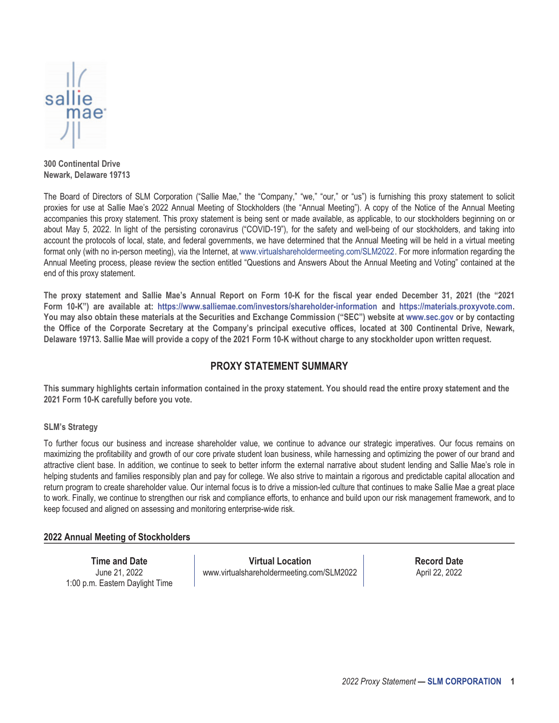

**300 Continental Drive Newark, Delaware 19713**

The Board of Directors of SLM Corporation ("Sallie Mae," the "Company," "we," "our," or "us") is furnishing this proxy statement to solicit proxies for use at Sallie Mae's 2022 Annual Meeting of Stockholders (the "Annual Meeting"). A copy of the Notice of the Annual Meeting accompanies this proxy statement. This proxy statement is being sent or made available, as applicable, to our stockholders beginning on or about May 5, 2022. In light of the persisting coronavirus ("COVID-19"), for the safety and well-being of our stockholders, and taking into account the protocols of local, state, and federal governments, we have determined that the Annual Meeting will be held in a virtual meeting format only (with no in-person meeting), via the Internet, at www.virtualshareholdermeeting.com/SLM2022. For more information regarding the Annual Meeting process, please review the section entitled "Questions and Answers About the Annual Meeting and Voting" contained at the end of this proxy statement.

**The proxy statement and Sallie Mae's Annual Report on Form 10-K for the fiscal year ended December 31, 2021 (the "2021 Form 10-K") are available at: https://www.salliemae.com/investors/shareholder-information and https://materials.proxyvote.com. You may also obtain these materials at the Securities and Exchange Commission ("SEC") website at www.sec.gov or by contacting the Office of the Corporate Secretary at the Company's principal executive offices, located at 300 Continental Drive, Newark, Delaware 19713. Sallie Mae will provide a copy of the 2021 Form 10-K without charge to any stockholder upon written request.**

#### **PROXY STATEMENT SUMMARY**

<span id="page-6-0"></span>**This summary highlights certain information contained in the proxy statement. You should read the entire proxy statement and the 2021 Form 10-K carefully before you vote.**

#### **SLM's Strategy**

To further focus our business and increase shareholder value, we continue to advance our strategic imperatives. Our focus remains on maximizing the profitability and growth of our core private student loan business, while harnessing and optimizing the power of our brand and attractive client base. In addition, we continue to seek to better inform the external narrative about student lending and Sallie Mae's role in helping students and families responsibly plan and pay for college. We also strive to maintain a rigorous and predictable capital allocation and return program to create shareholder value. Our internal focus is to drive a mission-led culture that continues to make Sallie Mae a great place to work. Finally, we continue to strengthen our risk and compliance efforts, to enhance and build upon our risk management framework, and to keep focused and aligned on assessing and monitoring enterprise-wide risk.

#### **2022 Annual Meeting of Stockholders**

**Time and Date** June 21, 2022 1:00 p.m. Eastern Daylight Time

**Virtual Location** www.virtualshareholdermeeting.com/SLM2022 **Record Date** April 22, 2022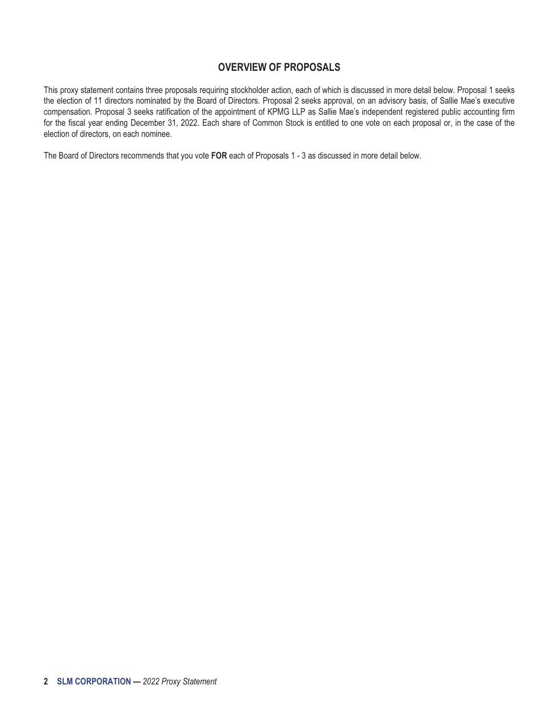#### **OVERVIEW OF PROPOSALS**

<span id="page-7-0"></span>This proxy statement contains three proposals requiring stockholder action, each of which is discussed in more detail below. Proposal 1 seeks the election of 11 directors nominated by the Board of Directors. Proposal 2 seeks approval, on an advisory basis, of Sallie Mae's executive compensation. Proposal 3 seeks ratification of the appointment of KPMG LLP as Sallie Mae's independent registered public accounting firm for the fiscal year ending December 31, 2022. Each share of Common Stock is entitled to one vote on each proposal or, in the case of the election of directors, on each nominee.

The Board of Directors recommends that you vote **FOR** each of Proposals 1 - 3 as discussed in more detail below.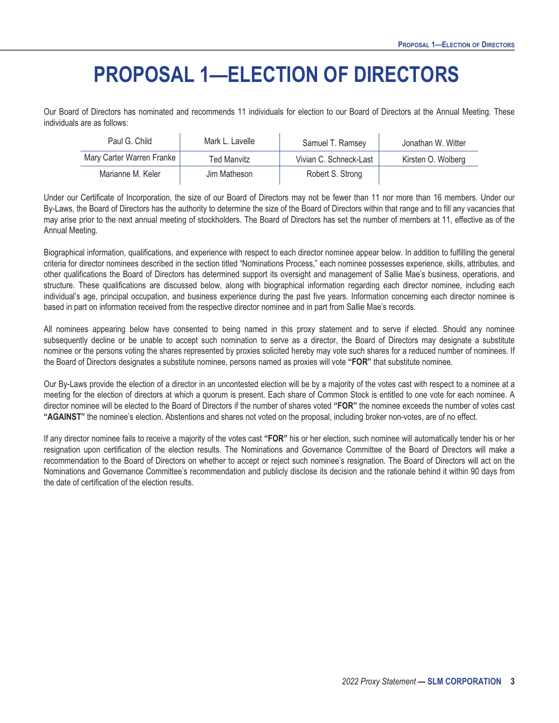# **PROPOSAL 1—ELECTION OF DIRECTORS**

<span id="page-8-0"></span>Our Board of Directors has nominated and recommends 11 individuals for election to our Board of Directors at the Annual Meeting. These individuals are as follows:

| Paul G. Child             | Mark L. Lavelle | Samuel T. Ramsey       | Jonathan W. Witter |
|---------------------------|-----------------|------------------------|--------------------|
| Mary Carter Warren Franke | Ted Manvitz     | Vivian C. Schneck-Last | Kirsten O. Wolberg |
| Marianne M. Keler         | Jim Matheson    | Robert S. Strong       |                    |

Under our Certificate of Incorporation, the size of our Board of Directors may not be fewer than 11 nor more than 16 members. Under our By-Laws, the Board of Directors has the authority to determine the size of the Board of Directors within that range and to fill any vacancies that may arise prior to the next annual meeting of stockholders. The Board of Directors has set the number of members at 11, effective as of the Annual Meeting.

Biographical information, qualifications, and experience with respect to each director nominee appear below. In addition to fulfilling the general criteria for director nominees described in the section titled "Nominations Process," each nominee possesses experience, skills, attributes, and other qualifications the Board of Directors has determined support its oversight and management of Sallie Mae's business, operations, and structure. These qualifications are discussed below, along with biographical information regarding each director nominee, including each individual's age, principal occupation, and business experience during the past five years. Information concerning each director nominee is based in part on information received from the respective director nominee and in part from Sallie Mae's records.

All nominees appearing below have consented to being named in this proxy statement and to serve if elected. Should any nominee subsequently decline or be unable to accept such nomination to serve as a director, the Board of Directors may designate a substitute nominee or the persons voting the shares represented by proxies solicited hereby may vote such shares for a reduced number of nominees. If the Board of Directors designates a substitute nominee, persons named as proxies will vote **"FOR"** that substitute nominee.

Our By-Laws provide the election of a director in an uncontested election will be by a majority of the votes cast with respect to a nominee at a meeting for the election of directors at which a quorum is present. Each share of Common Stock is entitled to one vote for each nominee. A director nominee will be elected to the Board of Directors if the number of shares voted **"FOR"** the nominee exceeds the number of votes cast **"AGAINST"** the nominee's election. Abstentions and shares not voted on the proposal, including broker non-votes, are of no effect.

If any director nominee fails to receive a majority of the votes cast **"FOR"** his or her election, such nominee will automatically tender his or her resignation upon certification of the election results. The Nominations and Governance Committee of the Board of Directors will make a recommendation to the Board of Directors on whether to accept or reject such nominee's resignation. The Board of Directors will act on the Nominations and Governance Committee's recommendation and publicly disclose its decision and the rationale behind it within 90 days from the date of certification of the election results.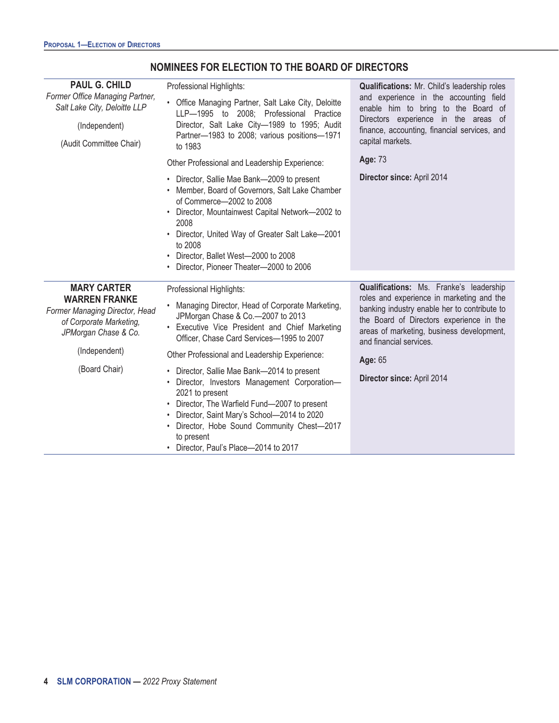| <b>PAUL G. CHILD</b><br>Former Office Managing Partner,                                                                         | Professional Highlights:                                                                                                                                                                                                                                                                                                                | Qualifications: Mr. Child's leadership roles<br>and experience in the accounting field                                                                                                                                                                   |
|---------------------------------------------------------------------------------------------------------------------------------|-----------------------------------------------------------------------------------------------------------------------------------------------------------------------------------------------------------------------------------------------------------------------------------------------------------------------------------------|----------------------------------------------------------------------------------------------------------------------------------------------------------------------------------------------------------------------------------------------------------|
| Salt Lake City, Deloitte LLP                                                                                                    | • Office Managing Partner, Salt Lake City, Deloitte<br>LLP-1995 to 2008; Professional Practice                                                                                                                                                                                                                                          | enable him to bring to the Board of                                                                                                                                                                                                                      |
| (Independent)                                                                                                                   | Director, Salt Lake City-1989 to 1995; Audit                                                                                                                                                                                                                                                                                            | Directors experience in the areas of<br>finance, accounting, financial services, and                                                                                                                                                                     |
| (Audit Committee Chair)                                                                                                         | Partner-1983 to 2008; various positions-1971<br>to 1983                                                                                                                                                                                                                                                                                 | capital markets.                                                                                                                                                                                                                                         |
|                                                                                                                                 | Other Professional and Leadership Experience:                                                                                                                                                                                                                                                                                           | Age: 73                                                                                                                                                                                                                                                  |
|                                                                                                                                 | • Director, Sallie Mae Bank-2009 to present<br>• Member, Board of Governors, Salt Lake Chamber<br>of Commerce-2002 to 2008<br>Director, Mountainwest Capital Network-2002 to<br>2008<br>• Director, United Way of Greater Salt Lake-2001<br>to 2008<br>• Director, Ballet West-2000 to 2008<br>• Director, Pioneer Theater-2000 to 2006 | Director since: April 2014                                                                                                                                                                                                                               |
|                                                                                                                                 |                                                                                                                                                                                                                                                                                                                                         |                                                                                                                                                                                                                                                          |
| <b>MARY CARTER</b><br><b>WARREN FRANKE</b><br>Former Managing Director, Head<br>of Corporate Marketing,<br>JPMorgan Chase & Co. | Professional Highlights:<br>Managing Director, Head of Corporate Marketing,<br>JPMorgan Chase & Co.-2007 to 2013<br>Executive Vice President and Chief Marketing<br>Officer, Chase Card Services-1995 to 2007                                                                                                                           | Qualifications: Ms. Franke's leadership<br>roles and experience in marketing and the<br>banking industry enable her to contribute to<br>the Board of Directors experience in the<br>areas of marketing, business development,<br>and financial services. |
| (Independent)                                                                                                                   | Other Professional and Leadership Experience:                                                                                                                                                                                                                                                                                           | Age: 65                                                                                                                                                                                                                                                  |
| (Board Chair)                                                                                                                   | • Director, Sallie Mae Bank-2014 to present<br>Director, Investors Management Corporation-<br>2021 to present<br>• Director, The Warfield Fund-2007 to present<br>Director, Saint Mary's School-2014 to 2020<br>Director, Hobe Sound Community Chest-2017<br>to present<br>• Director, Paul's Place-2014 to 2017                        | Director since: April 2014                                                                                                                                                                                                                               |

### **NOMINEES FOR ELECTION TO THE BOARD OF DIRECTORS**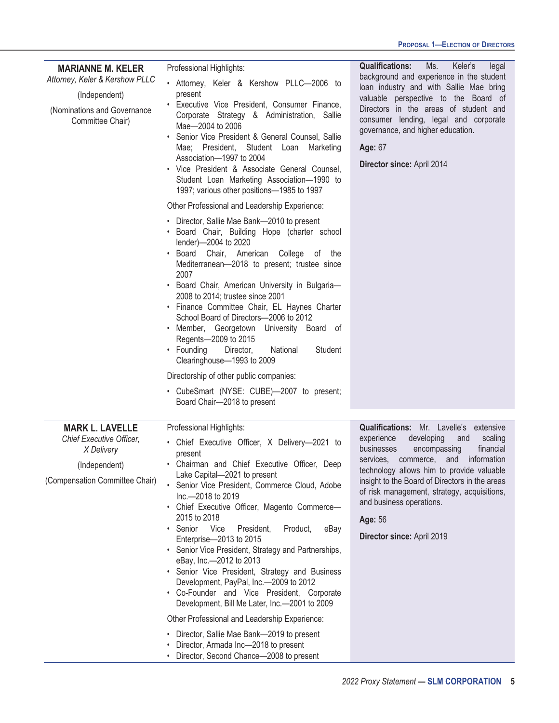| <b>MARIANNE M. KELER</b><br>Attorney, Keler & Kershow PLLC<br>(Independent)<br>(Nominations and Governance<br>Committee Chair) | Professional Highlights:<br>• Attorney, Keler & Kershow PLLC-2006 to<br>present<br>• Executive Vice President, Consumer Finance,<br>Corporate Strategy & Administration, Sallie<br>Mae-2004 to 2006<br>Senior Vice President & General Counsel, Sallie<br>Mae; President, Student Loan Marketing<br>Association-1997 to 2004<br>• Vice President & Associate General Counsel,<br>Student Loan Marketing Association-1990 to<br>1997; various other positions-1985 to 1997<br>Other Professional and Leadership Experience:<br>• Director, Sallie Mae Bank-2010 to present<br>• Board Chair, Building Hope (charter school<br>lender)-2004 to 2020<br>Board Chair, American College of the<br>Mediterranean-2018 to present; trustee since<br>2007<br>· Board Chair, American University in Bulgaria-<br>2008 to 2014; trustee since 2001<br>• Finance Committee Chair, EL Haynes Charter<br>School Board of Directors-2006 to 2012<br>· Member, Georgetown University Board of<br>Regents-2009 to 2015<br>• Founding<br>Director,<br>National<br>Student<br>Clearinghouse-1993 to 2009<br>Directorship of other public companies:<br>• CubeSmart (NYSE: CUBE)-2007 to present; | <b>Qualifications:</b><br>Keler's<br>Ms.<br>legal<br>background and experience in the student<br>loan industry and with Sallie Mae bring<br>valuable perspective to the Board of<br>Directors in the areas of student and<br>consumer lending, legal and corporate<br>governance, and higher education.<br>Age: 67<br>Director since: April 2014                                           |
|--------------------------------------------------------------------------------------------------------------------------------|--------------------------------------------------------------------------------------------------------------------------------------------------------------------------------------------------------------------------------------------------------------------------------------------------------------------------------------------------------------------------------------------------------------------------------------------------------------------------------------------------------------------------------------------------------------------------------------------------------------------------------------------------------------------------------------------------------------------------------------------------------------------------------------------------------------------------------------------------------------------------------------------------------------------------------------------------------------------------------------------------------------------------------------------------------------------------------------------------------------------------------------------------------------------------------|--------------------------------------------------------------------------------------------------------------------------------------------------------------------------------------------------------------------------------------------------------------------------------------------------------------------------------------------------------------------------------------------|
| <b>MARK L. LAVELLE</b><br>Chief Executive Officer,<br>X Delivery<br>(Independent)<br>(Compensation Committee Chair)            | Board Chair-2018 to present<br>Professional Highlights:<br>• Chief Executive Officer, X Delivery-2021 to<br>present<br>• Chairman and Chief Executive Officer, Deep<br>Lake Capital-2021 to present<br>Senior Vice President, Commerce Cloud, Adobe<br>Inc.-2018 to 2019<br>• Chief Executive Officer, Magento Commerce-<br>2015 to 2018<br>• Senior<br><b>Vice</b><br>President,<br>Product,<br>eBay<br>Enterprise-2013 to 2015<br>• Senior Vice President, Strategy and Partnerships,<br>eBay, Inc.-2012 to 2013<br>• Senior Vice President, Strategy and Business<br>Development, PayPal, Inc.-2009 to 2012<br>• Co-Founder and Vice President, Corporate<br>Development, Bill Me Later, Inc.-2001 to 2009<br>Other Professional and Leadership Experience:<br>Director, Sallie Mae Bank-2019 to present<br>Director, Armada Inc-2018 to present                                                                                                                                                                                                                                                                                                                            | Qualifications: Mr. Lavelle's extensive<br>experience<br>developing<br>and<br>scaling<br>businesses<br>encompassing<br>financial<br>services, commerce, and information<br>technology allows him to provide valuable<br>insight to the Board of Directors in the areas<br>of risk management, strategy, acquisitions,<br>and business operations.<br>Age: 56<br>Director since: April 2019 |

• Director, Second Chance—2008 to present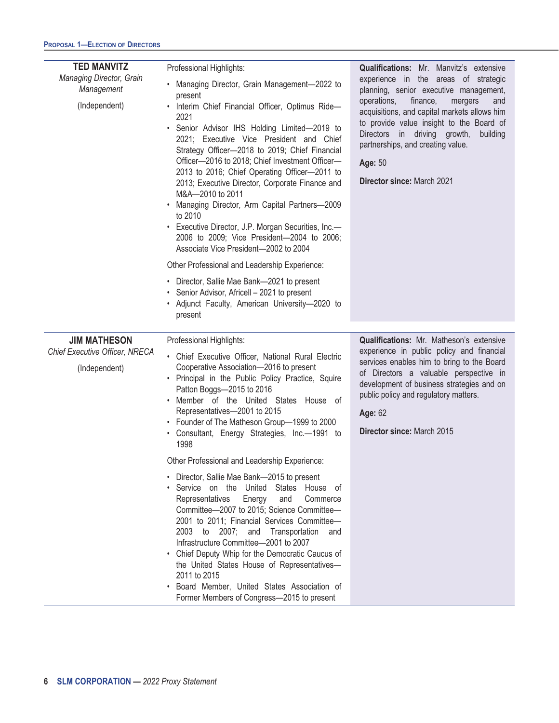| <b>TED MANVITZ</b><br>Managing Director, Grain<br>Management<br>(Independent) | Professional Highlights:<br>Managing Director, Grain Management-2022 to<br>$\bullet$<br>present<br>• Interim Chief Financial Officer, Optimus Ride-<br>2021<br>Senior Advisor IHS Holding Limited-2019 to<br>2021; Executive Vice President and Chief<br>Strategy Officer-2018 to 2019; Chief Financial<br>Officer-2016 to 2018; Chief Investment Officer-<br>2013 to 2016; Chief Operating Officer-2011 to<br>2013; Executive Director, Corporate Finance and<br>M&A-2010 to 2011<br>Managing Director, Arm Capital Partners-2009<br>to 2010<br>• Executive Director, J.P. Morgan Securities, Inc.-<br>2006 to 2009; Vice President-2004 to 2006;<br>Associate Vice President-2002 to 2004<br>Other Professional and Leadership Experience:<br>• Director, Sallie Mae Bank-2021 to present<br>Senior Advisor, Africell - 2021 to present<br>٠ | Qualifications: Mr. Manvitz's extensive<br>experience in the areas of strategic<br>planning, senior executive management,<br>operations,<br>finance,<br>mergers<br>and<br>acquisitions, and capital markets allows him<br>to provide value insight to the Board of<br>Directors in driving growth,<br>building<br>partnerships, and creating value.<br>Age: 50<br><b>Director since: March 2021</b> |
|-------------------------------------------------------------------------------|------------------------------------------------------------------------------------------------------------------------------------------------------------------------------------------------------------------------------------------------------------------------------------------------------------------------------------------------------------------------------------------------------------------------------------------------------------------------------------------------------------------------------------------------------------------------------------------------------------------------------------------------------------------------------------------------------------------------------------------------------------------------------------------------------------------------------------------------|-----------------------------------------------------------------------------------------------------------------------------------------------------------------------------------------------------------------------------------------------------------------------------------------------------------------------------------------------------------------------------------------------------|
|                                                                               | • Adjunct Faculty, American University-2020 to<br>present                                                                                                                                                                                                                                                                                                                                                                                                                                                                                                                                                                                                                                                                                                                                                                                      |                                                                                                                                                                                                                                                                                                                                                                                                     |
| <b>JIM MATHESON</b><br>Chief Executive Officer, NRECA<br>(Independent)        | Professional Highlights:<br>• Chief Executive Officer, National Rural Electric<br>Cooperative Association-2016 to present<br>• Principal in the Public Policy Practice, Squire<br>Patton Boggs-2015 to 2016<br>• Member of the United States House of<br>Representatives-2001 to 2015<br>• Founder of The Matheson Group-1999 to 2000<br>· Consultant, Energy Strategies, Inc.-1991 to<br>1998                                                                                                                                                                                                                                                                                                                                                                                                                                                 | <b>Qualifications:</b> Mr. Matheson's extensive<br>experience in public policy and financial<br>services enables him to bring to the Board<br>of Directors a valuable perspective in<br>development of business strategies and on<br>public policy and regulatory matters.<br>Age: 62<br>Director since: March 2015                                                                                 |
|                                                                               | Other Professional and Leadership Experience:<br>Director, Sallie Mae Bank-2015 to present<br>٠<br>Service on the United States House of<br>٠<br>Representatives<br>Energy<br>Commerce<br>and<br>Committee-2007 to 2015; Science Committee-<br>2001 to 2011; Financial Services Committee-<br>2003<br>2007; and<br>Transportation<br>to<br>and<br>Infrastructure Committee-2001 to 2007<br>Chief Deputy Whip for the Democratic Caucus of<br>$\bullet$<br>the United States House of Representatives-<br>2011 to 2015<br>Board Member, United States Association of<br>٠<br>Former Members of Congress-2015 to present                                                                                                                                                                                                                         |                                                                                                                                                                                                                                                                                                                                                                                                     |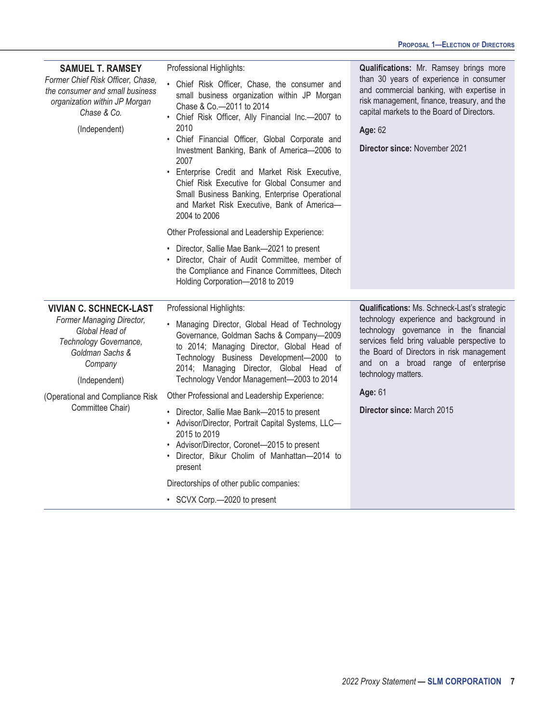| <b>SAMUEL T. RAMSEY</b><br>Former Chief Risk Officer, Chase,<br>the consumer and small business<br>organization within JP Morgan<br>Chase & Co.<br>(Independent)                          | Professional Highlights:<br>• Chief Risk Officer, Chase, the consumer and<br>small business organization within JP Morgan<br>Chase & Co.-2011 to 2014<br>• Chief Risk Officer, Ally Financial Inc.-2007 to<br>2010<br>Chief Financial Officer, Global Corporate and<br>$\bullet$<br>Investment Banking, Bank of America-2006 to<br>2007<br>Enterprise Credit and Market Risk Executive,<br>$\bullet$<br>Chief Risk Executive for Global Consumer and<br>Small Business Banking, Enterprise Operational<br>and Market Risk Executive, Bank of America-<br>2004 to 2006<br>Other Professional and Leadership Experience:<br>• Director, Sallie Mae Bank-2021 to present<br>Director, Chair of Audit Committee, member of<br>the Compliance and Finance Committees, Ditech | Qualifications: Mr. Ramsey brings more<br>than 30 years of experience in consumer<br>and commercial banking, with expertise in<br>risk management, finance, treasury, and the<br>capital markets to the Board of Directors.<br>Age: 62<br>Director since: November 2021                                |
|-------------------------------------------------------------------------------------------------------------------------------------------------------------------------------------------|-------------------------------------------------------------------------------------------------------------------------------------------------------------------------------------------------------------------------------------------------------------------------------------------------------------------------------------------------------------------------------------------------------------------------------------------------------------------------------------------------------------------------------------------------------------------------------------------------------------------------------------------------------------------------------------------------------------------------------------------------------------------------|--------------------------------------------------------------------------------------------------------------------------------------------------------------------------------------------------------------------------------------------------------------------------------------------------------|
|                                                                                                                                                                                           | Holding Corporation-2018 to 2019                                                                                                                                                                                                                                                                                                                                                                                                                                                                                                                                                                                                                                                                                                                                        |                                                                                                                                                                                                                                                                                                        |
| <b>VIVIAN C. SCHNECK-LAST</b><br>Former Managing Director,<br>Global Head of<br>Technology Governance,<br>Goldman Sachs &<br>Company<br>(Independent)<br>(Operational and Compliance Risk | Professional Highlights:<br>Managing Director, Global Head of Technology<br>Governance, Goldman Sachs & Company-2009<br>to 2014; Managing Director, Global Head of<br>Technology Business Development-2000 to<br>2014; Managing Director, Global Head of<br>Technology Vendor Management-2003 to 2014<br>Other Professional and Leadership Experience:                                                                                                                                                                                                                                                                                                                                                                                                                  | Qualifications: Ms. Schneck-Last's strategic<br>technology experience and background in<br>technology governance in the financial<br>services field bring valuable perspective to<br>the Board of Directors in risk management<br>and on a broad range of enterprise<br>technology matters.<br>Age: 61 |
| Committee Chair)                                                                                                                                                                          | • Director, Sallie Mae Bank-2015 to present<br>• Advisor/Director, Portrait Capital Systems, LLC-<br>2015 to 2019<br>• Advisor/Director, Coronet-2015 to present<br>· Director, Bikur Cholim of Manhattan-2014 to<br>present<br>Directorships of other public companies:<br>• SCVX Corp.-2020 to present                                                                                                                                                                                                                                                                                                                                                                                                                                                                | Director since: March 2015                                                                                                                                                                                                                                                                             |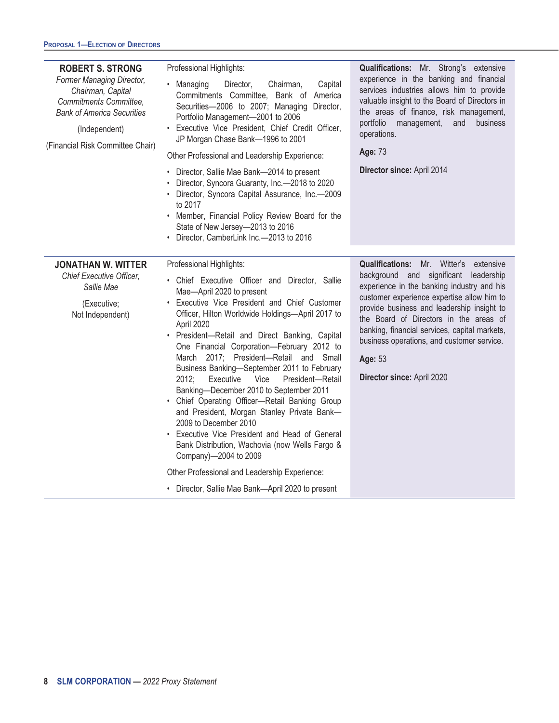| <b>ROBERT S. STRONG</b><br>Former Managing Director,<br>Chairman, Capital<br>Commitments Committee,<br><b>Bank of America Securities</b><br>(Independent)<br>(Financial Risk Committee Chair) | Professional Highlights:<br>• Managing<br>Director,<br>Capital<br>Chairman,<br>Commitments Committee, Bank of America<br>Securities-2006 to 2007; Managing Director,<br>Portfolio Management-2001 to 2006<br>· Executive Vice President, Chief Credit Officer,<br>JP Morgan Chase Bank-1996 to 2001<br>Other Professional and Leadership Experience:<br>• Director, Sallie Mae Bank-2014 to present<br>Director, Syncora Guaranty, Inc.-2018 to 2020<br>• Director, Syncora Capital Assurance, Inc.-2009<br>to 2017<br>• Member, Financial Policy Review Board for the<br>State of New Jersey-2013 to 2016<br>• Director, CamberLink Inc.-2013 to 2016                                                                                                                                                                                                                     | Qualifications: Mr. Strong's extensive<br>experience in the banking and financial<br>services industries allows him to provide<br>valuable insight to the Board of Directors in<br>the areas of finance, risk management,<br>portfolio<br>business<br>management,<br>and<br>operations.<br>Age: 73<br>Director since: April 2014                                                                                   |
|-----------------------------------------------------------------------------------------------------------------------------------------------------------------------------------------------|----------------------------------------------------------------------------------------------------------------------------------------------------------------------------------------------------------------------------------------------------------------------------------------------------------------------------------------------------------------------------------------------------------------------------------------------------------------------------------------------------------------------------------------------------------------------------------------------------------------------------------------------------------------------------------------------------------------------------------------------------------------------------------------------------------------------------------------------------------------------------|--------------------------------------------------------------------------------------------------------------------------------------------------------------------------------------------------------------------------------------------------------------------------------------------------------------------------------------------------------------------------------------------------------------------|
| <b>JONATHAN W. WITTER</b><br><b>Chief Executive Officer,</b><br>Sallie Mae<br>(Executive;<br>Not Independent)                                                                                 | Professional Highlights:<br>• Chief Executive Officer and Director, Sallie<br>Mae-April 2020 to present<br>• Executive Vice President and Chief Customer<br>Officer, Hilton Worldwide Holdings-April 2017 to<br>April 2020<br>• President-Retail and Direct Banking, Capital<br>One Financial Corporation-February 2012 to<br>March 2017; President-Retail and Small<br>Business Banking-September 2011 to February<br>Executive Vice<br>President-Retail<br>2012;<br>Banking-December 2010 to September 2011<br>• Chief Operating Officer-Retail Banking Group<br>and President, Morgan Stanley Private Bank-<br>2009 to December 2010<br>• Executive Vice President and Head of General<br>Bank Distribution, Wachovia (now Wells Fargo &<br>Company)-2004 to 2009<br>Other Professional and Leadership Experience:<br>• Director, Sallie Mae Bank-April 2020 to present | <b>Qualifications:</b> Mr. Witter's extensive<br>background and significant leadership<br>experience in the banking industry and his<br>customer experience expertise allow him to<br>provide business and leadership insight to<br>the Board of Directors in the areas of<br>banking, financial services, capital markets,<br>business operations, and customer service.<br>Age: 53<br>Director since: April 2020 |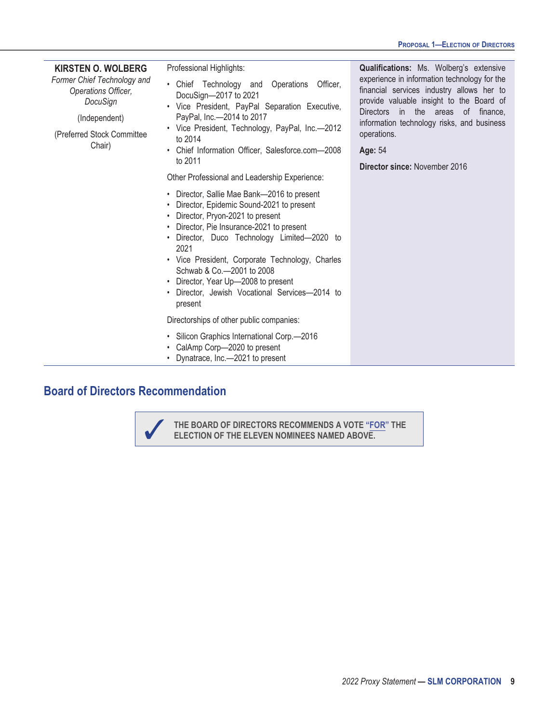| <b>KIRSTEN O. WOLBERG</b><br>Former Chief Technology and<br>Operations Officer,<br>DocuSign<br>(Independent)<br>(Preferred Stock Committee<br>Chair) | Professional Highlights:<br>• Chief Technology and Operations<br>Officer.<br>DocuSign-2017 to 2021<br>• Vice President, PayPal Separation Executive,<br>PayPal, Inc.-2014 to 2017<br>• Vice President, Technology, PayPal, Inc.-2012<br>to 2014<br>• Chief Information Officer, Salesforce.com-2008<br>to 2011<br>Other Professional and Leadership Experience:                                                        | Qualifications: Ms. Wolberg's extensive<br>experience in information technology for the<br>financial services industry allows her to<br>provide valuable insight to the Board of<br>Directors in the areas of finance,<br>information technology risks, and business<br>operations.<br>Age: 54<br><b>Director since: November 2016</b> |
|------------------------------------------------------------------------------------------------------------------------------------------------------|------------------------------------------------------------------------------------------------------------------------------------------------------------------------------------------------------------------------------------------------------------------------------------------------------------------------------------------------------------------------------------------------------------------------|----------------------------------------------------------------------------------------------------------------------------------------------------------------------------------------------------------------------------------------------------------------------------------------------------------------------------------------|
|                                                                                                                                                      | • Director, Sallie Mae Bank-2016 to present<br>• Director, Epidemic Sound-2021 to present<br>• Director, Pryon-2021 to present<br>• Director, Pie Insurance-2021 to present<br>· Director, Duco Technology Limited-2020 to<br>2021<br>• Vice President, Corporate Technology, Charles<br>Schwab & Co. - 2001 to 2008<br>• Director, Year Up-2008 to present<br>Director, Jewish Vocational Services-2014 to<br>present |                                                                                                                                                                                                                                                                                                                                        |
|                                                                                                                                                      | Directorships of other public companies:                                                                                                                                                                                                                                                                                                                                                                               |                                                                                                                                                                                                                                                                                                                                        |
|                                                                                                                                                      | • Silicon Graphics International Corp.-2016<br>• CalAmp Corp-2020 to present<br>• Dynatrace, Inc.-2021 to present                                                                                                                                                                                                                                                                                                      |                                                                                                                                                                                                                                                                                                                                        |

# **Board of Directors Recommendation**

✓ **THE BOARD OF DIRECTORS RECOMMENDS A VOTE "FOR" THE ELECTION OF THE ELEVEN NOMINEES NAMED ABOVE.**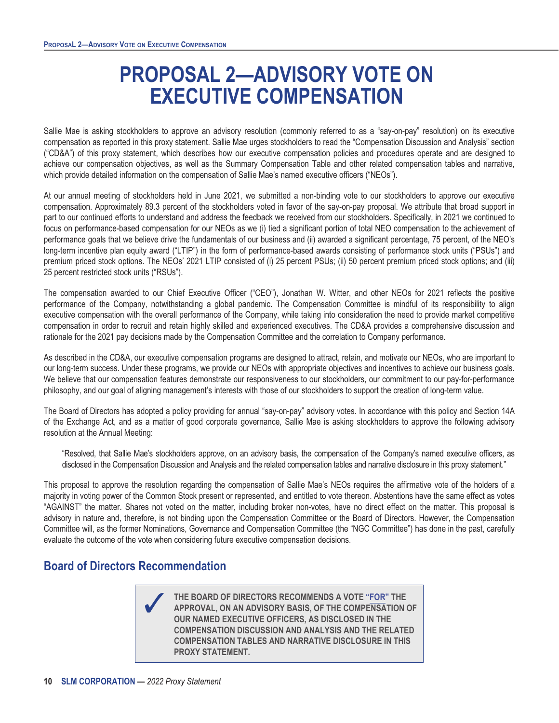# **PROPOSAL 2—ADVISORY VOTE ON EXECUTIVE COMPENSATION**

<span id="page-15-0"></span>Sallie Mae is asking stockholders to approve an advisory resolution (commonly referred to as a "say-on-pay" resolution) on its executive compensation as reported in this proxy statement. Sallie Mae urges stockholders to read the "Compensation Discussion and Analysis" section ("CD&A") of this proxy statement, which describes how our executive compensation policies and procedures operate and are designed to achieve our compensation objectives, as well as the Summary Compensation Table and other related compensation tables and narrative, which provide detailed information on the compensation of Sallie Mae's named executive officers ("NEOs").

At our annual meeting of stockholders held in June 2021, we submitted a non-binding vote to our stockholders to approve our executive compensation. Approximately 89.3 percent of the stockholders voted in favor of the say-on-pay proposal. We attribute that broad support in part to our continued efforts to understand and address the feedback we received from our stockholders. Specifically, in 2021 we continued to focus on performance-based compensation for our NEOs as we (i) tied a significant portion of total NEO compensation to the achievement of performance goals that we believe drive the fundamentals of our business and (ii) awarded a significant percentage, 75 percent, of the NEO's long-term incentive plan equity award ("LTIP") in the form of performance-based awards consisting of performance stock units ("PSUs") and premium priced stock options. The NEOs' 2021 LTIP consisted of (i) 25 percent PSUs; (ii) 50 percent premium priced stock options; and (iii) 25 percent restricted stock units ("RSUs").

The compensation awarded to our Chief Executive Officer ("CEO"), Jonathan W. Witter, and other NEOs for 2021 reflects the positive performance of the Company, notwithstanding a global pandemic. The Compensation Committee is mindful of its responsibility to align executive compensation with the overall performance of the Company, while taking into consideration the need to provide market competitive compensation in order to recruit and retain highly skilled and experienced executives. The CD&A provides a comprehensive discussion and rationale for the 2021 pay decisions made by the Compensation Committee and the correlation to Company performance.

As described in the CD&A, our executive compensation programs are designed to attract, retain, and motivate our NEOs, who are important to our long-term success. Under these programs, we provide our NEOs with appropriate objectives and incentives to achieve our business goals. We believe that our compensation features demonstrate our responsiveness to our stockholders, our commitment to our pay-for-performance philosophy, and our goal of aligning management's interests with those of our stockholders to support the creation of long-term value.

The Board of Directors has adopted a policy providing for annual "say-on-pay" advisory votes. In accordance with this policy and Section 14A of the Exchange Act, and as a matter of good corporate governance, Sallie Mae is asking stockholders to approve the following advisory resolution at the Annual Meeting:

"Resolved, that Sallie Mae's stockholders approve, on an advisory basis, the compensation of the Company's named executive officers, as disclosed in the Compensation Discussion and Analysis and the related compensation tables and narrative disclosure in this proxy statement."

This proposal to approve the resolution regarding the compensation of Sallie Mae's NEOs requires the affirmative vote of the holders of a majority in voting power of the Common Stock present or represented, and entitled to vote thereon. Abstentions have the same effect as votes "AGAINST" the matter. Shares not voted on the matter, including broker non-votes, have no direct effect on the matter. This proposal is advisory in nature and, therefore, is not binding upon the Compensation Committee or the Board of Directors. However, the Compensation Committee will, as the former Nominations, Governance and Compensation Committee (the "NGC Committee") has done in the past, carefully evaluate the outcome of the vote when considering future executive compensation decisions.

### **Board of Directors Recommendation**

✓ **THE BOARD OF DIRECTORS RECOMMENDS A VOTE "FOR" THE APPROVAL, ON AN ADVISORY BASIS, OF THE COMPENSATION OF OUR NAMED EXECUTIVE OFFICERS, AS DISCLOSED IN THE COMPENSATION DISCUSSION AND ANALYSIS AND THE RELATED COMPENSATION TABLES AND NARRATIVE DISCLOSURE IN THIS PROXY STATEMENT.**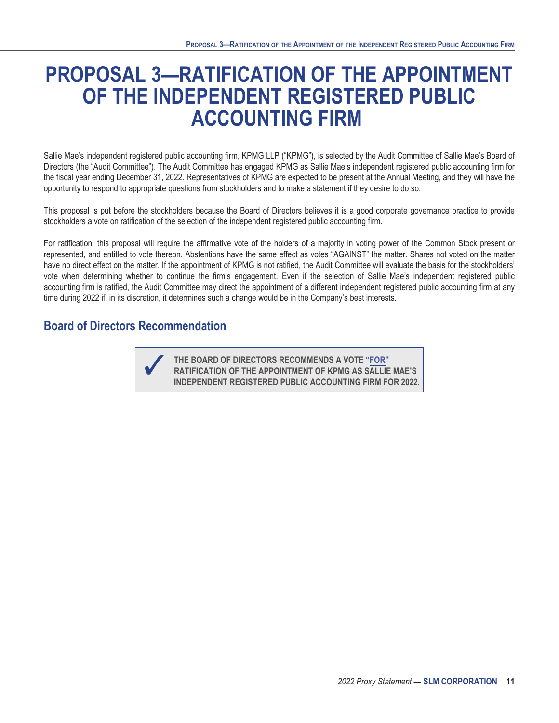# <span id="page-16-0"></span>**PROPOSAL 3—RATIFICATION OF THE APPOINTMENT OF THE INDEPENDENT REGISTERED PUBLIC ACCOUNTING FIRM**

Sallie Mae's independent registered public accounting firm, KPMG LLP ("KPMG"), is selected by the Audit Committee of Sallie Mae's Board of Directors (the "Audit Committee"). The Audit Committee has engaged KPMG as Sallie Mae's independent registered public accounting firm for the fiscal year ending December 31, 2022. Representatives of KPMG are expected to be present at the Annual Meeting, and they will have the opportunity to respond to appropriate questions from stockholders and to make a statement if they desire to do so.

This proposal is put before the stockholders because the Board of Directors believes it is a good corporate governance practice to provide stockholders a vote on ratification of the selection of the independent registered public accounting firm.

For ratification, this proposal will require the affirmative vote of the holders of a majority in voting power of the Common Stock present or represented, and entitled to vote thereon. Abstentions have the same effect as votes "AGAINST" the matter. Shares not voted on the matter have no direct effect on the matter. If the appointment of KPMG is not ratified, the Audit Committee will evaluate the basis for the stockholders' vote when determining whether to continue the firm's engagement. Even if the selection of Sallie Mae's independent registered public accounting firm is ratified, the Audit Committee may direct the appointment of a different independent registered public accounting firm at any time during 2022 if, in its discretion, it determines such a change would be in the Company's best interests.

### **Board of Directors Recommendation**



✓ **THE BOARD OF DIRECTORS RECOMMENDS A VOTE "FOR" RATIFICATION OF THE APPOINTMENT OF KPMG AS SALLIE MAE'S INDEPENDENT REGISTERED PUBLIC ACCOUNTING FIRM FOR 2022.**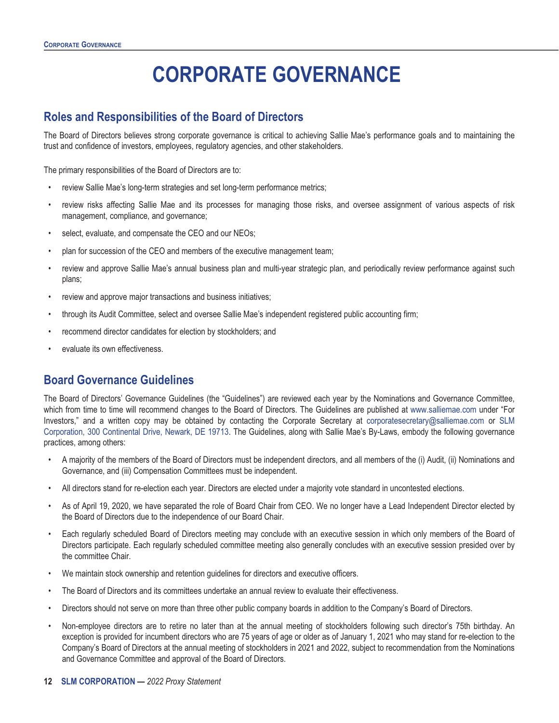# **CORPORATE GOVERNANCE**

### <span id="page-17-1"></span><span id="page-17-0"></span>**Roles and Responsibilities of the Board of Directors**

The Board of Directors believes strong corporate governance is critical to achieving Sallie Mae's performance goals and to maintaining the trust and confidence of investors, employees, regulatory agencies, and other stakeholders.

The primary responsibilities of the Board of Directors are to:

- review Sallie Mae's long-term strategies and set long-term performance metrics;
- review risks affecting Sallie Mae and its processes for managing those risks, and oversee assignment of various aspects of risk management, compliance, and governance;
- select, evaluate, and compensate the CEO and our NEOs;
- plan for succession of the CEO and members of the executive management team;
- review and approve Sallie Mae's annual business plan and multi-year strategic plan, and periodically review performance against such plans;
- review and approve major transactions and business initiatives;
- through its Audit Committee, select and oversee Sallie Mae's independent registered public accounting firm;
- recommend director candidates for election by stockholders; and
- evaluate its own effectiveness.

### <span id="page-17-2"></span>**Board Governance Guidelines**

The Board of Directors' Governance Guidelines (the "Guidelines") are reviewed each year by the Nominations and Governance Committee, which from time to time will recommend changes to the Board of Directors. The Guidelines are published at www.salliemae.com under "For Investors," and a written copy may be obtained by contacting the Corporate Secretary at corporatesecretary@salliemae.com or SLM Corporation, 300 Continental Drive, Newark, DE 19713. The Guidelines, along with Sallie Mae's By-Laws, embody the following governance practices, among others:

- A majority of the members of the Board of Directors must be independent directors, and all members of the (i) Audit, (ii) Nominations and Governance, and (iii) Compensation Committees must be independent.
- All directors stand for re-election each year. Directors are elected under a majority vote standard in uncontested elections.
- As of April 19, 2020, we have separated the role of Board Chair from CEO. We no longer have a Lead Independent Director elected by the Board of Directors due to the independence of our Board Chair.
- Each regularly scheduled Board of Directors meeting may conclude with an executive session in which only members of the Board of Directors participate. Each regularly scheduled committee meeting also generally concludes with an executive session presided over by the committee Chair.
- We maintain stock ownership and retention guidelines for directors and executive officers.
- The Board of Directors and its committees undertake an annual review to evaluate their effectiveness.
- Directors should not serve on more than three other public company boards in addition to the Company's Board of Directors.
- Non-employee directors are to retire no later than at the annual meeting of stockholders following such director's 75th birthday. An exception is provided for incumbent directors who are 75 years of age or older as of January 1, 2021 who may stand for re-election to the Company's Board of Directors at the annual meeting of stockholders in 2021 and 2022, subject to recommendation from the Nominations and Governance Committee and approval of the Board of Directors.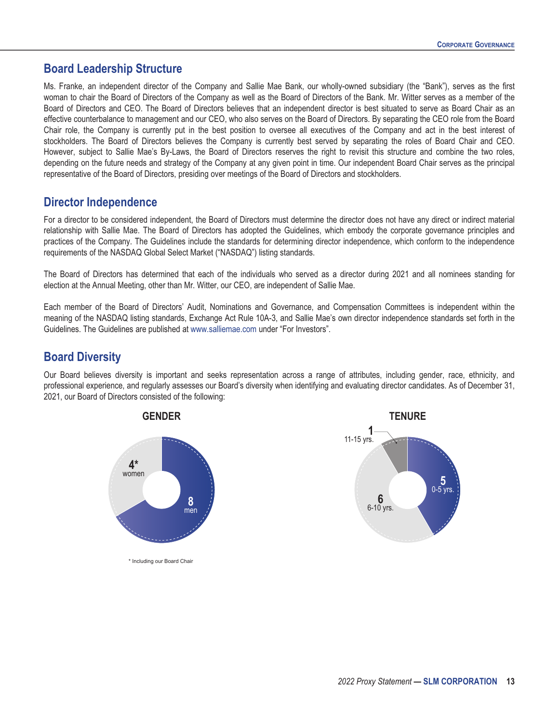### <span id="page-18-0"></span>**Board Leadership Structure**

Ms. Franke, an independent director of the Company and Sallie Mae Bank, our wholly-owned subsidiary (the "Bank"), serves as the first woman to chair the Board of Directors of the Company as well as the Board of Directors of the Bank. Mr. Witter serves as a member of the Board of Directors and CEO. The Board of Directors believes that an independent director is best situated to serve as Board Chair as an effective counterbalance to management and our CEO, who also serves on the Board of Directors. By separating the CEO role from the Board Chair role, the Company is currently put in the best position to oversee all executives of the Company and act in the best interest of stockholders. The Board of Directors believes the Company is currently best served by separating the roles of Board Chair and CEO. However, subject to Sallie Mae's By-Laws, the Board of Directors reserves the right to revisit this structure and combine the two roles, depending on the future needs and strategy of the Company at any given point in time. Our independent Board Chair serves as the principal representative of the Board of Directors, presiding over meetings of the Board of Directors and stockholders.

### <span id="page-18-1"></span>**Director Independence**

For a director to be considered independent, the Board of Directors must determine the director does not have any direct or indirect material relationship with Sallie Mae. The Board of Directors has adopted the Guidelines, which embody the corporate governance principles and practices of the Company. The Guidelines include the standards for determining director independence, which conform to the independence requirements of the NASDAQ Global Select Market ("NASDAQ") listing standards.

The Board of Directors has determined that each of the individuals who served as a director during 2021 and all nominees standing for election at the Annual Meeting, other than Mr. Witter, our CEO, are independent of Sallie Mae.

Each member of the Board of Directors' Audit, Nominations and Governance, and Compensation Committees is independent within the meaning of the NASDAQ listing standards, Exchange Act Rule 10A-3, and Sallie Mae's own director independence standards set forth in the Guidelines. The Guidelines are published at www.salliemae.com under "For Investors".

### <span id="page-18-2"></span>**Board Diversity**

Our Board believes diversity is important and seeks representation across a range of attributes, including gender, race, ethnicity, and professional experience, and regularly assesses our Board's diversity when identifying and evaluating director candidates. As of December 31, 2021, our Board of Directors consisted of the following:



\* Including our Board Chair

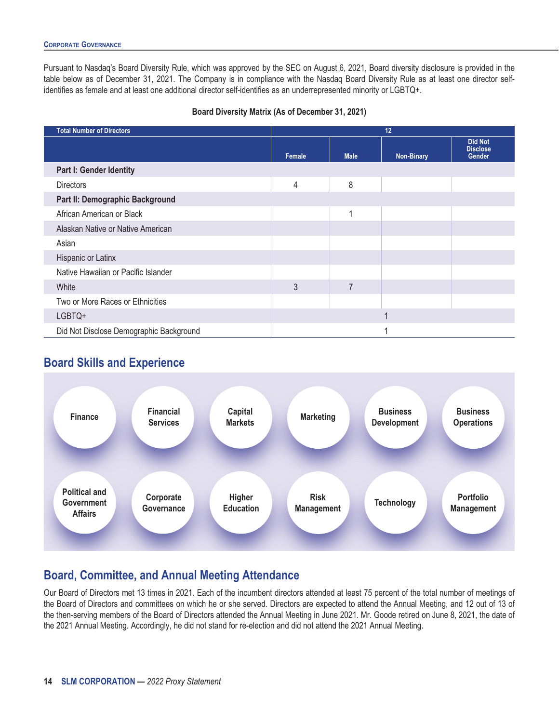Pursuant to Nasdaq's Board Diversity Rule, which was approved by the SEC on August 6, 2021, Board diversity disclosure is provided in the table below as of December 31, 2021. The Company is in compliance with the Nasdaq Board Diversity Rule as at least one director selfidentifies as female and at least one additional director self-identifies as an underrepresented minority or LGBTQ+.

#### **Board Diversity Matrix (As of December 31, 2021)**

| <b>Total Number of Directors</b>        | 12     |                |                   |                                             |
|-----------------------------------------|--------|----------------|-------------------|---------------------------------------------|
|                                         | Female | <b>Male</b>    | <b>Non-Binary</b> | <b>Did Not</b><br><b>Disclose</b><br>Gender |
| <b>Part I: Gender Identity</b>          |        |                |                   |                                             |
| <b>Directors</b>                        | 4      | 8              |                   |                                             |
| Part II: Demographic Background         |        |                |                   |                                             |
| African American or Black               |        | -4             |                   |                                             |
| Alaskan Native or Native American       |        |                |                   |                                             |
| Asian                                   |        |                |                   |                                             |
| Hispanic or Latinx                      |        |                |                   |                                             |
| Native Hawaiian or Pacific Islander     |        |                |                   |                                             |
| White                                   | 3      | $\overline{7}$ |                   |                                             |
| Two or More Races or Ethnicities        |        |                |                   |                                             |
| LGBTQ+                                  |        |                |                   |                                             |
| Did Not Disclose Demographic Background |        |                |                   |                                             |

# **Board Skills and Experience**

<span id="page-19-0"></span>

# <span id="page-19-1"></span>**Board, Committee, and Annual Meeting Attendance**

Our Board of Directors met 13 times in 2021. Each of the incumbent directors attended at least 75 percent of the total number of meetings of the Board of Directors and committees on which he or she served. Directors are expected to attend the Annual Meeting, and 12 out of 13 of the then-serving members of the Board of Directors attended the Annual Meeting in June 2021. Mr. Goode retired on June 8, 2021, the date of the 2021 Annual Meeting. Accordingly, he did not stand for re-election and did not attend the 2021 Annual Meeting.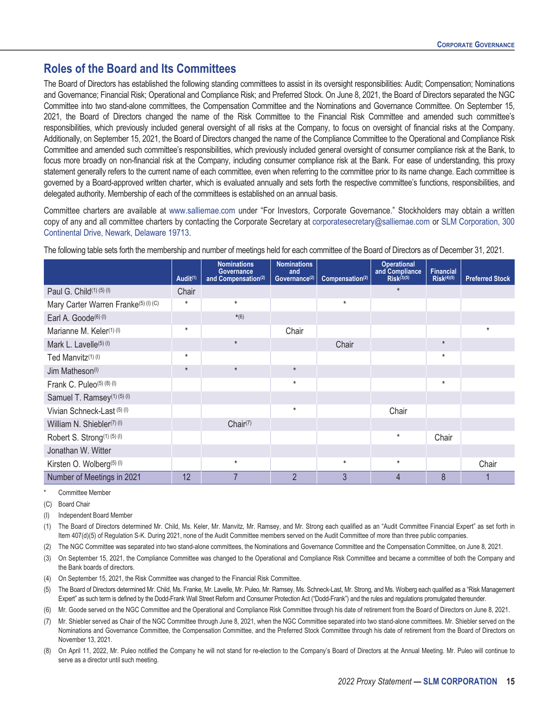### <span id="page-20-0"></span>**Roles of the Board and Its Committees**

The Board of Directors has established the following standing committees to assist in its oversight responsibilities: Audit; Compensation; Nominations and Governance; Financial Risk; Operational and Compliance Risk; and Preferred Stock. On June 8, 2021, the Board of Directors separated the NGC Committee into two stand-alone committees, the Compensation Committee and the Nominations and Governance Committee. On September 15, 2021, the Board of Directors changed the name of the Risk Committee to the Financial Risk Committee and amended such committee's responsibilities, which previously included general oversight of all risks at the Company, to focus on oversight of financial risks at the Company. Additionally, on September 15, 2021, the Board of Directors changed the name of the Compliance Committee to the Operational and Compliance Risk Committee and amended such committee's responsibilities, which previously included general oversight of consumer compliance risk at the Bank, to focus more broadly on non-financial risk at the Company, including consumer compliance risk at the Bank. For ease of understanding, this proxy statement generally refers to the current name of each committee, even when referring to the committee prior to its name change. Each committee is governed by a Board-approved written charter, which is evaluated annually and sets forth the respective committee's functions, responsibilities, and delegated authority. Membership of each of the committees is established on an annual basis.

Committee charters are available at www.salliemae.com under "For Investors, Corporate Governance." Stockholders may obtain a written copy of any and all committee charters by contacting the Corporate Secretary at corporatesecretary@salliemae.com or SLM Corporation, 300 Continental Drive, Newark, Delaware 19713.

The following table sets forth the membership and number of meetings held for each committee of the Board of Directors as of December 31, 2021.

|                                         | Audit <sup>(1)</sup> | <b>Nominations</b><br>Governance<br>and Compensation <sup>(2)</sup> | <b>Nominations</b><br>and<br>Governance <sup>(2)</sup> | Compensation(2) | <b>Operational</b><br>and Compliance<br>$Risk^{(3)(5)}$ | <b>Financial</b><br>$Risk^{(4)(5)}$ | <b>Preferred Stock</b> |
|-----------------------------------------|----------------------|---------------------------------------------------------------------|--------------------------------------------------------|-----------------|---------------------------------------------------------|-------------------------------------|------------------------|
| Paul G. Child(1)(5)(1)                  | Chair                |                                                                     |                                                        |                 | $\star$                                                 |                                     |                        |
| Mary Carter Warren Franke(5) (I) (C)    | $\star$              | $\star$                                                             |                                                        | $\star$         |                                                         |                                     |                        |
| Earl A. Goode <sup>(6) (I)</sup>        |                      | $*(6)$                                                              |                                                        |                 |                                                         |                                     |                        |
| Marianne M. Keler <sup>(1) (l)</sup>    | $^\star$             |                                                                     | Chair                                                  |                 |                                                         |                                     | $\ast$                 |
| Mark L. Lavelle <sup>(5) (I)</sup>      |                      | $\star$                                                             |                                                        | Chair           |                                                         | $\star$                             |                        |
| Ted Manvitz <sup>(1)(I)</sup>           | $^\star$             |                                                                     |                                                        |                 |                                                         | $\star$                             |                        |
| Jim Matheson <sup>(I)</sup>             | $\star$              | $^\star$                                                            | $\star$                                                |                 |                                                         |                                     |                        |
| Frank C. Puleo(5) (8) (1)               |                      |                                                                     | $\star$                                                |                 |                                                         | $^\star$                            |                        |
| Samuel T. Ramsey <sup>(1)</sup> (5) (l) |                      |                                                                     |                                                        |                 |                                                         |                                     |                        |
| Vivian Schneck-Last (5) (I)             |                      |                                                                     | $\star$                                                |                 | Chair                                                   |                                     |                        |
| William N. Shiebler(7) (l)              |                      | Chain(7)                                                            |                                                        |                 |                                                         |                                     |                        |
| Robert S. Strong(1) (5) (I)             |                      |                                                                     |                                                        |                 | $^\star$                                                | Chair                               |                        |
| Jonathan W. Witter                      |                      |                                                                     |                                                        |                 |                                                         |                                     |                        |
| Kirsten O. Wolberg <sup>(5) (I)</sup>   |                      | $^\star$                                                            |                                                        | $\star$         | $^\star$                                                |                                     | Chair                  |
| Number of Meetings in 2021              | 12                   | 7                                                                   | $\overline{2}$                                         | 3               | $\overline{4}$                                          | 8                                   |                        |

Committee Member

(C) Board Chair

Independent Board Member

(1) The Board of Directors determined Mr. Child, Ms. Keler, Mr. Manvitz, Mr. Ramsey, and Mr. Strong each qualified as an "Audit Committee Financial Expert" as set forth in Item 407(d)(5) of Regulation S-K. During 2021, none of the Audit Committee members served on the Audit Committee of more than three public companies.

(2) The NGC Committee was separated into two stand-alone committees, the Nominations and Governance Committee and the Compensation Committee, on June 8, 2021.

(3) On September 15, 2021, the Compliance Committee was changed to the Operational and Compliance Risk Committee and became a committee of both the Company and the Bank boards of directors.

(4) On September 15, 2021, the Risk Committee was changed to the Financial Risk Committee.

(5) The Board of Directors determined Mr. Child, Ms. Franke, Mr. Lavelle, Mr. Puleo, Mr. Ramsey, Ms. Schneck-Last, Mr. Strong, and Ms. Wolberg each qualified as a "Risk Management Expert" as such term is defined by the Dodd-Frank Wall Street Reform and Consumer Protection Act ("Dodd-Frank") and the rules and regulations promulgated thereunder.

(6) Mr. Goode served on the NGC Committee and the Operational and Compliance Risk Committee through his date of retirement from the Board of Directors on June 8, 2021.

(7) Mr. Shiebler served as Chair of the NGC Committee through June 8, 2021, when the NGC Committee separated into two stand-alone committees. Mr. Shiebler served on the Nominations and Governance Committee, the Compensation Committee, and the Preferred Stock Committee through his date of retirement from the Board of Directors on November 13, 2021.

(8) On April 11, 2022, Mr. Puleo notified the Company he will not stand for re-election to the Company's Board of Directors at the Annual Meeting. Mr. Puleo will continue to serve as a director until such meeting.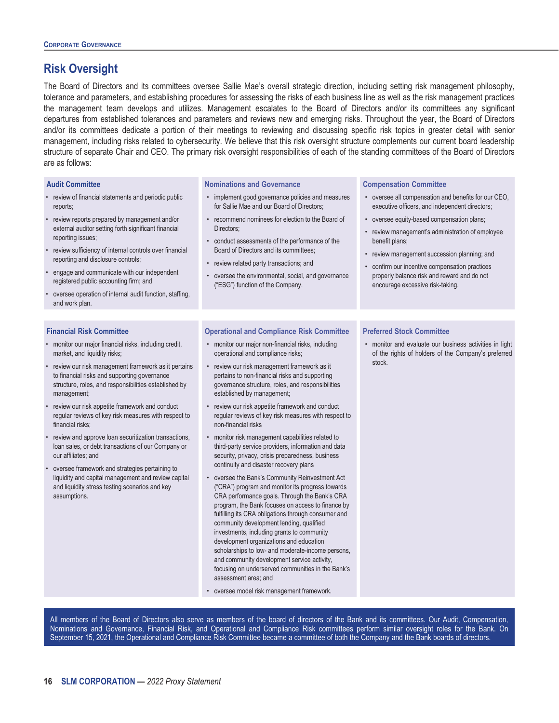### <span id="page-21-0"></span>**Risk Oversight**

The Board of Directors and its committees oversee Sallie Mae's overall strategic direction, including setting risk management philosophy, tolerance and parameters, and establishing procedures for assessing the risks of each business line as well as the risk management practices the management team develops and utilizes. Management escalates to the Board of Directors and/or its committees any significant departures from established tolerances and parameters and reviews new and emerging risks. Throughout the year, the Board of Directors and/or its committees dedicate a portion of their meetings to reviewing and discussing specific risk topics in greater detail with senior management, including risks related to cybersecurity. We believe that this risk oversight structure complements our current board leadership structure of separate Chair and CEO. The primary risk oversight responsibilities of each of the standing committees of the Board of Directors are as follows:

#### **Audit Committee**

- review of financial statements and periodic public reports;
- review reports prepared by management and/or external auditor setting forth significant financial reporting issues;
- review sufficiency of internal controls over financial reporting and disclosure controls;
- engage and communicate with our independent registered public accounting firm; and
- oversee operation of internal audit function, staffing, and work plan.

#### **Financial Risk Committee**

- monitor our major financial risks, including credit, market, and liquidity risks;
- review our risk management framework as it pertains to financial risks and supporting governance structure, roles, and responsibilities established by management;
- review our risk appetite framework and conduct regular reviews of key risk measures with respect to financial risks;
- review and approve loan securitization transactions, loan sales, or debt transactions of our Company or our affiliates; and
- oversee framework and strategies pertaining to liquidity and capital management and review capital and liquidity stress testing scenarios and key assumptions.

#### **Nominations and Governance**

- implement good governance policies and measures for Sallie Mae and our Board of Directors;
- recommend nominees for election to the Board of Directors;
- conduct assessments of the performance of the Board of Directors and its committees;
- review related party transactions; and
- oversee the environmental, social, and governance ("ESG") function of the Company.

#### **Compensation Committee**

- oversee all compensation and benefits for our CEO, executive officers, and independent directors;
- oversee equity-based compensation plans;
- review management's administration of employee benefit plans;
- review management succession planning; and
- confirm our incentive compensation practices properly balance risk and reward and do not encourage excessive risk-taking.

#### **Operational and Compliance Risk Committee**

- monitor our major non-financial risks, including operational and compliance risks;
- review our risk management framework as it pertains to non-financial risks and supporting governance structure, roles, and responsibilities established by management;
- review our risk appetite framework and conduct regular reviews of key risk measures with respect to non-financial risks
- monitor risk management capabilities related to third-party service providers, information and data security, privacy, crisis preparedness, business continuity and disaster recovery plans
- oversee the Bank's Community Reinvestment Act ("CRA") program and monitor its progress towards CRA performance goals. Through the Bank's CRA program, the Bank focuses on access to finance by fulfilling its CRA obligations through consumer and community development lending, qualified investments, including grants to community development organizations and education scholarships to low- and moderate-income persons, and community development service activity, focusing on underserved communities in the Bank's assessment area; and
- oversee model risk management framework.

#### **Preferred Stock Committee**

• monitor and evaluate our business activities in light of the rights of holders of the Company's preferred stock.

All members of the Board of Directors also serve as members of the board of directors of the Bank and its committees. Our Audit, Compensation, Nominations and Governance, Financial Risk, and Operational and Compliance Risk committees perform similar oversight roles for the Bank. On September 15, 2021, the Operational and Compliance Risk Committee became a committee of both the Company and the Bank boards of directors.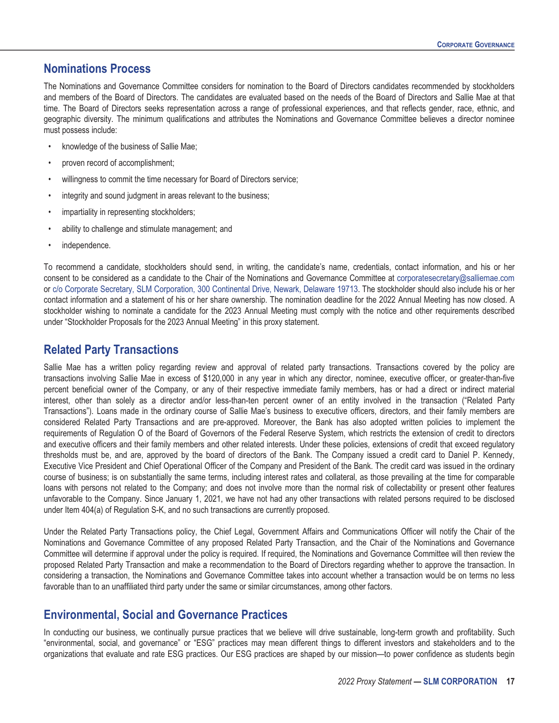#### <span id="page-22-0"></span>**Nominations Process**

The Nominations and Governance Committee considers for nomination to the Board of Directors candidates recommended by stockholders and members of the Board of Directors. The candidates are evaluated based on the needs of the Board of Directors and Sallie Mae at that time. The Board of Directors seeks representation across a range of professional experiences, and that reflects gender, race, ethnic, and geographic diversity. The minimum qualifications and attributes the Nominations and Governance Committee believes a director nominee must possess include:

- knowledge of the business of Sallie Mae;
- proven record of accomplishment;
- willingness to commit the time necessary for Board of Directors service;
- integrity and sound judgment in areas relevant to the business;
- impartiality in representing stockholders;
- ability to challenge and stimulate management; and
- independence.

To recommend a candidate, stockholders should send, in writing, the candidate's name, credentials, contact information, and his or her consent to be considered as a candidate to the Chair of the Nominations and Governance Committee at corporatesecretary@salliemae.com or c/o Corporate Secretary, SLM Corporation, 300 Continental Drive, Newark, Delaware 19713. The stockholder should also include his or her contact information and a statement of his or her share ownership. The nomination deadline for the 2022 Annual Meeting has now closed. A stockholder wishing to nominate a candidate for the 2023 Annual Meeting must comply with the notice and other requirements described under "Stockholder Proposals for the 2023 Annual Meeting" in this proxy statement.

### <span id="page-22-1"></span>**Related Party Transactions**

Sallie Mae has a written policy regarding review and approval of related party transactions. Transactions covered by the policy are transactions involving Sallie Mae in excess of \$120,000 in any year in which any director, nominee, executive officer, or greater-than-five percent beneficial owner of the Company, or any of their respective immediate family members, has or had a direct or indirect material interest, other than solely as a director and/or less-than-ten percent owner of an entity involved in the transaction ("Related Party Transactions"). Loans made in the ordinary course of Sallie Mae's business to executive officers, directors, and their family members are considered Related Party Transactions and are pre-approved. Moreover, the Bank has also adopted written policies to implement the requirements of Regulation O of the Board of Governors of the Federal Reserve System, which restricts the extension of credit to directors and executive officers and their family members and other related interests. Under these policies, extensions of credit that exceed regulatory thresholds must be, and are, approved by the board of directors of the Bank. The Company issued a credit card to Daniel P. Kennedy, Executive Vice President and Chief Operational Officer of the Company and President of the Bank. The credit card was issued in the ordinary course of business; is on substantially the same terms, including interest rates and collateral, as those prevailing at the time for comparable loans with persons not related to the Company; and does not involve more than the normal risk of collectability or present other features unfavorable to the Company. Since January 1, 2021, we have not had any other transactions with related persons required to be disclosed under Item 404(a) of Regulation S-K, and no such transactions are currently proposed.

Under the Related Party Transactions policy, the Chief Legal, Government Affairs and Communications Officer will notify the Chair of the Nominations and Governance Committee of any proposed Related Party Transaction, and the Chair of the Nominations and Governance Committee will determine if approval under the policy is required. If required, the Nominations and Governance Committee will then review the proposed Related Party Transaction and make a recommendation to the Board of Directors regarding whether to approve the transaction. In considering a transaction, the Nominations and Governance Committee takes into account whether a transaction would be on terms no less favorable than to an unaffiliated third party under the same or similar circumstances, among other factors.

### <span id="page-22-2"></span>**Environmental, Social and Governance Practices**

In conducting our business, we continually pursue practices that we believe will drive sustainable, long-term growth and profitability. Such "environmental, social, and governance" or "ESG" practices may mean different things to different investors and stakeholders and to the organizations that evaluate and rate ESG practices. Our ESG practices are shaped by our mission—to power confidence as students begin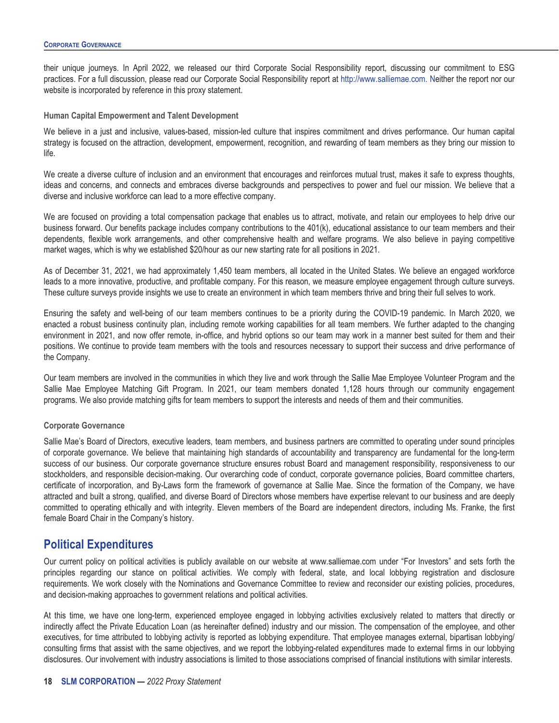their unique journeys. In April 2022, we released our third Corporate Social Responsibility report, discussing our commitment to ESG practices. For a full discussion, please read our Corporate Social Responsibility report at http://www.salliemae.com. Neither the report nor our website is incorporated by reference in this proxy statement.

#### **Human Capital Empowerment and Talent Development**

We believe in a just and inclusive, values-based, mission-led culture that inspires commitment and drives performance. Our human capital strategy is focused on the attraction, development, empowerment, recognition, and rewarding of team members as they bring our mission to life.

We create a diverse culture of inclusion and an environment that encourages and reinforces mutual trust, makes it safe to express thoughts, ideas and concerns, and connects and embraces diverse backgrounds and perspectives to power and fuel our mission. We believe that a diverse and inclusive workforce can lead to a more effective company.

We are focused on providing a total compensation package that enables us to attract, motivate, and retain our employees to help drive our business forward. Our benefits package includes company contributions to the 401(k), educational assistance to our team members and their dependents, flexible work arrangements, and other comprehensive health and welfare programs. We also believe in paying competitive market wages, which is why we established \$20/hour as our new starting rate for all positions in 2021.

As of December 31, 2021, we had approximately 1,450 team members, all located in the United States. We believe an engaged workforce leads to a more innovative, productive, and profitable company. For this reason, we measure employee engagement through culture surveys. These culture surveys provide insights we use to create an environment in which team members thrive and bring their full selves to work.

Ensuring the safety and well-being of our team members continues to be a priority during the COVID-19 pandemic. In March 2020, we enacted a robust business continuity plan, including remote working capabilities for all team members. We further adapted to the changing environment in 2021, and now offer remote, in-office, and hybrid options so our team may work in a manner best suited for them and their positions. We continue to provide team members with the tools and resources necessary to support their success and drive performance of the Company.

Our team members are involved in the communities in which they live and work through the Sallie Mae Employee Volunteer Program and the Sallie Mae Employee Matching Gift Program. In 2021, our team members donated 1,128 hours through our community engagement programs. We also provide matching gifts for team members to support the interests and needs of them and their communities.

#### **Corporate Governance**

Sallie Mae's Board of Directors, executive leaders, team members, and business partners are committed to operating under sound principles of corporate governance. We believe that maintaining high standards of accountability and transparency are fundamental for the long-term success of our business. Our corporate governance structure ensures robust Board and management responsibility, responsiveness to our stockholders, and responsible decision-making. Our overarching code of conduct, corporate governance policies, Board committee charters, certificate of incorporation, and By-Laws form the framework of governance at Sallie Mae. Since the formation of the Company, we have attracted and built a strong, qualified, and diverse Board of Directors whose members have expertise relevant to our business and are deeply committed to operating ethically and with integrity. Eleven members of the Board are independent directors, including Ms. Franke, the first female Board Chair in the Company's history.

#### <span id="page-23-0"></span>**Political Expenditures**

Our current policy on political activities is publicly available on our website at www.salliemae.com under "For Investors" and sets forth the principles regarding our stance on political activities. We comply with federal, state, and local lobbying registration and disclosure requirements. We work closely with the Nominations and Governance Committee to review and reconsider our existing policies, procedures, and decision-making approaches to government relations and political activities.

At this time, we have one long-term, experienced employee engaged in lobbying activities exclusively related to matters that directly or indirectly affect the Private Education Loan (as hereinafter defined) industry and our mission. The compensation of the employee, and other executives, for time attributed to lobbying activity is reported as lobbying expenditure. That employee manages external, bipartisan lobbying/ consulting firms that assist with the same objectives, and we report the lobbying-related expenditures made to external firms in our lobbying disclosures. Our involvement with industry associations is limited to those associations comprised of financial institutions with similar interests.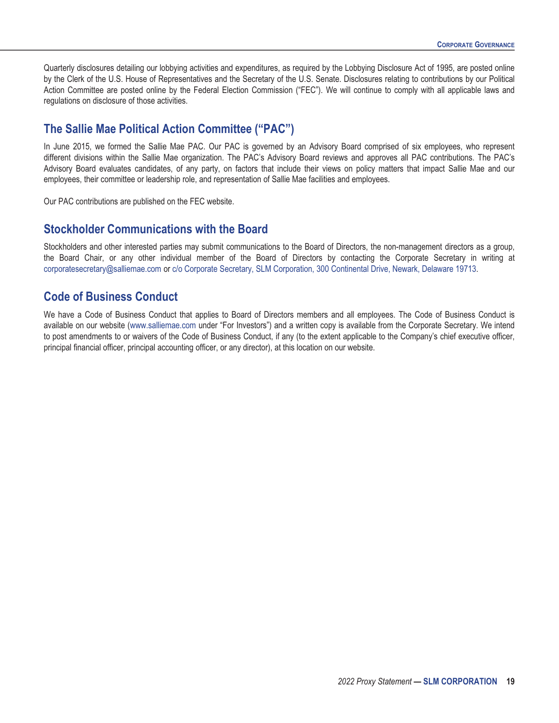Quarterly disclosures detailing our lobbying activities and expenditures, as required by the Lobbying Disclosure Act of 1995, are posted online by the Clerk of the U.S. House of Representatives and the Secretary of the U.S. Senate. Disclosures relating to contributions by our Political Action Committee are posted online by the Federal Election Commission ("FEC"). We will continue to comply with all applicable laws and regulations on disclosure of those activities.

#### <span id="page-24-0"></span>**The Sallie Mae Political Action Committee ("PAC")**

In June 2015, we formed the Sallie Mae PAC. Our PAC is governed by an Advisory Board comprised of six employees, who represent different divisions within the Sallie Mae organization. The PAC's Advisory Board reviews and approves all PAC contributions. The PAC's Advisory Board evaluates candidates, of any party, on factors that include their views on policy matters that impact Sallie Mae and our employees, their committee or leadership role, and representation of Sallie Mae facilities and employees.

Our PAC contributions are published on the FEC website.

#### <span id="page-24-1"></span>**Stockholder Communications with the Board**

Stockholders and other interested parties may submit communications to the Board of Directors, the non-management directors as a group, the Board Chair, or any other individual member of the Board of Directors by contacting the Corporate Secretary in writing at corporatesecretary@salliemae.com or c/o Corporate Secretary, SLM Corporation, 300 Continental Drive, Newark, Delaware 19713.

#### <span id="page-24-2"></span>**Code of Business Conduct**

We have a Code of Business Conduct that applies to Board of Directors members and all employees. The Code of Business Conduct is available on our website (www.salliemae.com under "For Investors") and a written copy is available from the Corporate Secretary. We intend to post amendments to or waivers of the Code of Business Conduct, if any (to the extent applicable to the Company's chief executive officer, principal financial officer, principal accounting officer, or any director), at this location on our website.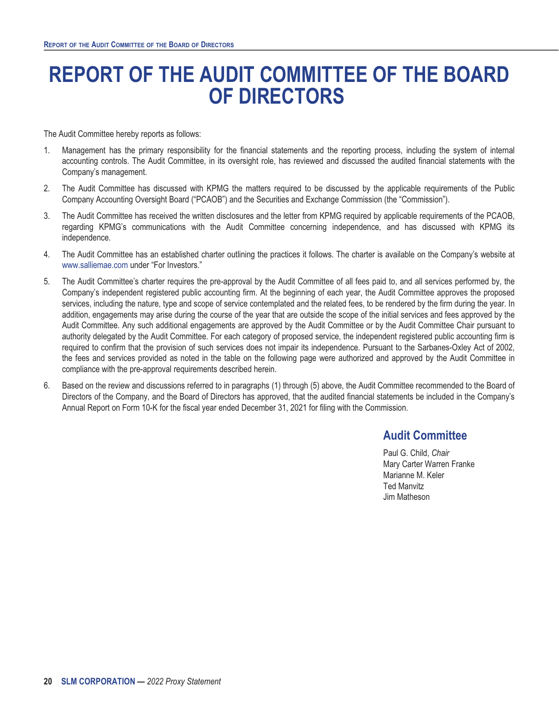# <span id="page-25-0"></span>**REPORT OF THE AUDIT COMMITTEE OF THE BOARD OF DIRECTORS**

The Audit Committee hereby reports as follows:

- 1. Management has the primary responsibility for the financial statements and the reporting process, including the system of internal accounting controls. The Audit Committee, in its oversight role, has reviewed and discussed the audited financial statements with the Company's management.
- 2. The Audit Committee has discussed with KPMG the matters required to be discussed by the applicable requirements of the Public Company Accounting Oversight Board ("PCAOB") and the Securities and Exchange Commission (the "Commission").
- 3. The Audit Committee has received the written disclosures and the letter from KPMG required by applicable requirements of the PCAOB, regarding KPMG's communications with the Audit Committee concerning independence, and has discussed with KPMG its independence.
- 4. The Audit Committee has an established charter outlining the practices it follows. The charter is available on the Company's website at www.salliemae.com under "For Investors."
- 5. The Audit Committee's charter requires the pre-approval by the Audit Committee of all fees paid to, and all services performed by, the Company's independent registered public accounting firm. At the beginning of each year, the Audit Committee approves the proposed services, including the nature, type and scope of service contemplated and the related fees, to be rendered by the firm during the year. In addition, engagements may arise during the course of the year that are outside the scope of the initial services and fees approved by the Audit Committee. Any such additional engagements are approved by the Audit Committee or by the Audit Committee Chair pursuant to authority delegated by the Audit Committee. For each category of proposed service, the independent registered public accounting firm is required to confirm that the provision of such services does not impair its independence. Pursuant to the Sarbanes-Oxley Act of 2002, the fees and services provided as noted in the table on the following page were authorized and approved by the Audit Committee in compliance with the pre-approval requirements described herein.
- 6. Based on the review and discussions referred to in paragraphs (1) through (5) above, the Audit Committee recommended to the Board of Directors of the Company, and the Board of Directors has approved, that the audited financial statements be included in the Company's Annual Report on Form 10-K for the fiscal year ended December 31, 2021 for filing with the Commission.

# **Audit Committee**

Paul G. Child, *Chair* Mary Carter Warren Franke Marianne M. Keler Ted Manvitz Jim Matheson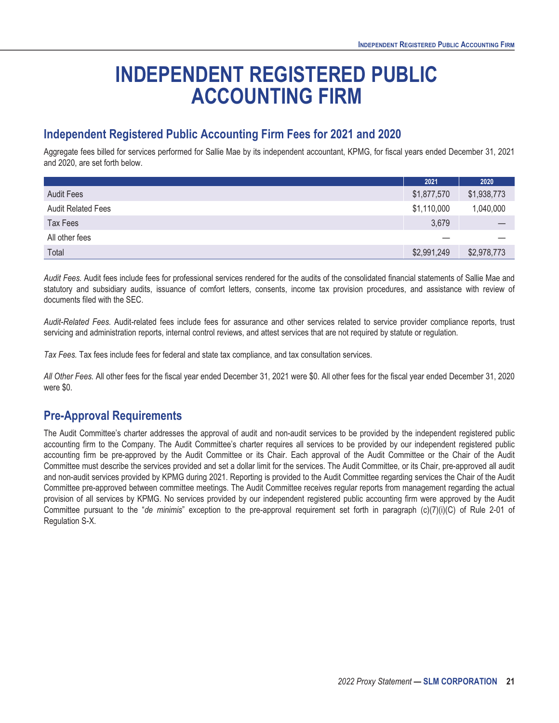# **INDEPENDENT REGISTERED PUBLIC ACCOUNTING FIRM**

# <span id="page-26-1"></span><span id="page-26-0"></span>**Independent Registered Public Accounting Firm Fees for 2021 and 2020**

Aggregate fees billed for services performed for Sallie Mae by its independent accountant, KPMG, for fiscal years ended December 31, 2021 and 2020, are set forth below.

|                           | 2021        | 2020        |
|---------------------------|-------------|-------------|
| <b>Audit Fees</b>         | \$1,877,570 | \$1,938,773 |
| <b>Audit Related Fees</b> | \$1,110,000 | 1,040,000   |
| <b>Tax Fees</b>           | 3,679       |             |
| All other fees            |             |             |
| Total                     | \$2,991,249 | \$2,978,773 |

*Audit Fees.* Audit fees include fees for professional services rendered for the audits of the consolidated financial statements of Sallie Mae and statutory and subsidiary audits, issuance of comfort letters, consents, income tax provision procedures, and assistance with review of documents filed with the SEC.

Audit-Related Fees. Audit-related fees include fees for assurance and other services related to service provider compliance reports, trust servicing and administration reports, internal control reviews, and attest services that are not required by statute or regulation.

*Tax Fees.* Tax fees include fees for federal and state tax compliance, and tax consultation services.

*All Other Fees.* All other fees for the fiscal year ended December 31, 2021 were \$0. All other fees for the fiscal year ended December 31, 2020 were \$0.

### <span id="page-26-2"></span>**Pre-Approval Requirements**

The Audit Committee's charter addresses the approval of audit and non-audit services to be provided by the independent registered public accounting firm to the Company. The Audit Committee's charter requires all services to be provided by our independent registered public accounting firm be pre-approved by the Audit Committee or its Chair. Each approval of the Audit Committee or the Chair of the Audit Committee must describe the services provided and set a dollar limit for the services. The Audit Committee, or its Chair, pre-approved all audit and non-audit services provided by KPMG during 2021. Reporting is provided to the Audit Committee regarding services the Chair of the Audit Committee pre-approved between committee meetings. The Audit Committee receives regular reports from management regarding the actual provision of all services by KPMG. No services provided by our independent registered public accounting firm were approved by the Audit Committee pursuant to the "*de minimis*" exception to the pre-approval requirement set forth in paragraph (c)(7)(i)(C) of Rule 2-01 of Regulation S-X.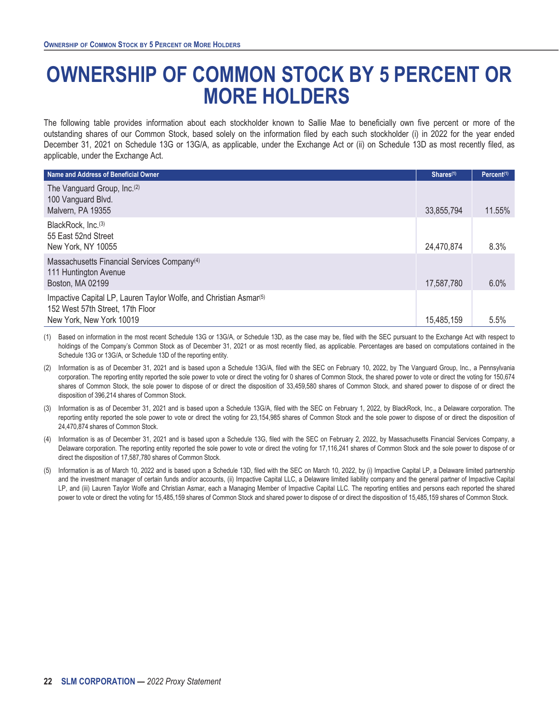# <span id="page-27-0"></span>**OWNERSHIP OF COMMON STOCK BY 5 PERCENT OR MORE HOLDERS**

The following table provides information about each stockholder known to Sallie Mae to beneficially own five percent or more of the outstanding shares of our Common Stock, based solely on the information filed by each such stockholder (i) in 2022 for the year ended December 31, 2021 on Schedule 13G or 13G/A, as applicable, under the Exchange Act or (ii) on Schedule 13D as most recently filed, as applicable, under the Exchange Act.

| Name and Address of Beneficial Owner                                                                                                          | Shares <sup>(1)</sup> | Percent <sup>(1)</sup> |
|-----------------------------------------------------------------------------------------------------------------------------------------------|-----------------------|------------------------|
| The Vanguard Group, Inc. <sup>(2)</sup><br>100 Vanguard Blvd.<br>Malvern, PA 19355                                                            | 33,855,794            | 11.55%                 |
| BlackRock, Inc. <sup>(3)</sup><br>55 East 52nd Street<br>New York, NY 10055                                                                   | 24,470,874            | 8.3%                   |
| Massachusetts Financial Services Company <sup>(4)</sup><br>111 Huntington Avenue<br>Boston, MA 02199                                          | 17,587,780            | 6.0%                   |
| Impactive Capital LP, Lauren Taylor Wolfe, and Christian Asmar <sup>(5)</sup><br>152 West 57th Street, 17th Floor<br>New York, New York 10019 | 15,485,159            | 5.5%                   |

(1) Based on information in the most recent Schedule 13G or 13G/A, or Schedule 13D, as the case may be, filed with the SEC pursuant to the Exchange Act with respect to holdings of the Company's Common Stock as of December 31, 2021 or as most recently filed, as applicable. Percentages are based on computations contained in the Schedule 13G or 13G/A, or Schedule 13D of the reporting entity.

- (2) Information is as of December 31, 2021 and is based upon a Schedule 13G/A, filed with the SEC on February 10, 2022, by The Vanguard Group, Inc., a Pennsylvania corporation. The reporting entity reported the sole power to vote or direct the voting for 0 shares of Common Stock, the shared power to vote or direct the voting for 150,674 shares of Common Stock, the sole power to dispose of or direct the disposition of 33,459,580 shares of Common Stock, and shared power to dispose of or direct the disposition of 396,214 shares of Common Stock.
- (3) Information is as of December 31, 2021 and is based upon a Schedule 13G/A, filed with the SEC on February 1, 2022, by BlackRock, Inc., a Delaware corporation. The reporting entity reported the sole power to vote or direct the voting for 23,154,985 shares of Common Stock and the sole power to dispose of or direct the disposition of 24,470,874 shares of Common Stock.
- Information is as of December 31, 2021 and is based upon a Schedule 13G, filed with the SEC on February 2, 2022, by Massachusetts Financial Services Company, a Delaware corporation. The reporting entity reported the sole power to vote or direct the voting for 17,116,241 shares of Common Stock and the sole power to dispose of or direct the disposition of 17,587,780 shares of Common Stock.
- (5) Information is as of March 10, 2022 and is based upon a Schedule 13D, filed with the SEC on March 10, 2022, by (i) Impactive Capital LP, a Delaware limited partnership and the investment manager of certain funds and/or accounts, (ii) Impactive Capital LLC, a Delaware limited liability company and the general partner of Impactive Capital LP, and (iii) Lauren Taylor Wolfe and Christian Asmar, each a Managing Member of Impactive Capital LLC. The reporting entities and persons each reported the shared power to vote or direct the voting for 15,485,159 shares of Common Stock and shared power to dispose of or direct the disposition of 15,485,159 shares of Common Stock.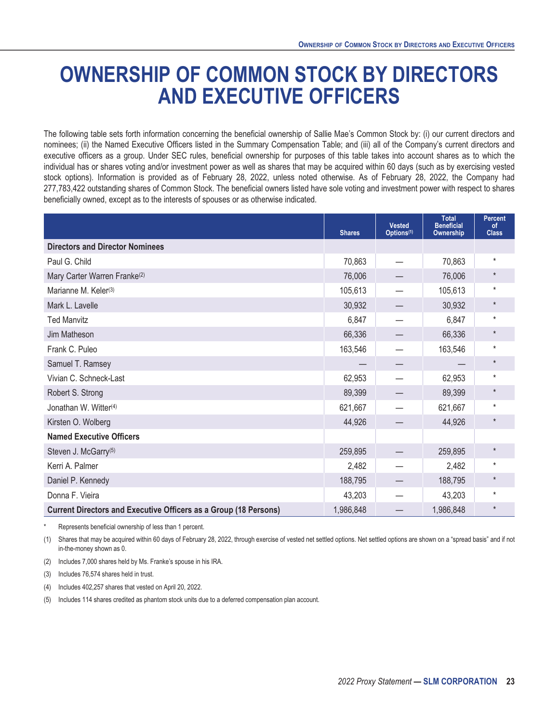# <span id="page-28-0"></span>**OWNERSHIP OF COMMON STOCK BY DIRECTORS AND EXECUTIVE OFFICERS**

The following table sets forth information concerning the beneficial ownership of Sallie Mae's Common Stock by: (i) our current directors and nominees; (ii) the Named Executive Officers listed in the Summary Compensation Table; and (iii) all of the Company's current directors and executive officers as a group. Under SEC rules, beneficial ownership for purposes of this table takes into account shares as to which the individual has or shares voting and/or investment power as well as shares that may be acquired within 60 days (such as by exercising vested stock options). Information is provided as of February 28, 2022, unless noted otherwise. As of February 28, 2022, the Company had 277,783,422 outstanding shares of Common Stock. The beneficial owners listed have sole voting and investment power with respect to shares beneficially owned, except as to the interests of spouses or as otherwise indicated.

|                                                                         | <b>Shares</b> | <b>Vested</b><br>Options <sup>(1)</sup> | <b>Total</b><br><b>Beneficial</b><br>Ownership | <b>Percent</b><br>of<br><b>Class</b> |
|-------------------------------------------------------------------------|---------------|-----------------------------------------|------------------------------------------------|--------------------------------------|
| <b>Directors and Director Nominees</b>                                  |               |                                         |                                                |                                      |
| Paul G. Child                                                           | 70,863        |                                         | 70,863                                         | $\star$                              |
| Mary Carter Warren Franke <sup>(2)</sup>                                | 76,006        |                                         | 76,006                                         | $^\star$                             |
| Marianne M. Keler <sup>(3)</sup>                                        | 105,613       |                                         | 105,613                                        | $\star$                              |
| Mark L. Lavelle                                                         | 30,932        |                                         | 30,932                                         | $\star$                              |
| <b>Ted Manvitz</b>                                                      | 6,847         |                                         | 6,847                                          | $^\star$                             |
| Jim Matheson                                                            | 66,336        |                                         | 66,336                                         | $\star$                              |
| Frank C. Puleo                                                          | 163,546       |                                         | 163,546                                        | $\star$                              |
| Samuel T. Ramsey                                                        |               |                                         |                                                | $\star$                              |
| Vivian C. Schneck-Last                                                  | 62,953        |                                         | 62,953                                         | $\star$                              |
| Robert S. Strong                                                        | 89,399        |                                         | 89,399                                         | $\star$                              |
| Jonathan W. Witter <sup>(4)</sup>                                       | 621,667       |                                         | 621,667                                        | $\star$                              |
| Kirsten O. Wolberg                                                      | 44,926        |                                         | 44,926                                         | $^\star$                             |
| <b>Named Executive Officers</b>                                         |               |                                         |                                                |                                      |
| Steven J. McGarry <sup>(5)</sup>                                        | 259,895       |                                         | 259,895                                        | $\star$                              |
| Kerri A. Palmer                                                         | 2,482         |                                         | 2,482                                          | $\star$                              |
| Daniel P. Kennedy                                                       | 188,795       |                                         | 188,795                                        | $\star$                              |
| Donna F. Vieira                                                         | 43,203        |                                         | 43,203                                         | $\star$                              |
| <b>Current Directors and Executive Officers as a Group (18 Persons)</b> | 1,986,848     |                                         | 1,986,848                                      | $\star$                              |

Represents beneficial ownership of less than 1 percent.

(1) Shares that may be acquired within 60 days of February 28, 2022, through exercise of vested net settled options. Net settled options are shown on a "spread basis" and if not in-the-money shown as 0.

(2) Includes 7,000 shares held by Ms. Franke's spouse in his IRA.

(3) Includes 76,574 shares held in trust.

(4) Includes 402,257 shares that vested on April 20, 2022.

(5) Includes 114 shares credited as phantom stock units due to a deferred compensation plan account.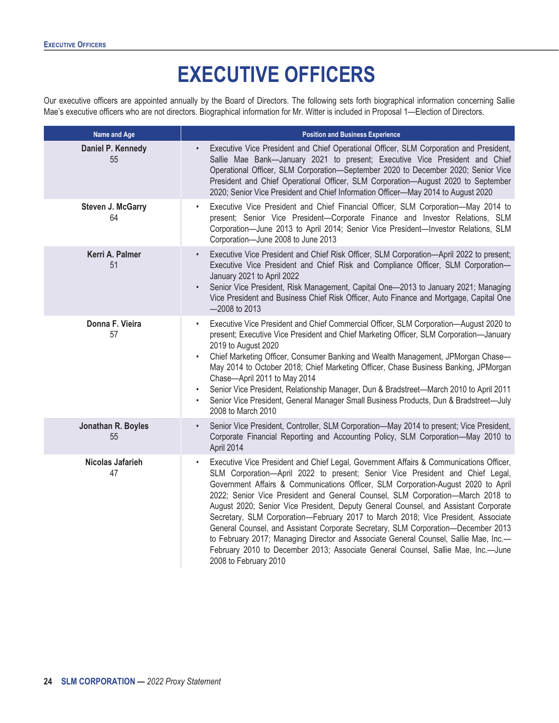# **EXECUTIVE OFFICERS**

<span id="page-29-0"></span>Our executive officers are appointed annually by the Board of Directors. The following sets forth biographical information concerning Sallie Mae's executive officers who are not directors. Biographical information for Mr. Witter is included in Proposal 1—Election of Directors.

| Name and Age                   | <b>Position and Business Experience</b>                                                                                                                                                                                                                                                                                                                                                                                                                                                                                                                                                                                                                                                                                                                                                                               |
|--------------------------------|-----------------------------------------------------------------------------------------------------------------------------------------------------------------------------------------------------------------------------------------------------------------------------------------------------------------------------------------------------------------------------------------------------------------------------------------------------------------------------------------------------------------------------------------------------------------------------------------------------------------------------------------------------------------------------------------------------------------------------------------------------------------------------------------------------------------------|
| Daniel P. Kennedy<br>55        | Executive Vice President and Chief Operational Officer, SLM Corporation and President,<br>$\bullet$<br>Sallie Mae Bank-January 2021 to present; Executive Vice President and Chief<br>Operational Officer, SLM Corporation-September 2020 to December 2020; Senior Vice<br>President and Chief Operational Officer, SLM Corporation-August 2020 to September<br>2020; Senior Vice President and Chief Information Officer-May 2014 to August 2020                                                                                                                                                                                                                                                                                                                                                                     |
| <b>Steven J. McGarry</b><br>64 | Executive Vice President and Chief Financial Officer, SLM Corporation-May 2014 to<br>$\bullet$<br>present; Senior Vice President-Corporate Finance and Investor Relations, SLM<br>Corporation-June 2013 to April 2014; Senior Vice President-Investor Relations, SLM<br>Corporation-June 2008 to June 2013                                                                                                                                                                                                                                                                                                                                                                                                                                                                                                            |
| Kerri A. Palmer<br>51          | Executive Vice President and Chief Risk Officer, SLM Corporation-April 2022 to present;<br>$\bullet$<br>Executive Vice President and Chief Risk and Compliance Officer, SLM Corporation-<br>January 2021 to April 2022<br>Senior Vice President, Risk Management, Capital One-2013 to January 2021; Managing<br>$\bullet$<br>Vice President and Business Chief Risk Officer, Auto Finance and Mortgage, Capital One<br>-2008 to 2013                                                                                                                                                                                                                                                                                                                                                                                  |
| Donna F. Vieira<br>57          | Executive Vice President and Chief Commercial Officer, SLM Corporation-August 2020 to<br>$\bullet$<br>present; Executive Vice President and Chief Marketing Officer, SLM Corporation-January<br>2019 to August 2020<br>Chief Marketing Officer, Consumer Banking and Wealth Management, JPMorgan Chase-<br>$\bullet$<br>May 2014 to October 2018; Chief Marketing Officer, Chase Business Banking, JPMorgan<br>Chase-April 2011 to May 2014<br>Senior Vice President, Relationship Manager, Dun & Bradstreet-March 2010 to April 2011<br>$\bullet$<br>Senior Vice President, General Manager Small Business Products, Dun & Bradstreet-July<br>$\bullet$<br>2008 to March 2010                                                                                                                                        |
| Jonathan R. Boyles<br>55       | Senior Vice President, Controller, SLM Corporation-May 2014 to present; Vice President,<br>$\bullet$<br>Corporate Financial Reporting and Accounting Policy, SLM Corporation-May 2010 to<br>April 2014                                                                                                                                                                                                                                                                                                                                                                                                                                                                                                                                                                                                                |
| Nicolas Jafarieh<br>47         | Executive Vice President and Chief Legal, Government Affairs & Communications Officer,<br>SLM Corporation-April 2022 to present; Senior Vice President and Chief Legal,<br>Government Affairs & Communications Officer, SLM Corporation-August 2020 to April<br>2022; Senior Vice President and General Counsel, SLM Corporation-March 2018 to<br>August 2020; Senior Vice President, Deputy General Counsel, and Assistant Corporate<br>Secretary, SLM Corporation-February 2017 to March 2018; Vice President, Associate<br>General Counsel, and Assistant Corporate Secretary, SLM Corporation-December 2013<br>to February 2017; Managing Director and Associate General Counsel, Sallie Mae, Inc.-<br>February 2010 to December 2013; Associate General Counsel, Sallie Mae, Inc.--June<br>2008 to February 2010 |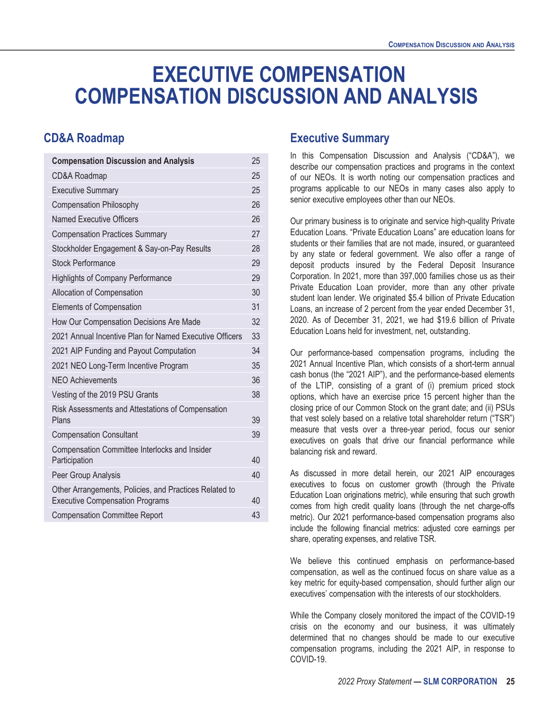# <span id="page-30-0"></span>**EXECUTIVE COMPENSATION COMPENSATION DISCUSSION AND ANALYSIS**

### <span id="page-30-2"></span><span id="page-30-1"></span>**CD&A Roadmap**

| <b>Compensation Discussion and Analysis</b>                                                      | 25 |
|--------------------------------------------------------------------------------------------------|----|
| CD&A Roadmap                                                                                     | 25 |
| <b>Executive Summary</b>                                                                         | 25 |
| <b>Compensation Philosophy</b>                                                                   | 26 |
| Named Executive Officers                                                                         | 26 |
| <b>Compensation Practices Summary</b>                                                            | 27 |
| Stockholder Engagement & Say-on-Pay Results                                                      | 28 |
| Stock Performance                                                                                | 29 |
| <b>Highlights of Company Performance</b>                                                         | 29 |
| Allocation of Compensation                                                                       | 30 |
| <b>Elements of Compensation</b>                                                                  | 31 |
| How Our Compensation Decisions Are Made                                                          | 32 |
| 2021 Annual Incentive Plan for Named Executive Officers                                          | 33 |
| 2021 AIP Funding and Payout Computation                                                          | 34 |
| 2021 NEO Long-Term Incentive Program                                                             | 35 |
| <b>NEO Achievements</b>                                                                          | 36 |
| Vesting of the 2019 PSU Grants                                                                   | 38 |
| Risk Assessments and Attestations of Compensation<br>Plans                                       | 39 |
| <b>Compensation Consultant</b>                                                                   | 39 |
| Compensation Committee Interlocks and Insider<br>Participation                                   | 40 |
| Peer Group Analysis                                                                              | 40 |
| Other Arrangements, Policies, and Practices Related to<br><b>Executive Compensation Programs</b> | 40 |
| <b>Compensation Committee Report</b>                                                             | 43 |

#### **Executive Summary**

In this Compensation Discussion and Analysis ("CD&A"), we describe our compensation practices and programs in the context of our NEOs. It is worth noting our compensation practices and programs applicable to our NEOs in many cases also apply to senior executive employees other than our NEOs.

Our primary business is to originate and service high-quality Private Education Loans. "Private Education Loans" are education loans for students or their families that are not made, insured, or guaranteed by any state or federal government. We also offer a range of deposit products insured by the Federal Deposit Insurance Corporation. In 2021, more than 397,000 families chose us as their Private Education Loan provider, more than any other private student loan lender. We originated \$5.4 billion of Private Education Loans, an increase of 2 percent from the year ended December 31, 2020. As of December 31, 2021, we had \$19.6 billion of Private Education Loans held for investment, net, outstanding.

Our performance-based compensation programs, including the 2021 Annual Incentive Plan, which consists of a short-term annual cash bonus (the "2021 AIP"), and the performance-based elements of the LTIP, consisting of a grant of (i) premium priced stock options, which have an exercise price 15 percent higher than the closing price of our Common Stock on the grant date; and (ii) PSUs that vest solely based on a relative total shareholder return ("TSR") measure that vests over a three-year period, focus our senior executives on goals that drive our financial performance while balancing risk and reward.

As discussed in more detail herein, our 2021 AIP encourages executives to focus on customer growth (through the Private Education Loan originations metric), while ensuring that such growth comes from high credit quality loans (through the net charge-offs metric). Our 2021 performance-based compensation programs also include the following financial metrics: adjusted core earnings per share, operating expenses, and relative TSR.

We believe this continued emphasis on performance-based compensation, as well as the continued focus on share value as a key metric for equity-based compensation, should further align our executives' compensation with the interests of our stockholders.

While the Company closely monitored the impact of the COVID-19 crisis on the economy and our business, it was ultimately determined that no changes should be made to our executive compensation programs, including the 2021 AIP, in response to COVID-19.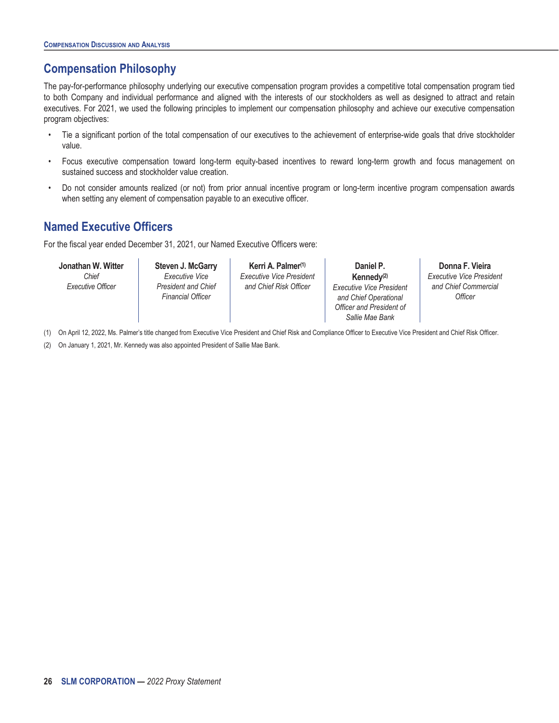# <span id="page-31-0"></span>**Compensation Philosophy**

The pay-for-performance philosophy underlying our executive compensation program provides a competitive total compensation program tied to both Company and individual performance and aligned with the interests of our stockholders as well as designed to attract and retain executives. For 2021, we used the following principles to implement our compensation philosophy and achieve our executive compensation program objectives:

- Tie a significant portion of the total compensation of our executives to the achievement of enterprise-wide goals that drive stockholder value.
- Focus executive compensation toward long-term equity-based incentives to reward long-term growth and focus management on sustained success and stockholder value creation.
- Do not consider amounts realized (or not) from prior annual incentive program or long-term incentive program compensation awards when setting any element of compensation payable to an executive officer.

# <span id="page-31-1"></span>**Named Executive Officers**

For the fiscal year ended December 31, 2021, our Named Executive Officers were:

**Jonathan W. Witter** *Chief Executive Officer*

**Steven J. McGarry** *Executive Vice President and Chief Financial Officer*

**Kerri A. Palmer(1)** *Executive Vice President and Chief Risk Officer*

**Daniel P. Kennedy(2)** *Executive Vice President and Chief Operational Officer and President of Sallie Mae Bank*

**Donna F. Vieira** *Executive Vice President and Chief Commercial Officer*

(1) On April 12, 2022, Ms. Palmer's title changed from Executive Vice President and Chief Risk and Compliance Officer to Executive Vice President and Chief Risk Officer.

(2) On January 1, 2021, Mr. Kennedy was also appointed President of Sallie Mae Bank.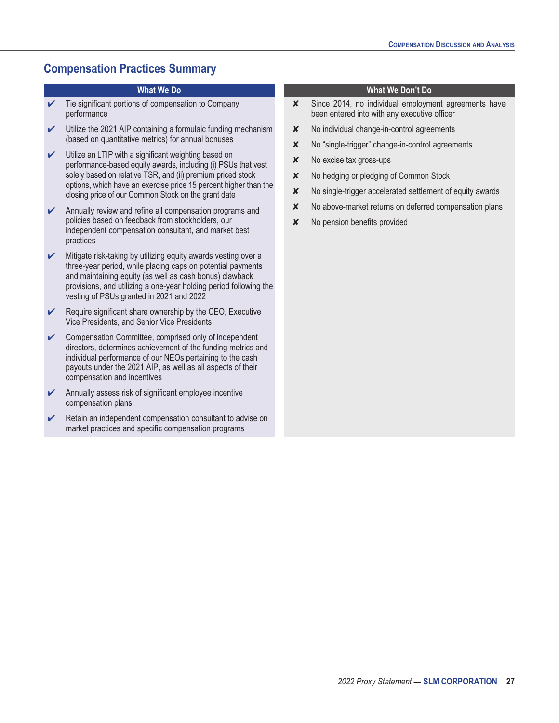# <span id="page-32-0"></span>**Compensation Practices Summary**

- $\checkmark$  Tie significant portions of compensation to Company performance
- $\vee$  Utilize the 2021 AIP containing a formulaic funding mechanism (based on quantitative metrics) for annual bonuses
- Utilize an LTIP with a significant weighting based on performance-based equity awards, including (i) PSUs that vest solely based on relative TSR, and (ii) premium priced stock options, which have an exercise price 15 percent higher than the closing price of our Common Stock on the grant date
- $\mathcal V$  Annually review and refine all compensation programs and policies based on feedback from stockholders, our independent compensation consultant, and market best practices
- $\boldsymbol{\checkmark}$  Mitigate risk-taking by utilizing equity awards vesting over a three-year period, while placing caps on potential payments and maintaining equity (as well as cash bonus) clawback provisions, and utilizing a one-year holding period following the vesting of PSUs granted in 2021 and 2022
- $\triangleright$  Require significant share ownership by the CEO, Executive Vice Presidents, and Senior Vice Presidents
- Compensation Committee, comprised only of independent directors, determines achievement of the funding metrics and individual performance of our NEOs pertaining to the cash payouts under the 2021 AIP, as well as all aspects of their compensation and incentives
- $\triangleright$  Annually assess risk of significant employee incentive compensation plans
- $\triangleright$  Retain an independent compensation consultant to advise on market practices and specific compensation programs

#### **What We Do What We Don't Do**

- ✘ Since 2014, no individual employment agreements have been entered into with any executive officer
- ✘ No individual change-in-control agreements
- ✘ No "single-trigger" change-in-control agreements
- ✘ No excise tax gross-ups
- ✘ No hedging or pledging of Common Stock
- ✘ No single-trigger accelerated settlement of equity awards
- $\times$  No above-market returns on deferred compensation plans
- ✘ No pension benefits provided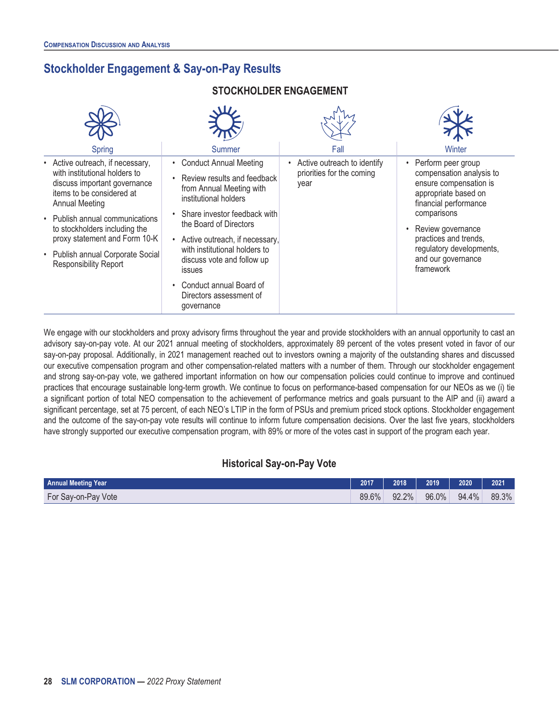# <span id="page-33-0"></span>**Stockholder Engagement & Say-on-Pay Results**

#### **STOCKHOLDER ENGAGEMENT**

| Spring                                                                                                                                                                 | Summer                                                                                                                                                                                                                                                    | Fall                                                             | Winter                                                                                                                      |
|------------------------------------------------------------------------------------------------------------------------------------------------------------------------|-----------------------------------------------------------------------------------------------------------------------------------------------------------------------------------------------------------------------------------------------------------|------------------------------------------------------------------|-----------------------------------------------------------------------------------------------------------------------------|
| • Active outreach, if necessary,<br>with institutional holders to<br>discuss important governance<br>items to be considered at<br><b>Annual Meeting</b>                | • Conduct Annual Meeting<br>Review results and feedback<br>from Annual Meeting with<br>institutional holders                                                                                                                                              | Active outreach to identify<br>priorities for the coming<br>year | • Perform peer group<br>compensation analysis to<br>ensure compensation is<br>appropriate based on<br>financial performance |
| • Publish annual communications<br>to stockholders including the<br>proxy statement and Form 10-K<br>• Publish annual Corporate Social<br><b>Responsibility Report</b> | Share investor feedback with<br>the Board of Directors<br>Active outreach, if necessary,<br>$\bullet$<br>with institutional holders to<br>discuss vote and follow up<br><b>issues</b><br>Conduct annual Board of<br>Directors assessment of<br>governance |                                                                  | comparisons<br>Review governance<br>practices and trends,<br>regulatory developments,<br>and our governance<br>framework    |

We engage with our stockholders and proxy advisory firms throughout the year and provide stockholders with an annual opportunity to cast an advisory say-on-pay vote. At our 2021 annual meeting of stockholders, approximately 89 percent of the votes present voted in favor of our say-on-pay proposal. Additionally, in 2021 management reached out to investors owning a majority of the outstanding shares and discussed our executive compensation program and other compensation-related matters with a number of them. Through our stockholder engagement and strong say-on-pay vote, we gathered important information on how our compensation policies could continue to improve and continued practices that encourage sustainable long-term growth. We continue to focus on performance-based compensation for our NEOs as we (i) tie a significant portion of total NEO compensation to the achievement of performance metrics and goals pursuant to the AIP and (ii) award a significant percentage, set at 75 percent, of each NEO's LTIP in the form of PSUs and premium priced stock options. Stockholder engagement and the outcome of the say-on-pay vote results will continue to inform future compensation decisions. Over the last five years, stockholders have strongly supported our executive compensation program, with 89% or more of the votes cast in support of the program each year.

#### **Historical Say-on-Pay Vote**

| <b>Annual Meeting Year</b> | 2017  | 2018  | 2019  | 2020  | 2021  |
|----------------------------|-------|-------|-------|-------|-------|
| For Say-on-Pay Vote        | 89.6% | 92.2% | 96.0% | 94.4% | 89.3% |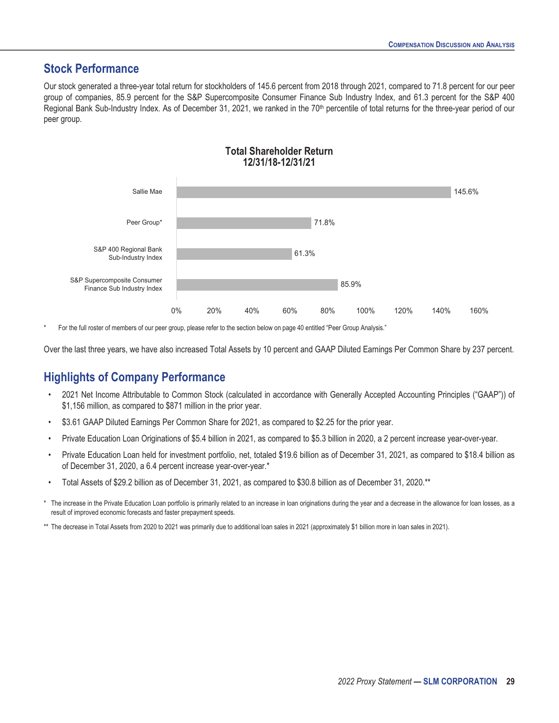### <span id="page-34-0"></span>**Stock Performance**

Our stock generated a three-year total return for stockholders of 145.6 percent from 2018 through 2021, compared to 71.8 percent for our peer group of companies, 85.9 percent for the S&P Supercomposite Consumer Finance Sub Industry Index, and 61.3 percent for the S&P 400 Regional Bank Sub-Industry Index. As of December 31, 2021, we ranked in the 70<sup>th</sup> percentile of total returns for the three-year period of our peer group.



**Total Shareholder Return 12/31/18-12/31/21**

For the full roster of members of our peer group, please refer to the section below on page 40 entitled "Peer Group Analysis."

Over the last three years, we have also increased Total Assets by 10 percent and GAAP Diluted Earnings Per Common Share by 237 percent.

### <span id="page-34-1"></span>**Highlights of Company Performance**

- 2021 Net Income Attributable to Common Stock (calculated in accordance with Generally Accepted Accounting Principles ("GAAP")) of \$1,156 million, as compared to \$871 million in the prior year.
- \$3.61 GAAP Diluted Earnings Per Common Share for 2021, as compared to \$2.25 for the prior year.
- Private Education Loan Originations of \$5.4 billion in 2021, as compared to \$5.3 billion in 2020, a 2 percent increase year-over-year.
- Private Education Loan held for investment portfolio, net, totaled \$19.6 billion as of December 31, 2021, as compared to \$18.4 billion as of December 31, 2020, a 6.4 percent increase year-over-year.\*
- Total Assets of \$29.2 billion as of December 31, 2021, as compared to \$30.8 billion as of December 31, 2020.\*\*
- \* The increase in the Private Education Loan portfolio is primarily related to an increase in loan originations during the year and a decrease in the allowance for loan losses, as a result of improved economic forecasts and faster prepayment speeds.
- \*\* The decrease in Total Assets from 2020 to 2021 was primarily due to additional loan sales in 2021 (approximately \$1 billion more in loan sales in 2021).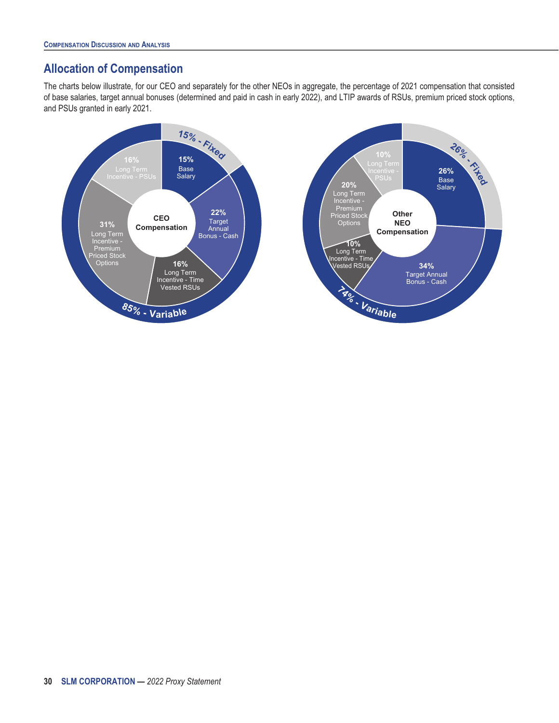# <span id="page-35-0"></span>**Allocation of Compensation**

The charts below illustrate, for our CEO and separately for the other NEOs in aggregate, the percentage of 2021 compensation that consisted of base salaries, target annual bonuses (determined and paid in cash in early 2022), and LTIP awards of RSUs, premium priced stock options, and PSUs granted in early 2021.

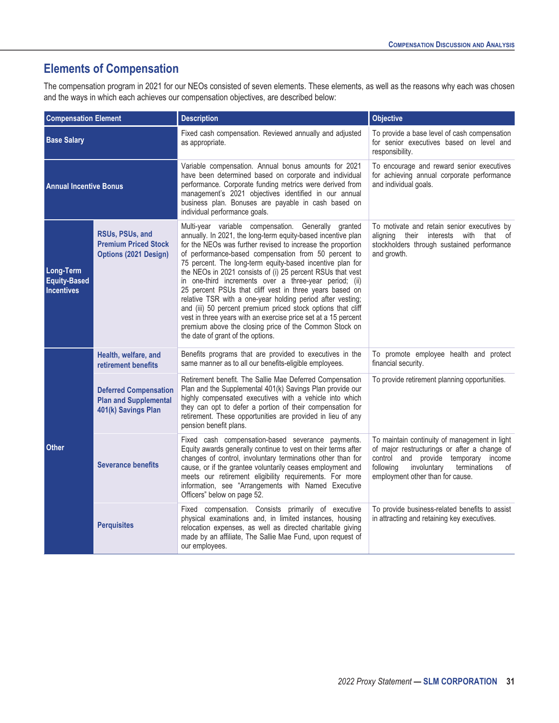# <span id="page-36-0"></span>**Elements of Compensation**

The compensation program in 2021 for our NEOs consisted of seven elements. These elements, as well as the reasons why each was chosen and the ways in which each achieves our compensation objectives, are described below:

| <b>Compensation Element</b>                           |                                                                                     | <b>Description</b>                                                                                                                                                                                                                                                                                                                                                                                                                                                                                                                                                                                                                                                                                                                                                                        | <b>Objective</b>                                                                                                                                                                                                            |  |  |
|-------------------------------------------------------|-------------------------------------------------------------------------------------|-------------------------------------------------------------------------------------------------------------------------------------------------------------------------------------------------------------------------------------------------------------------------------------------------------------------------------------------------------------------------------------------------------------------------------------------------------------------------------------------------------------------------------------------------------------------------------------------------------------------------------------------------------------------------------------------------------------------------------------------------------------------------------------------|-----------------------------------------------------------------------------------------------------------------------------------------------------------------------------------------------------------------------------|--|--|
| <b>Base Salary</b>                                    |                                                                                     | Fixed cash compensation. Reviewed annually and adjusted<br>as appropriate.                                                                                                                                                                                                                                                                                                                                                                                                                                                                                                                                                                                                                                                                                                                | To provide a base level of cash compensation<br>for senior executives based on level and<br>responsibility.                                                                                                                 |  |  |
| <b>Annual Incentive Bonus</b>                         |                                                                                     | Variable compensation. Annual bonus amounts for 2021<br>have been determined based on corporate and individual<br>performance. Corporate funding metrics were derived from<br>management's 2021 objectives identified in our annual<br>business plan. Bonuses are payable in cash based on<br>individual performance goals.                                                                                                                                                                                                                                                                                                                                                                                                                                                               | To encourage and reward senior executives<br>for achieving annual corporate performance<br>and individual goals.                                                                                                            |  |  |
| Long-Term<br><b>Equity-Based</b><br><b>Incentives</b> | RSUs, PSUs, and<br><b>Premium Priced Stock</b><br><b>Options (2021 Design)</b>      | Multi-year variable compensation. Generally granted<br>annually. In 2021, the long-term equity-based incentive plan<br>for the NEOs was further revised to increase the proportion<br>of performance-based compensation from 50 percent to<br>75 percent. The long-term equity-based incentive plan for<br>the NEOs in 2021 consists of (i) 25 percent RSUs that vest<br>in one-third increments over a three-year period; (ii)<br>25 percent PSUs that cliff vest in three years based on<br>relative TSR with a one-year holding period after vesting;<br>and (iii) 50 percent premium priced stock options that cliff<br>vest in three years with an exercise price set at a 15 percent<br>premium above the closing price of the Common Stock on<br>the date of grant of the options. | To motivate and retain senior executives by<br>aligning their<br>interests with that of<br>stockholders through sustained performance<br>and growth.                                                                        |  |  |
|                                                       | Health, welfare, and<br>retirement benefits                                         | Benefits programs that are provided to executives in the<br>same manner as to all our benefits-eligible employees.                                                                                                                                                                                                                                                                                                                                                                                                                                                                                                                                                                                                                                                                        | To promote employee health and protect<br>financial security.                                                                                                                                                               |  |  |
| <b>Other</b>                                          | <b>Deferred Compensation</b><br><b>Plan and Supplemental</b><br>401(k) Savings Plan | Retirement benefit. The Sallie Mae Deferred Compensation<br>Plan and the Supplemental 401(k) Savings Plan provide our<br>highly compensated executives with a vehicle into which<br>they can opt to defer a portion of their compensation for<br>retirement. These opportunities are provided in lieu of any<br>pension benefit plans.                                                                                                                                                                                                                                                                                                                                                                                                                                                    | To provide retirement planning opportunities.                                                                                                                                                                               |  |  |
|                                                       | <b>Severance benefits</b>                                                           | Fixed cash compensation-based severance payments.<br>Equity awards generally continue to vest on their terms after<br>changes of control, involuntary terminations other than for<br>cause, or if the grantee voluntarily ceases employment and<br>meets our retirement eligibility requirements. For more<br>information, see "Arrangements with Named Executive<br>Officers" below on page 52.                                                                                                                                                                                                                                                                                                                                                                                          | To maintain continuity of management in light<br>of major restructurings or after a change of<br>control and provide temporary income<br>following<br>terminations<br>involuntary<br>of<br>employment other than for cause. |  |  |
|                                                       | <b>Perquisites</b>                                                                  | Fixed compensation. Consists primarily of executive<br>physical examinations and, in limited instances, housing<br>relocation expenses, as well as directed charitable giving<br>made by an affiliate, The Sallie Mae Fund, upon request of<br>our employees.                                                                                                                                                                                                                                                                                                                                                                                                                                                                                                                             | To provide business-related benefits to assist<br>in attracting and retaining key executives.                                                                                                                               |  |  |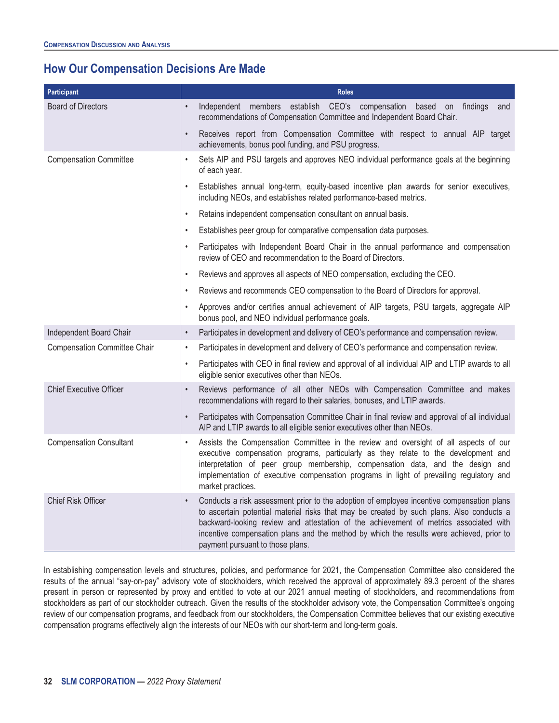# <span id="page-37-0"></span>**How Our Compensation Decisions Are Made**

| Participant                         | <b>Roles</b>                                                                                                                                                                                                                                                                                                                                                                                                   |  |  |  |  |  |
|-------------------------------------|----------------------------------------------------------------------------------------------------------------------------------------------------------------------------------------------------------------------------------------------------------------------------------------------------------------------------------------------------------------------------------------------------------------|--|--|--|--|--|
| <b>Board of Directors</b>           | Independent members establish CEO's compensation based on findings<br>$\bullet$<br>and<br>recommendations of Compensation Committee and Independent Board Chair.                                                                                                                                                                                                                                               |  |  |  |  |  |
|                                     | Receives report from Compensation Committee with respect to annual AIP target<br>$\bullet$<br>achievements, bonus pool funding, and PSU progress.                                                                                                                                                                                                                                                              |  |  |  |  |  |
| <b>Compensation Committee</b>       | Sets AIP and PSU targets and approves NEO individual performance goals at the beginning<br>$\bullet$<br>of each year.                                                                                                                                                                                                                                                                                          |  |  |  |  |  |
|                                     | Establishes annual long-term, equity-based incentive plan awards for senior executives,<br>including NEOs, and establishes related performance-based metrics.                                                                                                                                                                                                                                                  |  |  |  |  |  |
|                                     | Retains independent compensation consultant on annual basis.<br>$\bullet$                                                                                                                                                                                                                                                                                                                                      |  |  |  |  |  |
|                                     | Establishes peer group for comparative compensation data purposes.<br>$\bullet$                                                                                                                                                                                                                                                                                                                                |  |  |  |  |  |
|                                     | Participates with Independent Board Chair in the annual performance and compensation<br>$\bullet$<br>review of CEO and recommendation to the Board of Directors.                                                                                                                                                                                                                                               |  |  |  |  |  |
|                                     | Reviews and approves all aspects of NEO compensation, excluding the CEO.<br>$\bullet$                                                                                                                                                                                                                                                                                                                          |  |  |  |  |  |
|                                     | Reviews and recommends CEO compensation to the Board of Directors for approval.                                                                                                                                                                                                                                                                                                                                |  |  |  |  |  |
|                                     | Approves and/or certifies annual achievement of AIP targets, PSU targets, aggregate AIP<br>bonus pool, and NEO individual performance goals.                                                                                                                                                                                                                                                                   |  |  |  |  |  |
| Independent Board Chair             | Participates in development and delivery of CEO's performance and compensation review.<br>$\bullet$                                                                                                                                                                                                                                                                                                            |  |  |  |  |  |
| <b>Compensation Committee Chair</b> | Participates in development and delivery of CEO's performance and compensation review.                                                                                                                                                                                                                                                                                                                         |  |  |  |  |  |
|                                     | Participates with CEO in final review and approval of all individual AIP and LTIP awards to all<br>$\bullet$<br>eligible senior executives other than NEOs.                                                                                                                                                                                                                                                    |  |  |  |  |  |
| <b>Chief Executive Officer</b>      | Reviews performance of all other NEOs with Compensation Committee and makes<br>$\bullet$<br>recommendations with regard to their salaries, bonuses, and LTIP awards.                                                                                                                                                                                                                                           |  |  |  |  |  |
|                                     | Participates with Compensation Committee Chair in final review and approval of all individual<br>$\bullet$<br>AIP and LTIP awards to all eligible senior executives other than NEOs.                                                                                                                                                                                                                           |  |  |  |  |  |
| <b>Compensation Consultant</b>      | Assists the Compensation Committee in the review and oversight of all aspects of our<br>executive compensation programs, particularly as they relate to the development and<br>interpretation of peer group membership, compensation data, and the design and<br>implementation of executive compensation programs in light of prevailing regulatory and<br>market practices.                                  |  |  |  |  |  |
| <b>Chief Risk Officer</b>           | Conducts a risk assessment prior to the adoption of employee incentive compensation plans<br>to ascertain potential material risks that may be created by such plans. Also conducts a<br>backward-looking review and attestation of the achievement of metrics associated with<br>incentive compensation plans and the method by which the results were achieved, prior to<br>payment pursuant to those plans. |  |  |  |  |  |

In establishing compensation levels and structures, policies, and performance for 2021, the Compensation Committee also considered the results of the annual "say-on-pay" advisory vote of stockholders, which received the approval of approximately 89.3 percent of the shares present in person or represented by proxy and entitled to vote at our 2021 annual meeting of stockholders, and recommendations from stockholders as part of our stockholder outreach. Given the results of the stockholder advisory vote, the Compensation Committee's ongoing review of our compensation programs, and feedback from our stockholders, the Compensation Committee believes that our existing executive compensation programs effectively align the interests of our NEOs with our short-term and long-term goals.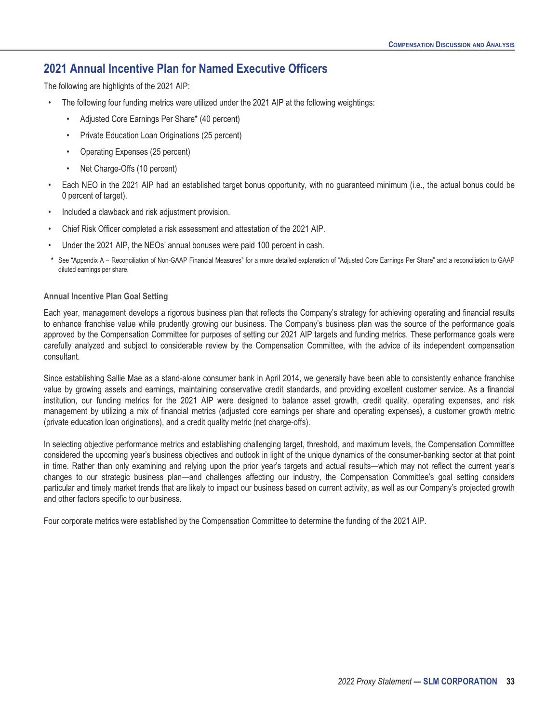### <span id="page-38-0"></span>**2021 Annual Incentive Plan for Named Executive Officers**

The following are highlights of the 2021 AIP:

- The following four funding metrics were utilized under the 2021 AIP at the following weightings:
	- Adjusted Core Earnings Per Share\* (40 percent)
	- Private Education Loan Originations (25 percent)
	- Operating Expenses (25 percent)
	- Net Charge-Offs (10 percent)
- Each NEO in the 2021 AIP had an established target bonus opportunity, with no guaranteed minimum (i.e., the actual bonus could be 0 percent of target).
- Included a clawback and risk adjustment provision.
- Chief Risk Officer completed a risk assessment and attestation of the 2021 AIP.
- Under the 2021 AIP, the NEOs' annual bonuses were paid 100 percent in cash.
- See "Appendix A Reconciliation of Non-GAAP Financial Measures" for a more detailed explanation of "Adjusted Core Earnings Per Share" and a reconciliation to GAAP diluted earnings per share.

#### **Annual Incentive Plan Goal Setting**

Each year, management develops a rigorous business plan that reflects the Company's strategy for achieving operating and financial results to enhance franchise value while prudently growing our business. The Company's business plan was the source of the performance goals approved by the Compensation Committee for purposes of setting our 2021 AIP targets and funding metrics. These performance goals were carefully analyzed and subject to considerable review by the Compensation Committee, with the advice of its independent compensation consultant.

Since establishing Sallie Mae as a stand-alone consumer bank in April 2014, we generally have been able to consistently enhance franchise value by growing assets and earnings, maintaining conservative credit standards, and providing excellent customer service. As a financial institution, our funding metrics for the 2021 AIP were designed to balance asset growth, credit quality, operating expenses, and risk management by utilizing a mix of financial metrics (adjusted core earnings per share and operating expenses), a customer growth metric (private education loan originations), and a credit quality metric (net charge-offs).

In selecting objective performance metrics and establishing challenging target, threshold, and maximum levels, the Compensation Committee considered the upcoming year's business objectives and outlook in light of the unique dynamics of the consumer-banking sector at that point in time. Rather than only examining and relying upon the prior year's targets and actual results—which may not reflect the current year's changes to our strategic business plan—and challenges affecting our industry, the Compensation Committee's goal setting considers particular and timely market trends that are likely to impact our business based on current activity, as well as our Company's projected growth and other factors specific to our business.

Four corporate metrics were established by the Compensation Committee to determine the funding of the 2021 AIP.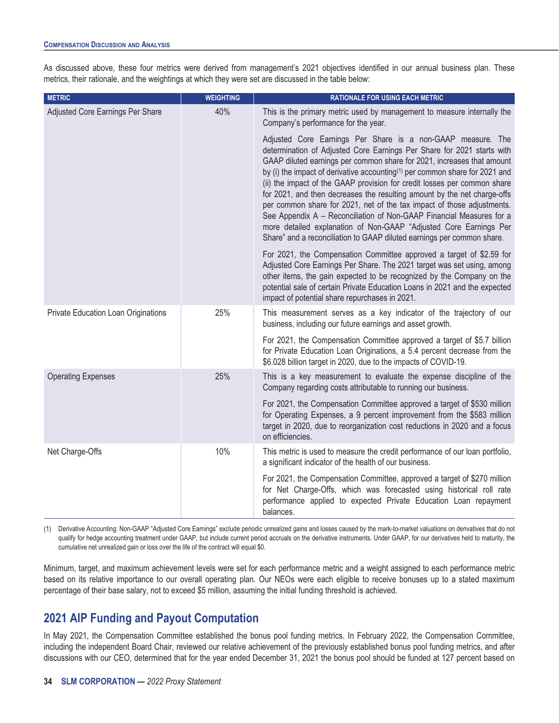As discussed above, these four metrics were derived from management's 2021 objectives identified in our annual business plan. These metrics, their rationale, and the weightings at which they were set are discussed in the table below:

| <b>METRIC</b>                       | <b>WEIGHTING</b> | <b>RATIONALE FOR USING EACH METRIC</b>                                                                                                                                                                                                                                                                                                                                                                                                                                                                                                                                                                                                                                                                                                                              |
|-------------------------------------|------------------|---------------------------------------------------------------------------------------------------------------------------------------------------------------------------------------------------------------------------------------------------------------------------------------------------------------------------------------------------------------------------------------------------------------------------------------------------------------------------------------------------------------------------------------------------------------------------------------------------------------------------------------------------------------------------------------------------------------------------------------------------------------------|
| Adjusted Core Earnings Per Share    | 40%              | This is the primary metric used by management to measure internally the<br>Company's performance for the year.                                                                                                                                                                                                                                                                                                                                                                                                                                                                                                                                                                                                                                                      |
|                                     |                  | Adjusted Core Earnings Per Share is a non-GAAP measure. The<br>determination of Adjusted Core Earnings Per Share for 2021 starts with<br>GAAP diluted earnings per common share for 2021, increases that amount<br>by (i) the impact of derivative accounting <sup>(1)</sup> per common share for 2021 and<br>(ii) the impact of the GAAP provision for credit losses per common share<br>for 2021, and then decreases the resulting amount by the net charge-offs<br>per common share for 2021, net of the tax impact of those adjustments.<br>See Appendix A - Reconciliation of Non-GAAP Financial Measures for a<br>more detailed explanation of Non-GAAP "Adjusted Core Earnings Per<br>Share" and a reconciliation to GAAP diluted earnings per common share. |
|                                     |                  | For 2021, the Compensation Committee approved a target of \$2.59 for<br>Adjusted Core Earnings Per Share. The 2021 target was set using, among<br>other items, the gain expected to be recognized by the Company on the<br>potential sale of certain Private Education Loans in 2021 and the expected<br>impact of potential share repurchases in 2021.                                                                                                                                                                                                                                                                                                                                                                                                             |
| Private Education Loan Originations | 25%              | This measurement serves as a key indicator of the trajectory of our<br>business, including our future earnings and asset growth.                                                                                                                                                                                                                                                                                                                                                                                                                                                                                                                                                                                                                                    |
|                                     |                  | For 2021, the Compensation Committee approved a target of \$5.7 billion<br>for Private Education Loan Originations, a 5.4 percent decrease from the<br>\$6.028 billion target in 2020, due to the impacts of COVID-19.                                                                                                                                                                                                                                                                                                                                                                                                                                                                                                                                              |
| <b>Operating Expenses</b>           | 25%              | This is a key measurement to evaluate the expense discipline of the<br>Company regarding costs attributable to running our business.                                                                                                                                                                                                                                                                                                                                                                                                                                                                                                                                                                                                                                |
|                                     |                  | For 2021, the Compensation Committee approved a target of \$530 million<br>for Operating Expenses, a 9 percent improvement from the \$583 million<br>target in 2020, due to reorganization cost reductions in 2020 and a focus<br>on efficiencies.                                                                                                                                                                                                                                                                                                                                                                                                                                                                                                                  |
| Net Charge-Offs                     | 10%              | This metric is used to measure the credit performance of our loan portfolio,<br>a significant indicator of the health of our business.                                                                                                                                                                                                                                                                                                                                                                                                                                                                                                                                                                                                                              |
|                                     |                  | For 2021, the Compensation Committee, approved a target of \$270 million<br>for Net Charge-Offs, which was forecasted using historical roll rate<br>performance applied to expected Private Education Loan repayment<br>balances.                                                                                                                                                                                                                                                                                                                                                                                                                                                                                                                                   |

(1) Derivative Accounting: Non-GAAP "Adjusted Core Earnings" exclude periodic unrealized gains and losses caused by the mark-to-market valuations on derivatives that do not qualify for hedge accounting treatment under GAAP, but include current period accruals on the derivative instruments. Under GAAP, for our derivatives held to maturity, the cumulative net unrealized gain or loss over the life of the contract will equal \$0.

Minimum, target, and maximum achievement levels were set for each performance metric and a weight assigned to each performance metric based on its relative importance to our overall operating plan. Our NEOs were each eligible to receive bonuses up to a stated maximum percentage of their base salary, not to exceed \$5 million, assuming the initial funding threshold is achieved.

### <span id="page-39-0"></span>**2021 AIP Funding and Payout Computation**

In May 2021, the Compensation Committee established the bonus pool funding metrics. In February 2022, the Compensation Committee, including the independent Board Chair, reviewed our relative achievement of the previously established bonus pool funding metrics, and after discussions with our CEO, determined that for the year ended December 31, 2021 the bonus pool should be funded at 127 percent based on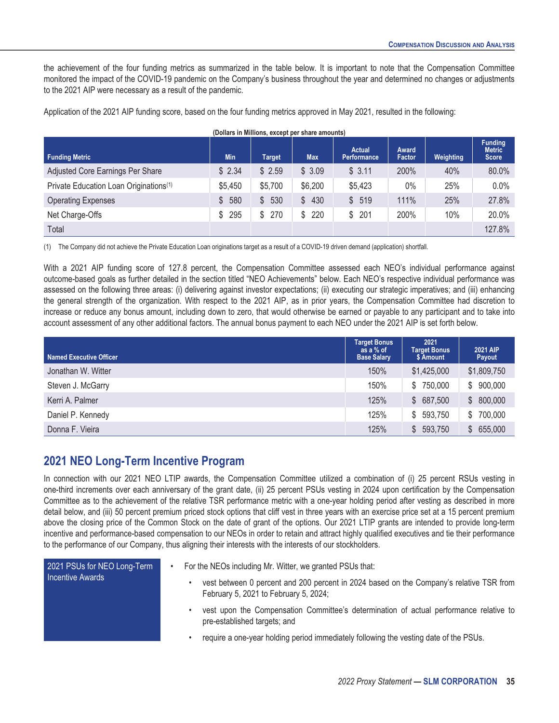the achievement of the four funding metrics as summarized in the table below. It is important to note that the Compensation Committee monitored the impact of the COVID-19 pandemic on the Company's business throughout the year and determined no changes or adjustments to the 2021 AIP were necessary as a result of the pandemic.

Application of the 2021 AIP funding score, based on the four funding metrics approved in May 2021, resulted in the following:

| <b>Funding Metric</b>                              | <b>Min</b> | <b>Target</b>         | <b>Max</b>            | <b>Actual</b><br><b>Performance</b> | Award<br>Factor | Weighting | <b>Funding</b><br><b>Metric</b><br><b>Score</b> |
|----------------------------------------------------|------------|-----------------------|-----------------------|-------------------------------------|-----------------|-----------|-------------------------------------------------|
| <b>Adjusted Core Earnings Per Share</b>            | \$2.34     | \$2.59                | \$3.09                | \$3.11                              | 200%            | 40%       | 80.0%                                           |
| Private Education Loan Originations <sup>(1)</sup> | \$5,450    | \$5,700               | \$6,200               | \$5,423                             | $0\%$           | 25%       | 0.0%                                            |
| <b>Operating Expenses</b>                          | 580<br>\$  | 530<br>$\mathbb{S}^-$ | \$430                 | \$519                               | 111%            | 25%       | 27.8%                                           |
| Net Charge-Offs                                    | 295<br>S.  | \$<br>270             | 220<br>$\mathbb{S}^-$ | \$201                               | 200%            | 10%       | 20.0%                                           |
| Total                                              |            |                       |                       |                                     |                 |           | 127.8%                                          |

#### **(Dollars in Millions, except per share amounts)**

(1) The Company did not achieve the Private Education Loan originations target as a result of a COVID-19 driven demand (application) shortfall.

With a 2021 AIP funding score of 127.8 percent, the Compensation Committee assessed each NEO's individual performance against outcome-based goals as further detailed in the section titled "NEO Achievements" below. Each NEO's respective individual performance was assessed on the following three areas: (i) delivering against investor expectations; (ii) executing our strategic imperatives; and (iii) enhancing the general strength of the organization. With respect to the 2021 AIP, as in prior years, the Compensation Committee had discretion to increase or reduce any bonus amount, including down to zero, that would otherwise be earned or payable to any participant and to take into account assessment of any other additional factors. The annual bonus payment to each NEO under the 2021 AIP is set forth below.

| Named Executive Officer | <b>Target Bonus</b><br>as a % of<br><b>Base Salary</b> | 2021<br><b>Target Bonus</b><br>\$ Amount | <b>2021 AIP</b><br>Payout |
|-------------------------|--------------------------------------------------------|------------------------------------------|---------------------------|
| Jonathan W. Witter      | 150%                                                   | \$1,425,000                              | \$1,809,750               |
| Steven J. McGarry       | 150%                                                   | \$750,000                                | 900,000<br>S              |
| Kerri A. Palmer         | 125%                                                   | \$687,500                                | 800,000<br>S              |
| Daniel P. Kennedy       | 125%                                                   | \$593,750                                | 700,000<br>S              |
| Donna F. Vieira         | 125%                                                   | 593,750<br>S.                            | 655,000<br>S              |

### <span id="page-40-0"></span>**2021 NEO Long-Term Incentive Program**

In connection with our 2021 NEO LTIP awards, the Compensation Committee utilized a combination of (i) 25 percent RSUs vesting in one-third increments over each anniversary of the grant date, (ii) 25 percent PSUs vesting in 2024 upon certification by the Compensation Committee as to the achievement of the relative TSR performance metric with a one-year holding period after vesting as described in more detail below, and (iii) 50 percent premium priced stock options that cliff vest in three years with an exercise price set at a 15 percent premium above the closing price of the Common Stock on the date of grant of the options. Our 2021 LTIP grants are intended to provide long-term incentive and performance-based compensation to our NEOs in order to retain and attract highly qualified executives and tie their performance to the performance of our Company, thus aligning their interests with the interests of our stockholders.

| 2021 PSUs for NEO Long-Term<br><b>Incentive Awards</b> | For the NEOs including Mr. Witter, we granted PSUs that:                                                                |
|--------------------------------------------------------|-------------------------------------------------------------------------------------------------------------------------|
|                                                        | vest between 0 percent and 200 percent in 2024 based on the Company's relative<br>February 5, 2021 to February 5, 2024; |
|                                                        | vest upon the Compensation Committee's determination of actual performance r<br>pre-established targets; and            |
|                                                        | require a one-year holding period immediately following the vesting date of the PSUs.                                   |

relative TSR from

mance relative to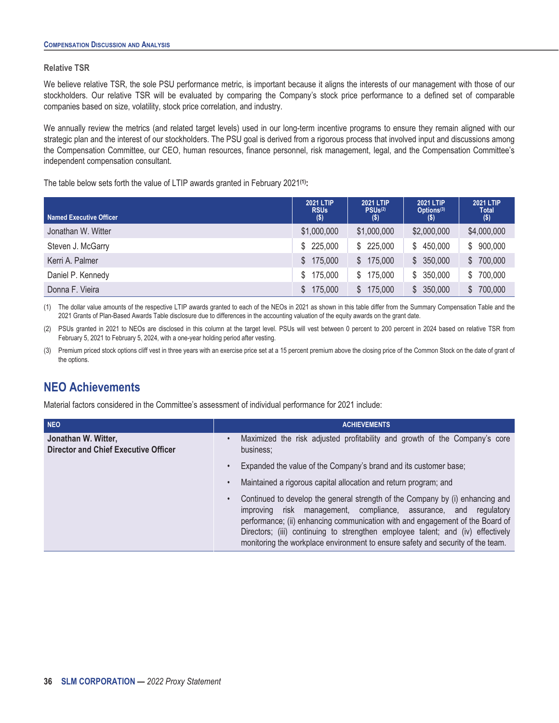#### **Relative TSR**

We believe relative TSR, the sole PSU performance metric, is important because it aligns the interests of our management with those of our stockholders. Our relative TSR will be evaluated by comparing the Company's stock price performance to a defined set of comparable companies based on size, volatility, stock price correlation, and industry.

We annually review the metrics (and related target levels) used in our long-term incentive programs to ensure they remain aligned with our strategic plan and the interest of our stockholders. The PSU goal is derived from a rigorous process that involved input and discussions among the Compensation Committee, our CEO, human resources, finance personnel, risk management, legal, and the Compensation Committee's independent compensation consultant.

The table below sets forth the value of LTIP awards granted in February 2021**(1):**

| Named Executive Officer | <b>2021 LTIP</b><br><b>RSUs</b><br>$($ \$) | <b>2021 LTIP</b><br>PSUs <sup>(2)</sup><br>$($ \$) | <b>2021 LTIP</b><br>Options <sup>(3)</sup><br>$($ \$) | <b>2021 LTIP</b><br><b>Total</b><br>$($ \$) |
|-------------------------|--------------------------------------------|----------------------------------------------------|-------------------------------------------------------|---------------------------------------------|
| Jonathan W. Witter      | \$1,000,000                                | \$1,000,000                                        | \$2,000,000                                           | \$4,000,000                                 |
| Steven J. McGarry       | 225,000<br>s.                              | \$225,000                                          | \$450,000                                             | \$900,000                                   |
| Kerri A. Palmer         | 175,000<br>$\mathbb{S}$                    | \$175,000                                          | \$350,000                                             | \$700,000                                   |
| Daniel P. Kennedy       | 175,000<br>\$                              | 175,000<br>S.                                      | 350,000<br>S.                                         | \$700,000                                   |
| Donna F. Vieira         | 175,000<br>S                               | 175,000                                            | 350,000<br><sup>S</sup>                               | \$700,000                                   |

(1) The dollar value amounts of the respective LTIP awards granted to each of the NEOs in 2021 as shown in this table differ from the Summary Compensation Table and the 2021 Grants of Plan-Based Awards Table disclosure due to differences in the accounting valuation of the equity awards on the grant date.

(2) PSUs granted in 2021 to NEOs are disclosed in this column at the target level. PSUs will vest between 0 percent to 200 percent in 2024 based on relative TSR from February 5, 2021 to February 5, 2024, with a one-year holding period after vesting.

(3) Premium priced stock options cliff vest in three years with an exercise price set at a 15 percent premium above the closing price of the Common Stock on the date of grant of the options.

### <span id="page-41-0"></span>**NEO Achievements**

Material factors considered in the Committee's assessment of individual performance for 2021 include:

| <b>NEO</b>                                                         | <b>ACHIEVEMENTS</b>                                                                                                                                                                                                                                                                                                                                                                                                      |
|--------------------------------------------------------------------|--------------------------------------------------------------------------------------------------------------------------------------------------------------------------------------------------------------------------------------------------------------------------------------------------------------------------------------------------------------------------------------------------------------------------|
| Jonathan W. Witter,<br><b>Director and Chief Executive Officer</b> | Maximized the risk adjusted profitability and growth of the Company's core<br>$\bullet$<br>business;                                                                                                                                                                                                                                                                                                                     |
|                                                                    | Expanded the value of the Company's brand and its customer base;<br>$\bullet$                                                                                                                                                                                                                                                                                                                                            |
|                                                                    | Maintained a rigorous capital allocation and return program; and<br>$\bullet$                                                                                                                                                                                                                                                                                                                                            |
|                                                                    | Continued to develop the general strength of the Company by (i) enhancing and<br>$\bullet$<br>risk management, compliance, assurance, and regulatory<br>improving<br>performance; (ii) enhancing communication with and engagement of the Board of<br>Directors; (iii) continuing to strengthen employee talent; and (iv) effectively<br>monitoring the workplace environment to ensure safety and security of the team. |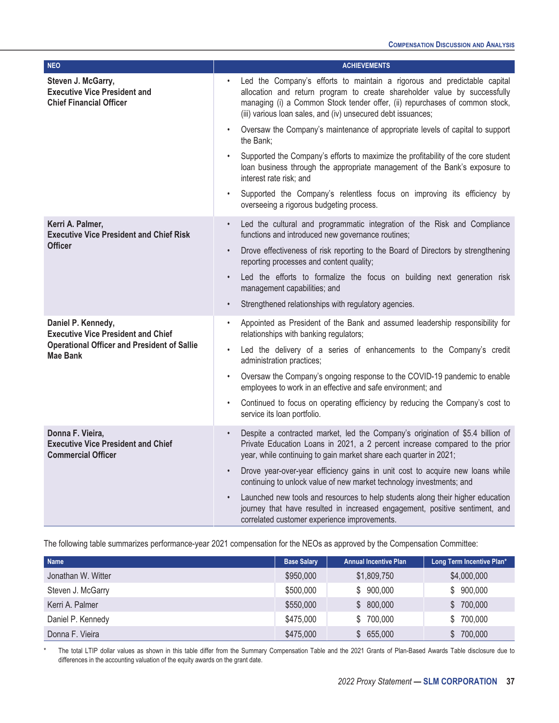| <b>NEO</b>                                                                                  | <b>ACHIEVEMENTS</b>                                                                                                                                                                                                                                                                                  |
|---------------------------------------------------------------------------------------------|------------------------------------------------------------------------------------------------------------------------------------------------------------------------------------------------------------------------------------------------------------------------------------------------------|
| Steven J. McGarry,<br><b>Executive Vice President and</b><br><b>Chief Financial Officer</b> | Led the Company's efforts to maintain a rigorous and predictable capital<br>allocation and return program to create shareholder value by successfully<br>managing (i) a Common Stock tender offer, (ii) repurchases of common stock,<br>(iii) various loan sales, and (iv) unsecured debt issuances; |
|                                                                                             | Oversaw the Company's maintenance of appropriate levels of capital to support<br>$\bullet$<br>the Bank;                                                                                                                                                                                              |
|                                                                                             | Supported the Company's efforts to maximize the profitability of the core student<br>loan business through the appropriate management of the Bank's exposure to<br>interest rate risk; and                                                                                                           |
|                                                                                             | Supported the Company's relentless focus on improving its efficiency by<br>$\bullet$<br>overseeing a rigorous budgeting process.                                                                                                                                                                     |
| Kerri A. Palmer,<br><b>Executive Vice President and Chief Risk</b><br><b>Officer</b>        | Led the cultural and programmatic integration of the Risk and Compliance<br>$\bullet$<br>functions and introduced new governance routines;                                                                                                                                                           |
|                                                                                             | Drove effectiveness of risk reporting to the Board of Directors by strengthening<br>$\bullet$<br>reporting processes and content quality;                                                                                                                                                            |
|                                                                                             | Led the efforts to formalize the focus on building next generation risk<br>$\bullet$<br>management capabilities; and                                                                                                                                                                                 |
|                                                                                             | Strengthened relationships with regulatory agencies.<br>$\bullet$                                                                                                                                                                                                                                    |
| Daniel P. Kennedy,<br><b>Executive Vice President and Chief</b>                             | Appointed as President of the Bank and assumed leadership responsibility for<br>$\bullet$<br>relationships with banking regulators;                                                                                                                                                                  |
| <b>Operational Officer and President of Sallie</b><br><b>Mae Bank</b>                       | Led the delivery of a series of enhancements to the Company's credit<br>$\bullet$<br>administration practices;                                                                                                                                                                                       |
|                                                                                             | Oversaw the Company's ongoing response to the COVID-19 pandemic to enable<br>$\bullet$<br>employees to work in an effective and safe environment; and                                                                                                                                                |
|                                                                                             | Continued to focus on operating efficiency by reducing the Company's cost to<br>$\bullet$<br>service its loan portfolio.                                                                                                                                                                             |
| Donna F. Vieira,<br><b>Executive Vice President and Chief</b><br><b>Commercial Officer</b>  | Despite a contracted market, led the Company's origination of \$5.4 billion of<br>$\bullet$<br>Private Education Loans in 2021, a 2 percent increase compared to the prior<br>year, while continuing to gain market share each quarter in 2021;                                                      |
|                                                                                             | Drove year-over-year efficiency gains in unit cost to acquire new loans while<br>$\bullet$<br>continuing to unlock value of new market technology investments; and                                                                                                                                   |
|                                                                                             | Launched new tools and resources to help students along their higher education<br>$\bullet$<br>journey that have resulted in increased engagement, positive sentiment, and<br>correlated customer experience improvements.                                                                           |

The following table summarizes performance-year 2021 compensation for the NEOs as approved by the Compensation Committee:

| <b>Name</b>        | <b>Base Salary</b> | <b>Annual Incentive Plan</b> | Long Term Incentive Plan* |
|--------------------|--------------------|------------------------------|---------------------------|
| Jonathan W. Witter | \$950,000          | \$1,809,750                  | \$4,000,000               |
| Steven J. McGarry  | \$500,000          | \$900,000                    | \$900,000                 |
| Kerri A. Palmer    | \$550,000          | \$800,000                    | \$700,000                 |
| Daniel P. Kennedy  | \$475,000          | \$ 700,000                   | \$700,000                 |
| Donna F. Vieira    | \$475,000          | \$655,000                    | \$700,000                 |

The total LTIP dollar values as shown in this table differ from the Summary Compensation Table and the 2021 Grants of Plan-Based Awards Table disclosure due to differences in the accounting valuation of the equity awards on the grant date.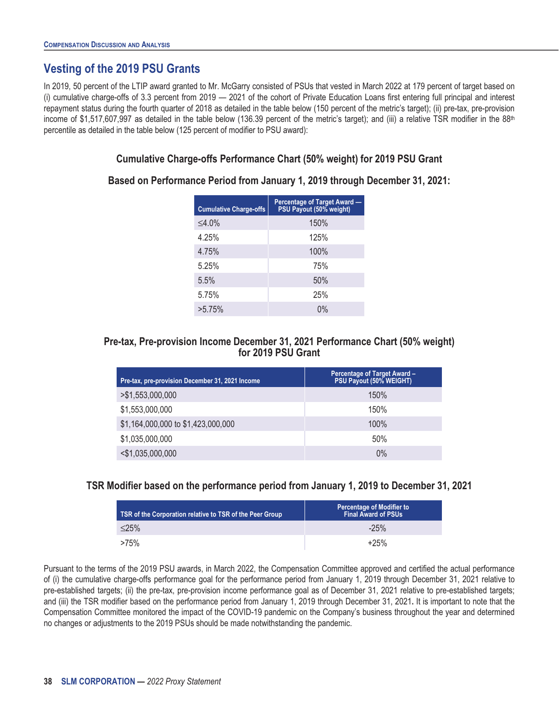# <span id="page-43-0"></span>**Vesting of the 2019 PSU Grants**

In 2019, 50 percent of the LTIP award granted to Mr. McGarry consisted of PSUs that vested in March 2022 at 179 percent of target based on (i) cumulative charge-offs of 3.3 percent from 2019 — 2021 of the cohort of Private Education Loans first entering full principal and interest repayment status during the fourth quarter of 2018 as detailed in the table below (150 percent of the metric's target); (ii) pre-tax, pre-provision income of \$1,517,607,997 as detailed in the table below (136.39 percent of the metric's target); and (iii) a relative TSR modifier in the 88<sup>th</sup> percentile as detailed in the table below (125 percent of modifier to PSU award):

#### **Cumulative Charge-offs Performance Chart (50% weight) for 2019 PSU Grant**

#### **Based on Performance Period from January 1, 2019 through December 31, 2021:**

| <b>Cumulative Charge-offs</b> | Percentage of Target Award -<br>PSU Payout (50% weight) |
|-------------------------------|---------------------------------------------------------|
| $\leq 4.0\%$                  | 150%                                                    |
| 4.25%                         | 125%                                                    |
| 4.75%                         | 100%                                                    |
| 5.25%                         | 75%                                                     |
| 5.5%                          | 50%                                                     |
| 5.75%                         | 25%                                                     |
| >5.75%                        | $0\%$                                                   |

#### **Pre-tax, Pre-provision Income December 31, 2021 Performance Chart (50% weight) for 2019 PSU Grant**

| Pre-tax, pre-provision December 31, 2021 Income | <b>Percentage of Target Award -</b><br>PSU Payout (50% WEIGHT) |
|-------------------------------------------------|----------------------------------------------------------------|
| > \$1,553,000,000                               | 150%                                                           |
| \$1,553,000,000                                 | 150%                                                           |
| \$1,164,000,000 to \$1,423,000,000              | 100%                                                           |
| \$1,035,000,000                                 | 50%                                                            |
| $<$ \$1,035,000,000                             | $0\%$                                                          |

#### **TSR Modifier based on the performance period from January 1, 2019 to December 31, 2021**

| TSR of the Corporation relative to TSR of the Peer Group | <b>Percentage of Modifier to</b><br><b>Final Award of PSUs</b> |
|----------------------------------------------------------|----------------------------------------------------------------|
| $<$ 25%                                                  | $-25%$                                                         |
| >75%                                                     | $+25%$                                                         |

Pursuant to the terms of the 2019 PSU awards, in March 2022, the Compensation Committee approved and certified the actual performance of (i) the cumulative charge-offs performance goal for the performance period from January 1, 2019 through December 31, 2021 relative to pre-established targets; (ii) the pre-tax, pre-provision income performance goal as of December 31, 2021 relative to pre-established targets; and (iii) the TSR modifier based on the performance period from January 1, 2019 through December 31, 2021**.** It is important to note that the Compensation Committee monitored the impact of the COVID-19 pandemic on the Company's business throughout the year and determined no changes or adjustments to the 2019 PSUs should be made notwithstanding the pandemic.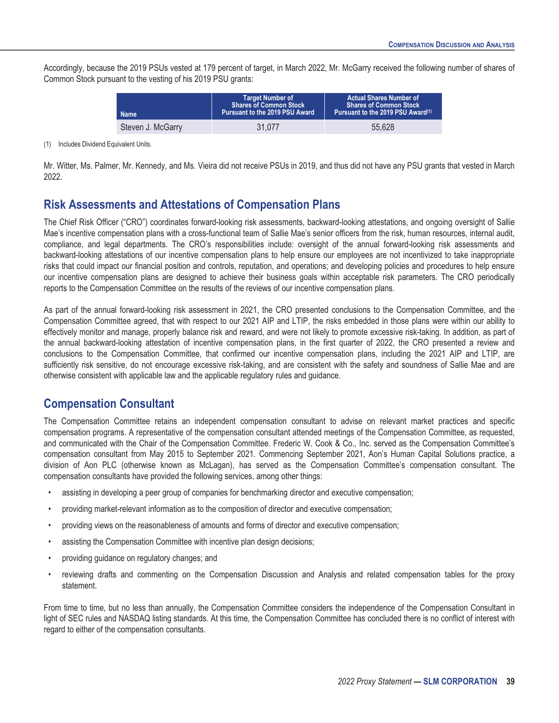Accordingly, because the 2019 PSUs vested at 179 percent of target, in March 2022, Mr. McGarry received the following number of shares of Common Stock pursuant to the vesting of his 2019 PSU grants:

| <b>Name</b>       | <b>Target Number of</b><br><b>Shares of Common Stock</b><br>Pursuant to the 2019 PSU Award | <b>Actual Shares Number of</b><br><b>Shares of Common Stock b</b><br>Pursuant to the 2019 PSU Award <sup>(1)</sup> |  |  |  |
|-------------------|--------------------------------------------------------------------------------------------|--------------------------------------------------------------------------------------------------------------------|--|--|--|
| Steven J. McGarry | 31.077                                                                                     | 55.628                                                                                                             |  |  |  |

(1) Includes Dividend Equivalent Units.

Mr. Witter, Ms. Palmer, Mr. Kennedy, and Ms. Vieira did not receive PSUs in 2019, and thus did not have any PSU grants that vested in March 2022.

#### <span id="page-44-0"></span>**Risk Assessments and Attestations of Compensation Plans**

The Chief Risk Officer ("CRO") coordinates forward-looking risk assessments, backward-looking attestations, and ongoing oversight of Sallie Mae's incentive compensation plans with a cross-functional team of Sallie Mae's senior officers from the risk, human resources, internal audit, compliance, and legal departments. The CRO's responsibilities include: oversight of the annual forward-looking risk assessments and backward-looking attestations of our incentive compensation plans to help ensure our employees are not incentivized to take inappropriate risks that could impact our financial position and controls, reputation, and operations; and developing policies and procedures to help ensure our incentive compensation plans are designed to achieve their business goals within acceptable risk parameters. The CRO periodically reports to the Compensation Committee on the results of the reviews of our incentive compensation plans.

As part of the annual forward-looking risk assessment in 2021, the CRO presented conclusions to the Compensation Committee, and the Compensation Committee agreed, that with respect to our 2021 AIP and LTIP, the risks embedded in those plans were within our ability to effectively monitor and manage, properly balance risk and reward, and were not likely to promote excessive risk-taking. In addition, as part of the annual backward-looking attestation of incentive compensation plans, in the first quarter of 2022, the CRO presented a review and conclusions to the Compensation Committee, that confirmed our incentive compensation plans, including the 2021 AIP and LTIP, are sufficiently risk sensitive, do not encourage excessive risk-taking, and are consistent with the safety and soundness of Sallie Mae and are otherwise consistent with applicable law and the applicable regulatory rules and guidance.

### <span id="page-44-1"></span>**Compensation Consultant**

The Compensation Committee retains an independent compensation consultant to advise on relevant market practices and specific compensation programs. A representative of the compensation consultant attended meetings of the Compensation Committee, as requested, and communicated with the Chair of the Compensation Committee. Frederic W. Cook & Co., Inc. served as the Compensation Committee's compensation consultant from May 2015 to September 2021. Commencing September 2021, Aon's Human Capital Solutions practice, a division of Aon PLC (otherwise known as McLagan), has served as the Compensation Committee's compensation consultant. The compensation consultants have provided the following services, among other things:

- assisting in developing a peer group of companies for benchmarking director and executive compensation;
- providing market-relevant information as to the composition of director and executive compensation;
- providing views on the reasonableness of amounts and forms of director and executive compensation;
- assisting the Compensation Committee with incentive plan design decisions;
- providing guidance on regulatory changes; and
- reviewing drafts and commenting on the Compensation Discussion and Analysis and related compensation tables for the proxy statement.

From time to time, but no less than annually, the Compensation Committee considers the independence of the Compensation Consultant in light of SEC rules and NASDAQ listing standards. At this time, the Compensation Committee has concluded there is no conflict of interest with regard to either of the compensation consultants.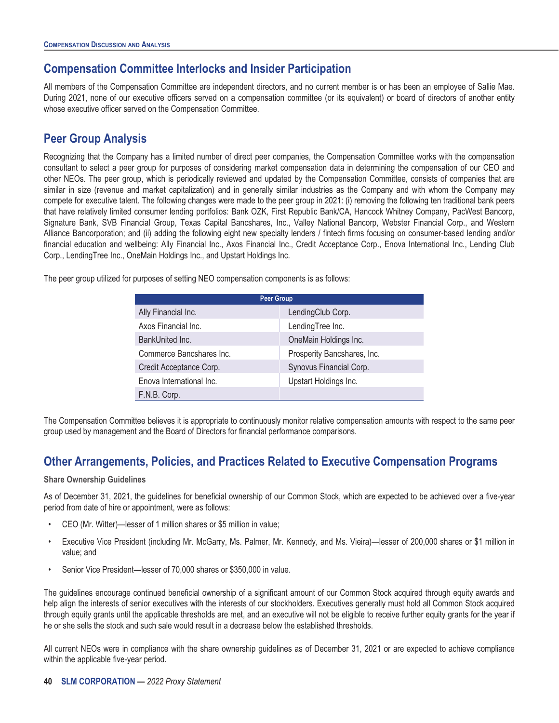## <span id="page-45-0"></span>**Compensation Committee Interlocks and Insider Participation**

All members of the Compensation Committee are independent directors, and no current member is or has been an employee of Sallie Mae. During 2021, none of our executive officers served on a compensation committee (or its equivalent) or board of directors of another entity whose executive officer served on the Compensation Committee.

# <span id="page-45-1"></span>**Peer Group Analysis**

Recognizing that the Company has a limited number of direct peer companies, the Compensation Committee works with the compensation consultant to select a peer group for purposes of considering market compensation data in determining the compensation of our CEO and other NEOs. The peer group, which is periodically reviewed and updated by the Compensation Committee, consists of companies that are similar in size (revenue and market capitalization) and in generally similar industries as the Company and with whom the Company may compete for executive talent. The following changes were made to the peer group in 2021: (i) removing the following ten traditional bank peers that have relatively limited consumer lending portfolios: Bank OZK, First Republic Bank/CA, Hancock Whitney Company, PacWest Bancorp, Signature Bank, SVB Financial Group, Texas Capital Bancshares, Inc., Valley National Bancorp, Webster Financial Corp., and Western Alliance Bancorporation; and (ii) adding the following eight new specialty lenders / fintech firms focusing on consumer-based lending and/or financial education and wellbeing: Ally Financial Inc., Axos Financial Inc., Credit Acceptance Corp., Enova International Inc., Lending Club Corp., LendingTree Inc., OneMain Holdings Inc., and Upstart Holdings Inc.

The peer group utilized for purposes of setting NEO compensation components is as follows:

| <b>Peer Group</b>        |                             |  |  |  |  |
|--------------------------|-----------------------------|--|--|--|--|
| Ally Financial Inc.      | LendingClub Corp.           |  |  |  |  |
| Axos Financial Inc.      | LendingTree Inc.            |  |  |  |  |
| BankUnited Inc.          | OneMain Holdings Inc.       |  |  |  |  |
| Commerce Bancshares Inc. | Prosperity Bancshares, Inc. |  |  |  |  |
| Credit Acceptance Corp.  | Synovus Financial Corp.     |  |  |  |  |
| Enova International Inc. | Upstart Holdings Inc.       |  |  |  |  |
| F.N.B. Corp.             |                             |  |  |  |  |

The Compensation Committee believes it is appropriate to continuously monitor relative compensation amounts with respect to the same peer group used by management and the Board of Directors for financial performance comparisons.

### <span id="page-45-2"></span>**Other Arrangements, Policies, and Practices Related to Executive Compensation Programs**

#### **Share Ownership Guidelines**

As of December 31, 2021, the guidelines for beneficial ownership of our Common Stock, which are expected to be achieved over a five-year period from date of hire or appointment, were as follows:

- CEO (Mr. Witter)—lesser of 1 million shares or \$5 million in value;
- Executive Vice President (including Mr. McGarry, Ms. Palmer, Mr. Kennedy, and Ms. Vieira)—lesser of 200,000 shares or \$1 million in value; and
- Senior Vice President**—**lesser of 70,000 shares or \$350,000 in value.

The guidelines encourage continued beneficial ownership of a significant amount of our Common Stock acquired through equity awards and help align the interests of senior executives with the interests of our stockholders. Executives generally must hold all Common Stock acquired through equity grants until the applicable thresholds are met, and an executive will not be eligible to receive further equity grants for the year if he or she sells the stock and such sale would result in a decrease below the established thresholds.

All current NEOs were in compliance with the share ownership guidelines as of December 31, 2021 or are expected to achieve compliance within the applicable five-year period.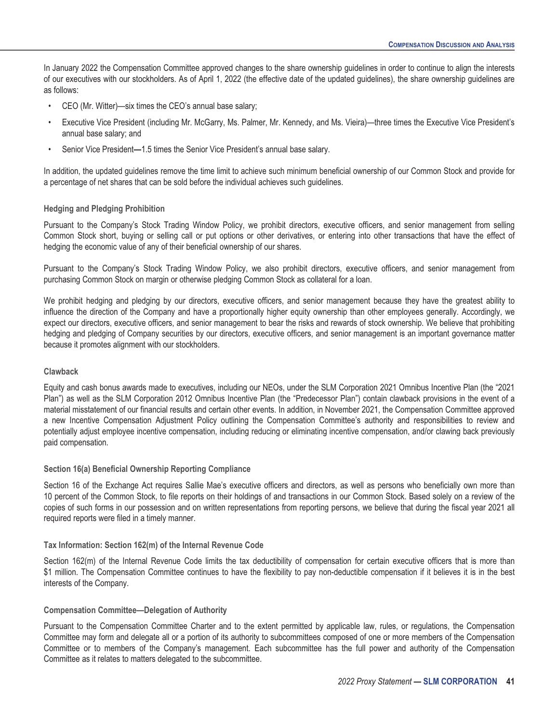In January 2022 the Compensation Committee approved changes to the share ownership guidelines in order to continue to align the interests of our executives with our stockholders. As of April 1, 2022 (the effective date of the updated guidelines), the share ownership guidelines are as follows:

- CEO (Mr. Witter)—six times the CEO's annual base salary;
- Executive Vice President (including Mr. McGarry, Ms. Palmer, Mr. Kennedy, and Ms. Vieira)—three times the Executive Vice President's annual base salary; and
- Senior Vice President**—**1.5 times the Senior Vice President's annual base salary.

In addition, the updated guidelines remove the time limit to achieve such minimum beneficial ownership of our Common Stock and provide for a percentage of net shares that can be sold before the individual achieves such guidelines.

#### **Hedging and Pledging Prohibition**

Pursuant to the Company's Stock Trading Window Policy, we prohibit directors, executive officers, and senior management from selling Common Stock short, buying or selling call or put options or other derivatives, or entering into other transactions that have the effect of hedging the economic value of any of their beneficial ownership of our shares.

Pursuant to the Company's Stock Trading Window Policy, we also prohibit directors, executive officers, and senior management from purchasing Common Stock on margin or otherwise pledging Common Stock as collateral for a loan.

We prohibit hedging and pledging by our directors, executive officers, and senior management because they have the greatest ability to influence the direction of the Company and have a proportionally higher equity ownership than other employees generally. Accordingly, we expect our directors, executive officers, and senior management to bear the risks and rewards of stock ownership. We believe that prohibiting hedging and pledging of Company securities by our directors, executive officers, and senior management is an important governance matter because it promotes alignment with our stockholders.

#### **Clawback**

Equity and cash bonus awards made to executives, including our NEOs, under the SLM Corporation 2021 Omnibus Incentive Plan (the "2021 Plan") as well as the SLM Corporation 2012 Omnibus Incentive Plan (the "Predecessor Plan") contain clawback provisions in the event of a material misstatement of our financial results and certain other events. In addition, in November 2021, the Compensation Committee approved a new Incentive Compensation Adjustment Policy outlining the Compensation Committee's authority and responsibilities to review and potentially adjust employee incentive compensation, including reducing or eliminating incentive compensation, and/or clawing back previously paid compensation.

#### **Section 16(a) Beneficial Ownership Reporting Compliance**

Section 16 of the Exchange Act requires Sallie Mae's executive officers and directors, as well as persons who beneficially own more than 10 percent of the Common Stock, to file reports on their holdings of and transactions in our Common Stock. Based solely on a review of the copies of such forms in our possession and on written representations from reporting persons, we believe that during the fiscal year 2021 all required reports were filed in a timely manner.

#### **Tax Information: Section 162(m) of the Internal Revenue Code**

Section 162(m) of the Internal Revenue Code limits the tax deductibility of compensation for certain executive officers that is more than \$1 million. The Compensation Committee continues to have the flexibility to pay non-deductible compensation if it believes it is in the best interests of the Company.

#### **Compensation Committee—Delegation of Authority**

Pursuant to the Compensation Committee Charter and to the extent permitted by applicable law, rules, or regulations, the Compensation Committee may form and delegate all or a portion of its authority to subcommittees composed of one or more members of the Compensation Committee or to members of the Company's management. Each subcommittee has the full power and authority of the Compensation Committee as it relates to matters delegated to the subcommittee.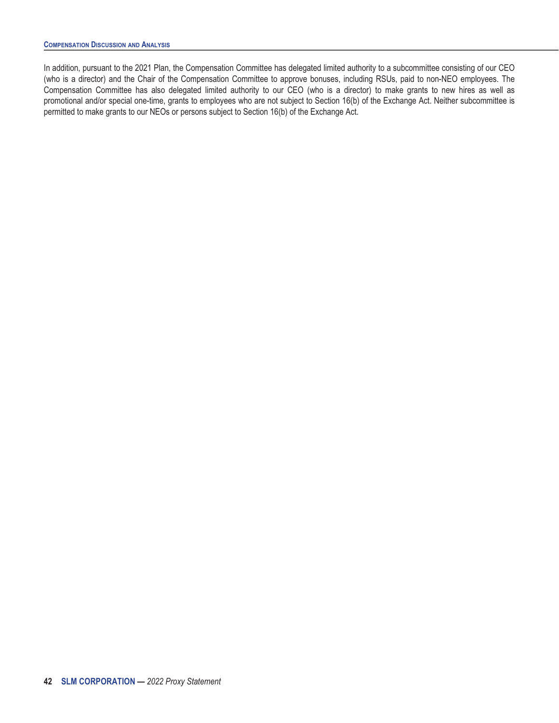In addition, pursuant to the 2021 Plan, the Compensation Committee has delegated limited authority to a subcommittee consisting of our CEO (who is a director) and the Chair of the Compensation Committee to approve bonuses, including RSUs, paid to non-NEO employees. The Compensation Committee has also delegated limited authority to our CEO (who is a director) to make grants to new hires as well as promotional and/or special one-time, grants to employees who are not subject to Section 16(b) of the Exchange Act. Neither subcommittee is permitted to make grants to our NEOs or persons subject to Section 16(b) of the Exchange Act.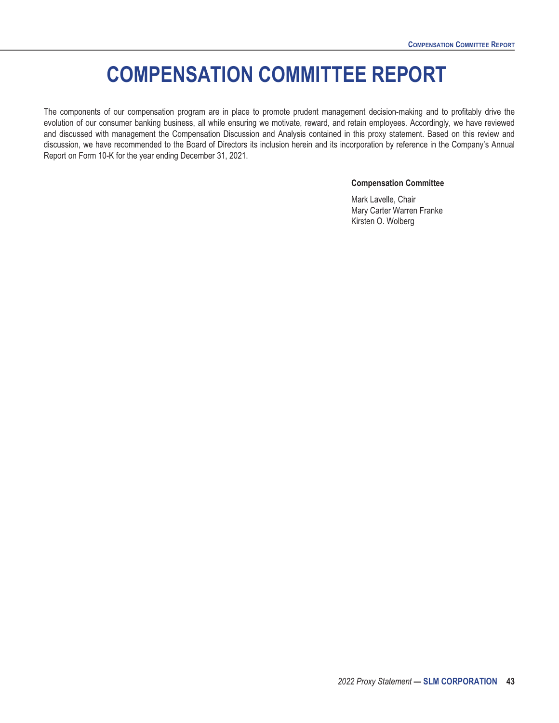# **COMPENSATION COMMITTEE REPORT**

<span id="page-48-0"></span>The components of our compensation program are in place to promote prudent management decision-making and to profitably drive the evolution of our consumer banking business, all while ensuring we motivate, reward, and retain employees. Accordingly, we have reviewed and discussed with management the Compensation Discussion and Analysis contained in this proxy statement. Based on this review and discussion, we have recommended to the Board of Directors its inclusion herein and its incorporation by reference in the Company's Annual Report on Form 10-K for the year ending December 31, 2021.

#### **Compensation Committee**

Mark Lavelle, Chair Mary Carter Warren Franke Kirsten O. Wolberg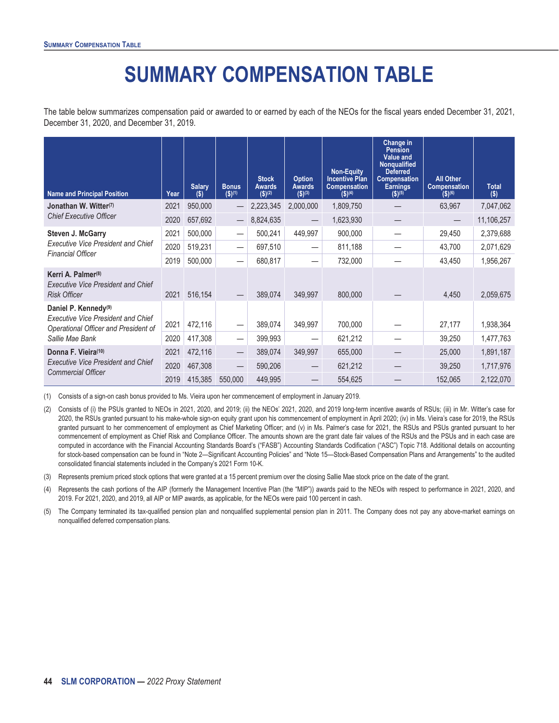# **SUMMARY COMPENSATION TABLE**

<span id="page-49-0"></span>The table below summarizes compensation paid or awarded to or earned by each of the NEOs for the fiscal years ended December 31, 2021, December 31, 2020, and December 31, 2019.

| <b>Name and Principal Position</b>                                                                                    | Year | <b>Salary</b><br>$(\$)$ | <b>Bonus</b><br>$($ \$) $(1)$ | <b>Stock</b><br><b>Awards</b><br>(S)(2) | <b>Option</b><br><b>Awards</b><br>$($ \$)(3) | <b>Non-Equity</b><br><b>Incentive Plan</b><br><b>Compensation</b><br>$($ \$) <sup>(4)</sup> | Change in<br><b>Pension</b><br><b>Value and</b><br><b>Nonqualified</b><br><b>Deferred</b><br><b>Compensation</b><br><b>Earnings</b><br>$($ \$) <sup>(5)</sup> | <b>All Other</b><br><b>Compensation</b><br>$($ \$)(6) | <b>Total</b><br>$($ \$) |
|-----------------------------------------------------------------------------------------------------------------------|------|-------------------------|-------------------------------|-----------------------------------------|----------------------------------------------|---------------------------------------------------------------------------------------------|---------------------------------------------------------------------------------------------------------------------------------------------------------------|-------------------------------------------------------|-------------------------|
| Jonathan W. Witter <sup>(7)</sup>                                                                                     | 2021 | 950,000                 |                               | 2,223,345                               | 2,000,000                                    | 1,809,750                                                                                   |                                                                                                                                                               | 63,967                                                | 7,047,062               |
| <b>Chief Executive Officer</b>                                                                                        | 2020 | 657,692                 |                               | 8,824,635                               |                                              | 1,623,930                                                                                   |                                                                                                                                                               |                                                       | 11,106,257              |
| <b>Steven J. McGarry</b>                                                                                              | 2021 | 500,000                 | $\overbrace{\phantom{13333}}$ | 500,241                                 | 449,997                                      | 900,000                                                                                     |                                                                                                                                                               | 29,450                                                | 2,379,688               |
| <b>Executive Vice President and Chief</b><br><b>Financial Officer</b>                                                 | 2020 | 519,231                 | $\overline{\phantom{0}}$      | 697,510                                 |                                              | 811,188                                                                                     |                                                                                                                                                               | 43,700                                                | 2,071,629               |
|                                                                                                                       | 2019 | 500,000                 |                               | 680,817                                 |                                              | 732,000                                                                                     |                                                                                                                                                               | 43,450                                                | 1,956,267               |
| Kerri A. Palmer <sup>(8)</sup><br><b>Executive Vice President and Chief</b><br><b>Risk Officer</b>                    | 2021 | 516,154                 |                               | 389,074                                 | 349,997                                      | 800,000                                                                                     |                                                                                                                                                               | 4,450                                                 | 2,059,675               |
| Daniel P. Kennedy <sup>(9)</sup><br><b>Executive Vice President and Chief</b><br>Operational Officer and President of | 2021 | 472,116                 |                               | 389,074                                 | 349,997                                      | 700,000                                                                                     |                                                                                                                                                               | 27,177                                                | 1,938,364               |
| Sallie Mae Bank                                                                                                       | 2020 | 417,308                 |                               | 399,993                                 |                                              | 621,212                                                                                     |                                                                                                                                                               | 39,250                                                | 1,477,763               |
| Donna F. Vieira(10)<br><b>Executive Vice President and Chief</b><br><b>Commercial Officer</b>                         | 2021 | 472,116                 |                               | 389,074                                 | 349,997                                      | 655,000                                                                                     |                                                                                                                                                               | 25,000                                                | 1,891,187               |
|                                                                                                                       | 2020 | 467,308                 |                               | 590,206                                 |                                              | 621,212                                                                                     |                                                                                                                                                               | 39,250                                                | 1,717,976               |
|                                                                                                                       | 2019 | 415,385                 | 550,000                       | 449,995                                 |                                              | 554,625                                                                                     |                                                                                                                                                               | 152,065                                               | 2,122,070               |

(1) Consists of a sign-on cash bonus provided to Ms. Vieira upon her commencement of employment in January 2019.

(2) Consists of (i) the PSUs granted to NEOs in 2021, 2020, and 2019; (ii) the NEOs' 2021, 2020, and 2019 long-term incentive awards of RSUs; (iii) in Mr. Witter's case for 2020, the RSUs granted pursuant to his make-whole sign-on equity grant upon his commencement of employment in April 2020; (iv) in Ms. Vieira's case for 2019, the RSUs granted pursuant to her commencement of employment as Chief Marketing Officer; and (v) in Ms. Palmer's case for 2021, the RSUs and PSUs granted pursuant to her commencement of employment as Chief Risk and Compliance Officer. The amounts shown are the grant date fair values of the RSUs and the PSUs and in each case are computed in accordance with the Financial Accounting Standards Board's ("FASB") Accounting Standards Codification ("ASC") Topic 718. Additional details on accounting for stock-based compensation can be found in "Note 2—Significant Accounting Policies" and "Note 15—Stock-Based Compensation Plans and Arrangements" to the audited consolidated financial statements included in the Company's 2021 Form 10-K.

(3) Represents premium priced stock options that were granted at a 15 percent premium over the closing Sallie Mae stock price on the date of the grant.

(4) Represents the cash portions of the AIP (formerly the Management Incentive Plan (the "MIP")) awards paid to the NEOs with respect to performance in 2021, 2020, and 2019. For 2021, 2020, and 2019, all AIP or MIP awards, as applicable, for the NEOs were paid 100 percent in cash.

(5) The Company terminated its tax-qualified pension plan and nonqualified supplemental pension plan in 2011. The Company does not pay any above-market earnings on nonqualified deferred compensation plans.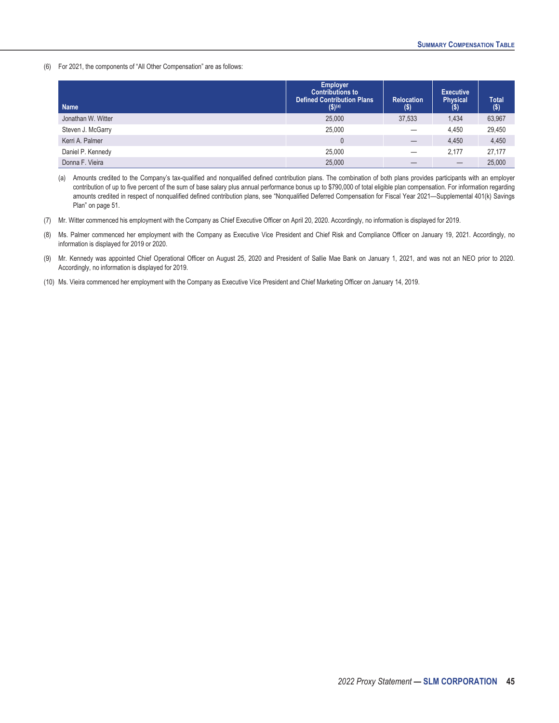(6) For 2021, the components of "All Other Compensation" are as follows:

| <b>Name</b>        | <b>Employer</b><br><b>Contributions to</b><br><b>Defined Contribution Plans</b><br>\$)(a) | <b>Relocation</b><br>$($ \$) | <b>Executive</b><br><b>Physical</b><br>(\$) | <b>Total</b><br>$($ \$) |
|--------------------|-------------------------------------------------------------------------------------------|------------------------------|---------------------------------------------|-------------------------|
| Jonathan W. Witter | 25,000                                                                                    | 37,533                       | 1.434                                       | 63,967                  |
| Steven J. McGarry  | 25,000                                                                                    |                              | 4.450                                       | 29,450                  |
| Kerri A. Palmer    | $\theta$                                                                                  | —                            | 4.450                                       | 4,450                   |
| Daniel P. Kennedy  | 25,000                                                                                    |                              | 2.177                                       | 27,177                  |
| Donna F. Vieira    | 25,000                                                                                    |                              |                                             | 25,000                  |

(a) Amounts credited to the Company's tax-qualified and nonqualified defined contribution plans. The combination of both plans provides participants with an employer contribution of up to five percent of the sum of base salary plus annual performance bonus up to \$790,000 of total eligible plan compensation. For information regarding amounts credited in respect of nonqualified defined contribution plans, see "Nonqualified Deferred Compensation for Fiscal Year 2021—Supplemental 401(k) Savings Plan" on page 51.

- (7) Mr. Witter commenced his employment with the Company as Chief Executive Officer on April 20, 2020. Accordingly, no information is displayed for 2019.
- (8) Ms. Palmer commenced her employment with the Company as Executive Vice President and Chief Risk and Compliance Officer on January 19, 2021. Accordingly, no information is displayed for 2019 or 2020.
- (9) Mr. Kennedy was appointed Chief Operational Officer on August 25, 2020 and President of Sallie Mae Bank on January 1, 2021, and was not an NEO prior to 2020. Accordingly, no information is displayed for 2019.
- (10) Ms. Vieira commenced her employment with the Company as Executive Vice President and Chief Marketing Officer on January 14, 2019.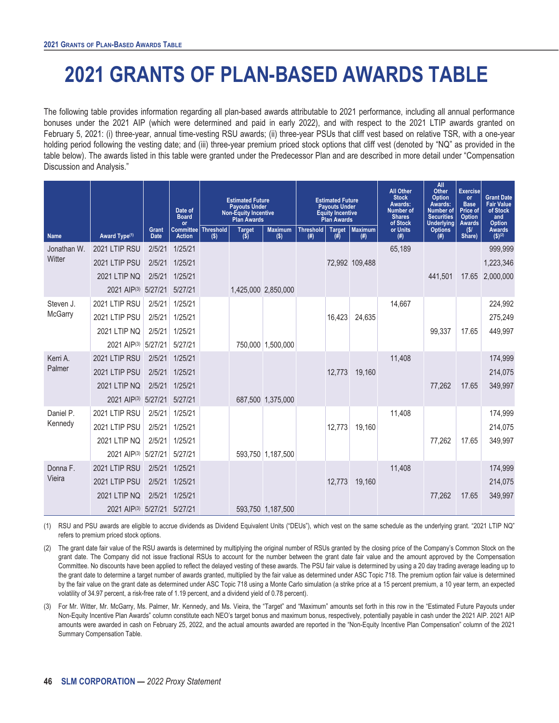# <span id="page-51-0"></span>**2021 GRANTS OF PLAN-BASED AWARDS TABLE**

The following table provides information regarding all plan-based awards attributable to 2021 performance, including all annual performance bonuses under the 2021 AIP (which were determined and paid in early 2022), and with respect to the 2021 LTIP awards granted on February 5, 2021: (i) three-year, annual time-vesting RSU awards; (ii) three-year PSUs that cliff vest based on relative TSR, with a one-year holding period following the vesting date; and (iii) three-year premium priced stock options that cliff vest (denoted by "NQ" as provided in the table below). The awards listed in this table were granted under the Predecessor Plan and are described in more detail under "Compensation Discussion and Analysis."

|             |                             |                      | Date of<br><b>Board</b><br>or          |         | <b>Estimated Future</b><br><b>Payouts Under</b><br><b>Non-Equity Incentive</b><br><b>Plan Awards</b> |                           | <b>Estimated Future</b><br><b>Payouts Under</b><br><b>Equity Incentive</b><br><b>Plan Awards</b> |                      | <b>All Other</b><br><b>Stock</b><br>Awards:<br><b>Number of</b><br><b>Shares</b><br>of Stock |                 | All<br>Other<br>Option<br>Awards:<br>Number of<br><b>Securities</b><br><b>Underlying</b> | <b>Exercise</b><br><b>or</b><br><b>Base</b><br>Price of<br><b>Option</b><br><b>Awards</b> | <b>Grant Date</b><br><b>Fair Value</b><br>of Stock<br>and<br>Option |
|-------------|-----------------------------|----------------------|----------------------------------------|---------|------------------------------------------------------------------------------------------------------|---------------------------|--------------------------------------------------------------------------------------------------|----------------------|----------------------------------------------------------------------------------------------|-----------------|------------------------------------------------------------------------------------------|-------------------------------------------------------------------------------------------|---------------------------------------------------------------------|
| <b>Name</b> | Award Type <sup>(1)</sup>   | Grant<br><b>Date</b> | Committee   Threshold<br><b>Action</b> | $($ \$) | <b>Target</b><br>$(\overline{\$})$                                                                   | <b>Maximum</b><br>$($ \$) | <b>Threshold</b><br>(# )                                                                         | <b>Target</b><br>(#) | <b>Maximum</b><br>(#)                                                                        | or Units<br>(#) | <b>Options</b><br>(#)                                                                    | (S)<br>Share)                                                                             | <b>Awards</b><br>$(S)^{(2)}$                                        |
| Jonathan W. | 2021 LTIP RSU               | 2/5/21               | 1/25/21                                |         |                                                                                                      |                           |                                                                                                  |                      |                                                                                              | 65,189          |                                                                                          |                                                                                           | 999,999                                                             |
| Witter      | 2021 LTIP PSU               | 2/5/21               | 1/25/21                                |         |                                                                                                      |                           |                                                                                                  |                      | 72,992 109,488                                                                               |                 |                                                                                          |                                                                                           | 1,223,346                                                           |
|             | <b>2021 LTIP NQ</b>         | 2/5/21               | 1/25/21                                |         |                                                                                                      |                           |                                                                                                  |                      |                                                                                              |                 | 441.501                                                                                  | 17.65                                                                                     | 2,000,000                                                           |
|             | 2021 AIP(3) 5/27/21         |                      | 5/27/21                                |         |                                                                                                      | 1,425,000 2,850,000       |                                                                                                  |                      |                                                                                              |                 |                                                                                          |                                                                                           |                                                                     |
| Steven J.   | 2021 LTIP RSU               | 2/5/21               | 1/25/21                                |         |                                                                                                      |                           |                                                                                                  |                      |                                                                                              | 14,667          |                                                                                          |                                                                                           | 224,992                                                             |
| McGarry     | 2021 LTIP PSU               | 2/5/21               | 1/25/21                                |         |                                                                                                      |                           |                                                                                                  | 16,423               | 24,635                                                                                       |                 |                                                                                          |                                                                                           | 275,249                                                             |
|             | 2021 LTIP NQ                | 2/5/21               | 1/25/21                                |         |                                                                                                      |                           |                                                                                                  |                      |                                                                                              |                 | 99,337                                                                                   | 17.65                                                                                     | 449,997                                                             |
|             | 2021 AIP(3)                 | 5/27/21              | 5/27/21                                |         |                                                                                                      | 750,000 1,500,000         |                                                                                                  |                      |                                                                                              |                 |                                                                                          |                                                                                           |                                                                     |
| Kerri A.    | 2021 LTIP RSU               | 2/5/21               | 1/25/21                                |         |                                                                                                      |                           |                                                                                                  |                      |                                                                                              | 11,408          |                                                                                          |                                                                                           | 174,999                                                             |
| Palmer      | 2021 LTIP PSU               | 2/5/21               | 1/25/21                                |         |                                                                                                      |                           |                                                                                                  | 12.773               | 19.160                                                                                       |                 |                                                                                          |                                                                                           | 214,075                                                             |
|             | 2021 LTIP NQ                | 2/5/21               | 1/25/21                                |         |                                                                                                      |                           |                                                                                                  |                      |                                                                                              |                 | 77,262                                                                                   | 17.65                                                                                     | 349,997                                                             |
|             | 2021 AIP(3) 5/27/21         |                      | 5/27/21                                |         |                                                                                                      | 687,500 1,375,000         |                                                                                                  |                      |                                                                                              |                 |                                                                                          |                                                                                           |                                                                     |
| Daniel P.   | 2021 LTIP RSU               | 2/5/21               | 1/25/21                                |         |                                                                                                      |                           |                                                                                                  |                      |                                                                                              | 11,408          |                                                                                          |                                                                                           | 174,999                                                             |
| Kennedy     | 2021 LTIP PSU               | 2/5/21               | 1/25/21                                |         |                                                                                                      |                           |                                                                                                  | 12,773               | 19,160                                                                                       |                 |                                                                                          |                                                                                           | 214,075                                                             |
|             | <b>2021 LTIP NQ</b>         | 2/5/21               | 1/25/21                                |         |                                                                                                      |                           |                                                                                                  |                      |                                                                                              |                 | 77.262                                                                                   | 17.65                                                                                     | 349,997                                                             |
|             | 2021 AIP(3) 5/27/21         |                      | 5/27/21                                |         |                                                                                                      | 593,750 1,187,500         |                                                                                                  |                      |                                                                                              |                 |                                                                                          |                                                                                           |                                                                     |
| Donna F.    | 2021 LTIP RSU               | 2/5/21               | 1/25/21                                |         |                                                                                                      |                           |                                                                                                  |                      |                                                                                              | 11,408          |                                                                                          |                                                                                           | 174,999                                                             |
| Vieira      | 2021 LTIP PSU               | 2/5/21               | 1/25/21                                |         |                                                                                                      |                           |                                                                                                  | 12,773               | 19,160                                                                                       |                 |                                                                                          |                                                                                           | 214,075                                                             |
|             | <b>2021 LTIP NQ</b>         | 2/5/21               | 1/25/21                                |         |                                                                                                      |                           |                                                                                                  |                      |                                                                                              |                 | 77,262                                                                                   | 17.65                                                                                     | 349,997                                                             |
|             | 2021 AIP(3) 5/27/21 5/27/21 |                      |                                        |         |                                                                                                      | 593,750 1,187,500         |                                                                                                  |                      |                                                                                              |                 |                                                                                          |                                                                                           |                                                                     |

(1) RSU and PSU awards are eligible to accrue dividends as Dividend Equivalent Units ("DEUs"), which vest on the same schedule as the underlying grant. "2021 LTIP NQ" refers to premium priced stock options.

(2) The grant date fair value of the RSU awards is determined by multiplying the original number of RSUs granted by the closing price of the Company's Common Stock on the grant date. The Company did not issue fractional RSUs to account for the number between the grant date fair value and the amount approved by the Compensation Committee. No discounts have been applied to reflect the delayed vesting of these awards. The PSU fair value is determined by using a 20 day trading average leading up to the grant date to determine a target number of awards granted, multiplied by the fair value as determined under ASC Topic 718. The premium option fair value is determined by the fair value on the grant date as determined under ASC Topic 718 using a Monte Carlo simulation (a strike price at a 15 percent premium, a 10 year term, an expected volatility of 34.97 percent, a risk-free rate of 1.19 percent, and a dividend yield of 0.78 percent).

(3) For Mr. Witter, Mr. McGarry, Ms. Palmer, Mr. Kennedy, and Ms. Vieira, the "Target" and "Maximum" amounts set forth in this row in the "Estimated Future Payouts under Non-Equity Incentive Plan Awards" column constitute each NEO's target bonus and maximum bonus, respectively, potentially payable in cash under the 2021 AIP. 2021 AIP amounts were awarded in cash on February 25, 2022, and the actual amounts awarded are reported in the "Non-Equity Incentive Plan Compensation" column of the 2021 Summary Compensation Table.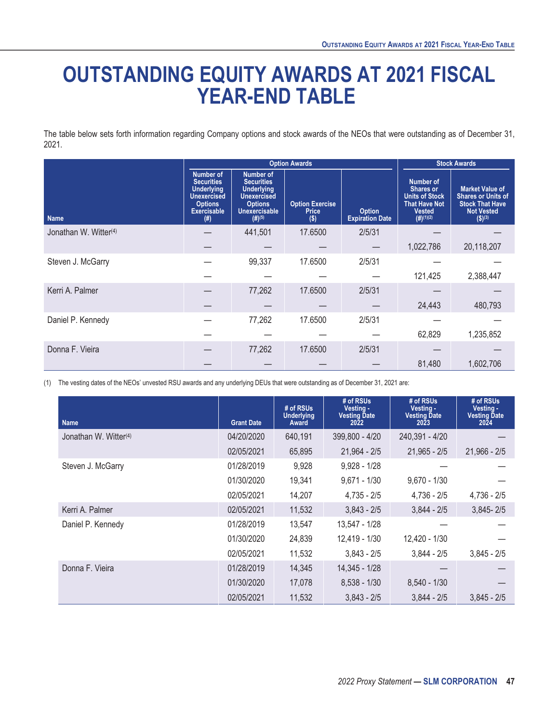# <span id="page-52-0"></span>**OUTSTANDING EQUITY AWARDS AT 2021 FISCAL YEAR-END TABLE**

The table below sets forth information regarding Company options and stock awards of the NEOs that were outstanding as of December 31, 2021.

|                                   |                                                                                                                                 | <b>Option Awards</b>                                                                                                                      | <b>Stock Awards</b>                               |                                         |                                                                                                              |                                                                                                                              |
|-----------------------------------|---------------------------------------------------------------------------------------------------------------------------------|-------------------------------------------------------------------------------------------------------------------------------------------|---------------------------------------------------|-----------------------------------------|--------------------------------------------------------------------------------------------------------------|------------------------------------------------------------------------------------------------------------------------------|
| <b>Name</b>                       | <b>Number of</b><br><b>Securities</b><br><b>Underlying</b><br><b>Unexercised</b><br><b>Options</b><br><b>Exercisable</b><br>(#) | <b>Number of</b><br><b>Securities</b><br><b>Underlying</b><br><b>Unexercised</b><br><b>Options</b><br><b>Unexercisable</b><br>$(#)^{(5)}$ | <b>Option Exercise</b><br><b>Price</b><br>$($ \$) | <b>Option</b><br><b>Expiration Date</b> | Number of<br><b>Shares or</b><br><b>Units of Stock</b><br><b>That Have Not</b><br><b>Vested</b><br>(#)(1)(2) | <b>Market Value of</b><br><b>Shares or Units of</b><br><b>Stock That Have</b><br><b>Not Vested</b><br>$($ \$) <sup>(3)</sup> |
| Jonathan W. Witter <sup>(4)</sup> |                                                                                                                                 | 441,501                                                                                                                                   | 17.6500                                           | 2/5/31                                  |                                                                                                              |                                                                                                                              |
|                                   |                                                                                                                                 |                                                                                                                                           |                                                   |                                         | 1,022,786                                                                                                    | 20,118,207                                                                                                                   |
| Steven J. McGarry                 |                                                                                                                                 | 99,337                                                                                                                                    | 17.6500                                           | 2/5/31                                  |                                                                                                              |                                                                                                                              |
|                                   |                                                                                                                                 |                                                                                                                                           |                                                   |                                         | 121,425                                                                                                      | 2,388,447                                                                                                                    |
| Kerri A. Palmer                   |                                                                                                                                 | 77,262                                                                                                                                    | 17.6500                                           | 2/5/31                                  |                                                                                                              |                                                                                                                              |
|                                   |                                                                                                                                 |                                                                                                                                           |                                                   |                                         | 24,443                                                                                                       | 480,793                                                                                                                      |
| Daniel P. Kennedy                 |                                                                                                                                 | 77,262                                                                                                                                    | 17.6500                                           | 2/5/31                                  |                                                                                                              |                                                                                                                              |
|                                   |                                                                                                                                 |                                                                                                                                           |                                                   |                                         | 62,829                                                                                                       | 1,235,852                                                                                                                    |
| Donna F. Vieira                   |                                                                                                                                 | 77,262                                                                                                                                    | 17.6500                                           | 2/5/31                                  |                                                                                                              |                                                                                                                              |
|                                   |                                                                                                                                 |                                                                                                                                           |                                                   |                                         | 81,480                                                                                                       | 1,602,706                                                                                                                    |

(1) The vesting dates of the NEOs' unvested RSU awards and any underlying DEUs that were outstanding as of December 31, 2021 are:

| <b>Name</b>                       | <b>Grant Date</b> | # of RSUs<br><b>Underlying</b><br>Award | # of RSUs<br>Vesting -<br><b>Vesting Date</b><br>2022 | # of RSUs<br>Vesting -<br><b>Vesting Date</b><br>2023 | # of RSUs<br>Vesting -<br><b>Vesting Date</b><br>2024 |
|-----------------------------------|-------------------|-----------------------------------------|-------------------------------------------------------|-------------------------------------------------------|-------------------------------------------------------|
| Jonathan W. Witter <sup>(4)</sup> | 04/20/2020        | 640,191                                 | 399,800 - 4/20                                        | 240,391 - 4/20                                        |                                                       |
|                                   | 02/05/2021        | 65,895                                  | $21,964 - 2/5$                                        | $21,965 - 2/5$                                        | $21,966 - 2/5$                                        |
| Steven J. McGarry                 | 01/28/2019        | 9,928                                   | $9,928 - 1/28$                                        |                                                       |                                                       |
|                                   | 01/30/2020        | 19,341                                  | $9,671 - 1/30$                                        | $9,670 - 1/30$                                        |                                                       |
|                                   | 02/05/2021        | 14,207                                  | $4,735 - 2/5$                                         | $4,736 - 2/5$                                         | $4,736 - 2/5$                                         |
| Kerri A. Palmer                   | 02/05/2021        | 11,532                                  | $3,843 - 2/5$                                         | $3,844 - 2/5$                                         | $3,845 - 2/5$                                         |
| Daniel P. Kennedy                 | 01/28/2019        | 13,547                                  | 13,547 - 1/28                                         |                                                       |                                                       |
|                                   | 01/30/2020        | 24,839                                  | 12,419 - 1/30                                         | 12,420 - 1/30                                         |                                                       |
|                                   | 02/05/2021        | 11,532                                  | $3,843 - 2/5$                                         | $3,844 - 2/5$                                         | $3,845 - 2/5$                                         |
| Donna F. Vieira                   | 01/28/2019        | 14,345                                  | 14,345 - 1/28                                         |                                                       |                                                       |
|                                   | 01/30/2020        | 17,078                                  | $8,538 - 1/30$                                        | $8,540 - 1/30$                                        |                                                       |
|                                   | 02/05/2021        | 11,532                                  | $3,843 - 2/5$                                         | $3.844 - 2/5$                                         | $3.845 - 2/5$                                         |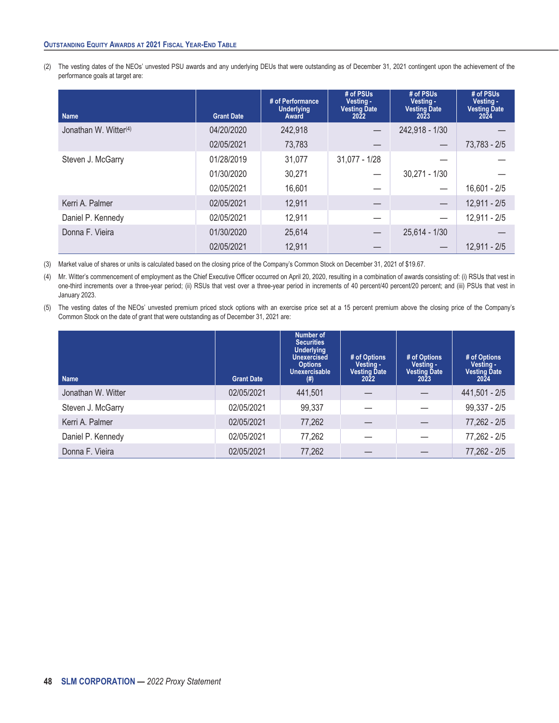#### **OUTSTANDING EQUITY AWARDS AT 2021 FISCAL YEAR-END TABLE**

(2) The vesting dates of the NEOs' unvested PSU awards and any underlying DEUs that were outstanding as of December 31, 2021 contingent upon the achievement of the performance goals at target are:

| <b>Name</b>                       | <b>Grant Date</b> | # of Performance<br><b>Underlying</b><br>Award | # of PSUs<br>Vesting -<br><b>Vesting Date</b><br>2022 | # of PSUs<br>Vesting -<br><b>Vesting Date</b><br>2023 | # of PSUs<br>Vesting -<br><b>Vesting Date</b><br>2024 |
|-----------------------------------|-------------------|------------------------------------------------|-------------------------------------------------------|-------------------------------------------------------|-------------------------------------------------------|
| Jonathan W. Witter <sup>(4)</sup> | 04/20/2020        | 242,918                                        |                                                       | 242,918 - 1/30                                        |                                                       |
|                                   | 02/05/2021        | 73,783                                         |                                                       |                                                       | $73,783 - 2/5$                                        |
| Steven J. McGarry                 | 01/28/2019        | 31,077                                         | $31,077 - 1/28$                                       |                                                       |                                                       |
|                                   | 01/30/2020        | 30,271                                         |                                                       | $30,271 - 1/30$                                       |                                                       |
|                                   | 02/05/2021        | 16,601                                         |                                                       |                                                       | $16,601 - 2/5$                                        |
| Kerri A. Palmer                   | 02/05/2021        | 12,911                                         |                                                       |                                                       | $12,911 - 2/5$                                        |
| Daniel P. Kennedy                 | 02/05/2021        | 12,911                                         |                                                       |                                                       | $12,911 - 2/5$                                        |
| Donna F. Vieira                   | 01/30/2020        | 25,614                                         |                                                       | $25,614 - 1/30$                                       |                                                       |
|                                   | 02/05/2021        | 12,911                                         |                                                       |                                                       | $12,911 - 2/5$                                        |

(3) Market value of shares or units is calculated based on the closing price of the Company's Common Stock on December 31, 2021 of \$19.67.

(4) Mr. Witter's commencement of employment as the Chief Executive Officer occurred on April 20, 2020, resulting in a combination of awards consisting of: (i) RSUs that vest in one-third increments over a three-year period; (ii) RSUs that vest over a three-year period in increments of 40 percent/40 percent/20 percent; and (iii) PSUs that vest in January 2023.

(5) The vesting dates of the NEOs' unvested premium priced stock options with an exercise price set at a 15 percent premium above the closing price of the Company's Common Stock on the date of grant that were outstanding as of December 31, 2021 are:

| <b>Name</b>        | <b>Grant Date</b> | Number of<br><b>Securities</b><br><b>Underlying</b><br><b>Unexercised</b><br><b>Options</b><br>Unexercisable<br>(# ) | # of Options<br>Vesting -<br><b>Vesting Date</b><br>2022 | # of Options<br>Vesting -<br><b>Vesting Date</b><br>2023 | # of Options<br>Vesting -<br><b>Vesting Date</b><br>2024 |
|--------------------|-------------------|----------------------------------------------------------------------------------------------------------------------|----------------------------------------------------------|----------------------------------------------------------|----------------------------------------------------------|
| Jonathan W. Witter | 02/05/2021        | 441,501                                                                                                              |                                                          |                                                          | 441,501 - 2/5                                            |
| Steven J. McGarry  | 02/05/2021        | 99,337                                                                                                               |                                                          |                                                          | $99,337 - 2/5$                                           |
| Kerri A. Palmer    | 02/05/2021        | 77,262                                                                                                               |                                                          |                                                          | $77,262 - 2/5$                                           |
| Daniel P. Kennedy  | 02/05/2021        | 77,262                                                                                                               |                                                          |                                                          | 77,262 - 2/5                                             |
| Donna F. Vieira    | 02/05/2021        | 77,262                                                                                                               |                                                          |                                                          | $77,262 - 2/5$                                           |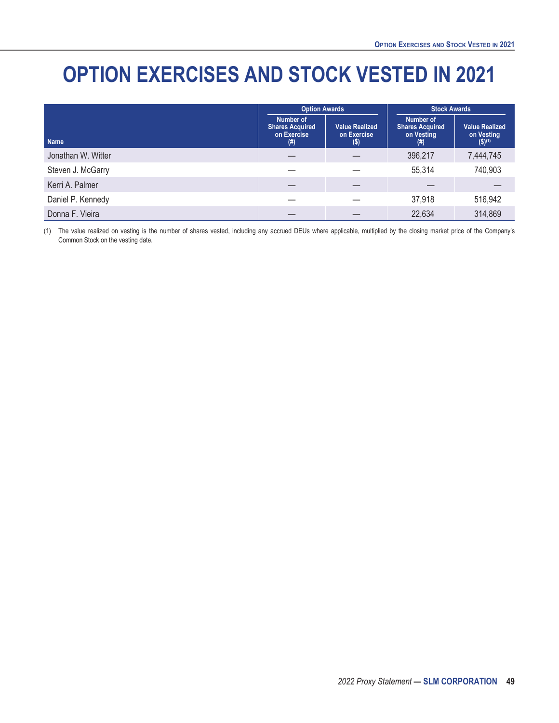# <span id="page-54-0"></span>**OPTION EXERCISES AND STOCK VESTED IN 2021**

|                    | <b>Option Awards</b>                                         |                                               | <b>Stock Awards</b>                                         |                                                               |  |
|--------------------|--------------------------------------------------------------|-----------------------------------------------|-------------------------------------------------------------|---------------------------------------------------------------|--|
| <b>Name</b>        | Number of<br><b>Shares Acquired</b><br>on Exercise<br>$(\#)$ | <b>Value Realized</b><br>on Exercise<br>$($)$ | Number of<br><b>Shares Acquired</b><br>on Vesting<br>$(\#)$ | <b>Value Realized</b><br>on Vesting<br>$($ \$) <sup>(1)</sup> |  |
| Jonathan W. Witter |                                                              |                                               | 396,217                                                     | 7,444,745                                                     |  |
| Steven J. McGarry  |                                                              |                                               | 55,314                                                      | 740,903                                                       |  |
| Kerri A. Palmer    |                                                              |                                               |                                                             |                                                               |  |
| Daniel P. Kennedy  |                                                              |                                               | 37,918                                                      | 516,942                                                       |  |
| Donna F. Vieira    |                                                              |                                               | 22,634                                                      | 314,869                                                       |  |

(1) The value realized on vesting is the number of shares vested, including any accrued DEUs where applicable, multiplied by the closing market price of the Company's Common Stock on the vesting date.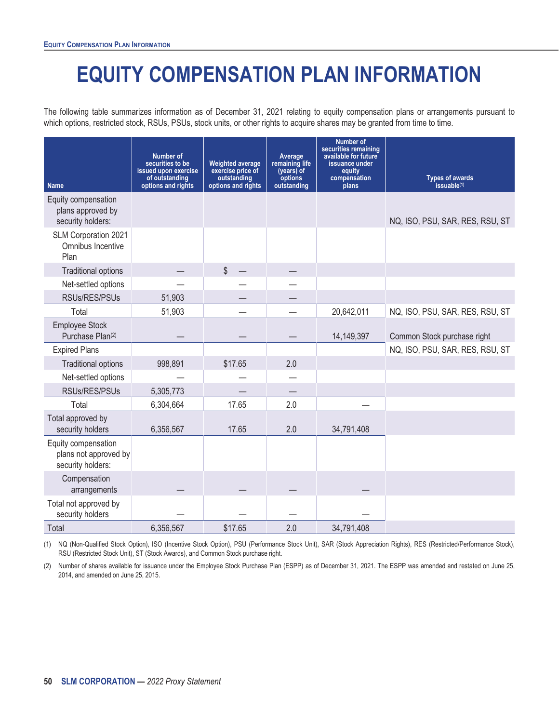# **EQUITY COMPENSATION PLAN INFORMATION**

<span id="page-55-0"></span>The following table summarizes information as of December 31, 2021 relating to equity compensation plans or arrangements pursuant to which options, restricted stock, RSUs, PSUs, stock units, or other rights to acquire shares may be granted from time to time.

| <b>Name</b>                                                       | <b>Number of</b><br>securities to be<br>issued upon exercise<br>of outstanding<br>options and rights | <b>Weighted average</b><br>exercise price of<br>outstanding<br>options and rights | Average<br>remaining life<br>(years) of<br>options<br>outstanding | <b>Number of</b><br>securities remaining<br>available for future<br>issuance under<br>equity<br>compensation<br>plans | <b>Types of awards</b><br>issuable <sup>(1)</sup> |
|-------------------------------------------------------------------|------------------------------------------------------------------------------------------------------|-----------------------------------------------------------------------------------|-------------------------------------------------------------------|-----------------------------------------------------------------------------------------------------------------------|---------------------------------------------------|
| Equity compensation<br>plans approved by<br>security holders:     |                                                                                                      |                                                                                   |                                                                   |                                                                                                                       | NQ, ISO, PSU, SAR, RES, RSU, ST                   |
| SLM Corporation 2021<br>Omnibus Incentive<br>Plan                 |                                                                                                      |                                                                                   |                                                                   |                                                                                                                       |                                                   |
| <b>Traditional options</b>                                        |                                                                                                      | \$                                                                                |                                                                   |                                                                                                                       |                                                   |
| Net-settled options                                               |                                                                                                      |                                                                                   |                                                                   |                                                                                                                       |                                                   |
| RSUs/RES/PSUs                                                     | 51,903                                                                                               |                                                                                   |                                                                   |                                                                                                                       |                                                   |
| Total                                                             | 51,903                                                                                               |                                                                                   |                                                                   | 20,642,011                                                                                                            | NQ, ISO, PSU, SAR, RES, RSU, ST                   |
| <b>Employee Stock</b><br>Purchase Plan(2)                         |                                                                                                      |                                                                                   |                                                                   | 14,149,397                                                                                                            | Common Stock purchase right                       |
| <b>Expired Plans</b>                                              |                                                                                                      |                                                                                   |                                                                   |                                                                                                                       | NQ, ISO, PSU, SAR, RES, RSU, ST                   |
| <b>Traditional options</b>                                        | 998,891                                                                                              | \$17.65                                                                           | 2.0                                                               |                                                                                                                       |                                                   |
| Net-settled options                                               |                                                                                                      |                                                                                   |                                                                   |                                                                                                                       |                                                   |
| RSUs/RES/PSUs                                                     | 5,305,773                                                                                            |                                                                                   |                                                                   |                                                                                                                       |                                                   |
| Total                                                             | 6,304,664                                                                                            | 17.65                                                                             | 2.0                                                               |                                                                                                                       |                                                   |
| Total approved by<br>security holders                             | 6,356,567                                                                                            | 17.65                                                                             | 2.0                                                               | 34,791,408                                                                                                            |                                                   |
| Equity compensation<br>plans not approved by<br>security holders: |                                                                                                      |                                                                                   |                                                                   |                                                                                                                       |                                                   |
| Compensation<br>arrangements                                      |                                                                                                      |                                                                                   |                                                                   |                                                                                                                       |                                                   |
| Total not approved by<br>security holders                         |                                                                                                      |                                                                                   |                                                                   |                                                                                                                       |                                                   |
| Total                                                             | 6,356,567                                                                                            | \$17.65                                                                           | 2.0                                                               | 34,791,408                                                                                                            |                                                   |

(1) NQ (Non-Qualified Stock Option), ISO (Incentive Stock Option), PSU (Performance Stock Unit), SAR (Stock Appreciation Rights), RES (Restricted/Performance Stock), RSU (Restricted Stock Unit), ST (Stock Awards), and Common Stock purchase right.

(2) Number of shares available for issuance under the Employee Stock Purchase Plan (ESPP) as of December 31, 2021. The ESPP was amended and restated on June 25, 2014, and amended on June 25, 2015.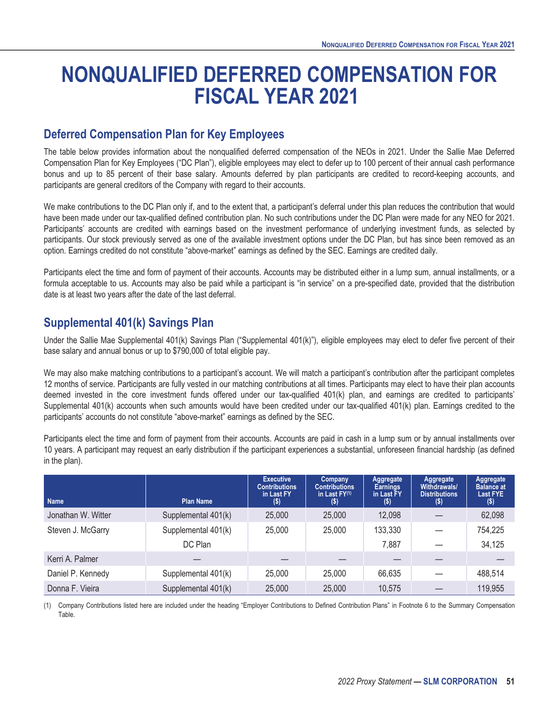# <span id="page-56-0"></span>**NONQUALIFIED DEFERRED COMPENSATION FOR FISCAL YEAR 2021**

### <span id="page-56-1"></span>**Deferred Compensation Plan for Key Employees**

The table below provides information about the nonqualified deferred compensation of the NEOs in 2021. Under the Sallie Mae Deferred Compensation Plan for Key Employees ("DC Plan"), eligible employees may elect to defer up to 100 percent of their annual cash performance bonus and up to 85 percent of their base salary. Amounts deferred by plan participants are credited to record-keeping accounts, and participants are general creditors of the Company with regard to their accounts.

We make contributions to the DC Plan only if, and to the extent that, a participant's deferral under this plan reduces the contribution that would have been made under our tax-qualified defined contribution plan. No such contributions under the DC Plan were made for any NEO for 2021. Participants' accounts are credited with earnings based on the investment performance of underlying investment funds, as selected by participants. Our stock previously served as one of the available investment options under the DC Plan, but has since been removed as an option. Earnings credited do not constitute "above-market" earnings as defined by the SEC. Earnings are credited daily.

Participants elect the time and form of payment of their accounts. Accounts may be distributed either in a lump sum, annual installments, or a formula acceptable to us. Accounts may also be paid while a participant is "in service" on a pre-specified date, provided that the distribution date is at least two years after the date of the last deferral.

### <span id="page-56-2"></span>**Supplemental 401(k) Savings Plan**

Under the Sallie Mae Supplemental 401(k) Savings Plan ("Supplemental 401(k)"), eligible employees may elect to defer five percent of their base salary and annual bonus or up to \$790,000 of total eligible pay.

We may also make matching contributions to a participant's account. We will match a participant's contribution after the participant completes 12 months of service. Participants are fully vested in our matching contributions at all times. Participants may elect to have their plan accounts deemed invested in the core investment funds offered under our tax-qualified 401(k) plan, and earnings are credited to participants' Supplemental 401(k) accounts when such amounts would have been credited under our tax-qualified 401(k) plan. Earnings credited to the participants' accounts do not constitute "above-market" earnings as defined by the SEC.

Participants elect the time and form of payment from their accounts. Accounts are paid in cash in a lump sum or by annual installments over 10 years. A participant may request an early distribution if the participant experiences a substantial, unforeseen financial hardship (as defined in the plan).

| <b>Name</b>        | <b>Plan Name</b>    | <b>Executive</b><br><b>Contributions</b><br>in Last FY<br>(\$) | Company<br><b>Contributions</b><br>in Last $FY^{(1)}$<br>(\$) | Aggregate<br><b>Earnings</b><br>in Last FY<br>$($ \$) | Aggregate<br>Withdrawals/<br><b>Distributions</b><br>$\left( \text{\$}\right)$ | Aggregate<br><b>Balance at</b><br><b>Last FYE</b><br>$($ \$) |
|--------------------|---------------------|----------------------------------------------------------------|---------------------------------------------------------------|-------------------------------------------------------|--------------------------------------------------------------------------------|--------------------------------------------------------------|
| Jonathan W. Witter | Supplemental 401(k) | 25,000                                                         | 25,000                                                        | 12,098                                                |                                                                                | 62,098                                                       |
|                    |                     |                                                                |                                                               |                                                       |                                                                                |                                                              |
| Steven J. McGarry  | Supplemental 401(k) | 25,000                                                         | 25,000                                                        | 133,330                                               |                                                                                | 754,225                                                      |
|                    | DC Plan             |                                                                |                                                               | 7,887                                                 |                                                                                | 34,125                                                       |
| Kerri A. Palmer    |                     |                                                                |                                                               |                                                       |                                                                                |                                                              |
| Daniel P. Kennedy  | Supplemental 401(k) | 25,000                                                         | 25,000                                                        | 66.635                                                |                                                                                | 488,514                                                      |
| Donna F. Vieira    | Supplemental 401(k) | 25,000                                                         | 25,000                                                        | 10,575                                                |                                                                                | 119,955                                                      |

(1) Company Contributions listed here are included under the heading "Employer Contributions to Defined Contribution Plans" in Footnote 6 to the Summary Compensation Table.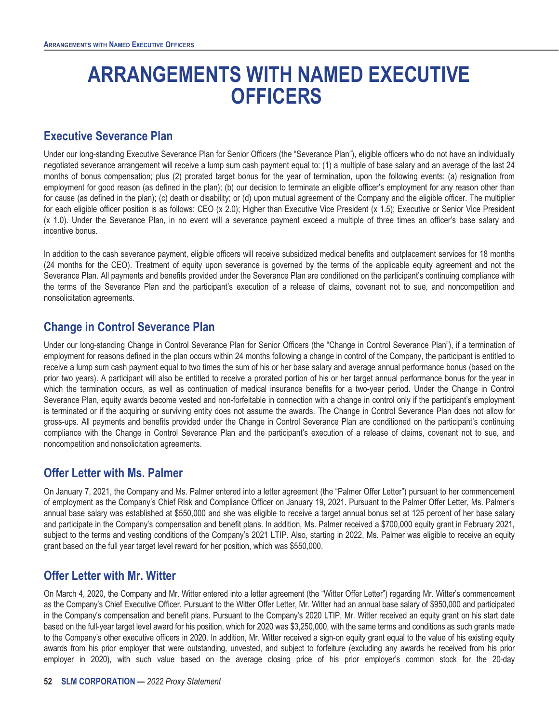# **ARRANGEMENTS WITH NAMED EXECUTIVE OFFICERS**

### <span id="page-57-1"></span><span id="page-57-0"></span>**Executive Severance Plan**

Under our long-standing Executive Severance Plan for Senior Officers (the "Severance Plan"), eligible officers who do not have an individually negotiated severance arrangement will receive a lump sum cash payment equal to: (1) a multiple of base salary and an average of the last 24 months of bonus compensation; plus (2) prorated target bonus for the year of termination, upon the following events: (a) resignation from employment for good reason (as defined in the plan); (b) our decision to terminate an eligible officer's employment for any reason other than for cause (as defined in the plan); (c) death or disability; or (d) upon mutual agreement of the Company and the eligible officer. The multiplier for each eligible officer position is as follows: CEO (x 2.0); Higher than Executive Vice President (x 1.5); Executive or Senior Vice President (x 1.0). Under the Severance Plan, in no event will a severance payment exceed a multiple of three times an officer's base salary and incentive bonus.

In addition to the cash severance payment, eligible officers will receive subsidized medical benefits and outplacement services for 18 months (24 months for the CEO). Treatment of equity upon severance is governed by the terms of the applicable equity agreement and not the Severance Plan. All payments and benefits provided under the Severance Plan are conditioned on the participant's continuing compliance with the terms of the Severance Plan and the participant's execution of a release of claims, covenant not to sue, and noncompetition and nonsolicitation agreements.

### <span id="page-57-2"></span>**Change in Control Severance Plan**

Under our long-standing Change in Control Severance Plan for Senior Officers (the "Change in Control Severance Plan"), if a termination of employment for reasons defined in the plan occurs within 24 months following a change in control of the Company, the participant is entitled to receive a lump sum cash payment equal to two times the sum of his or her base salary and average annual performance bonus (based on the prior two years). A participant will also be entitled to receive a prorated portion of his or her target annual performance bonus for the year in which the termination occurs, as well as continuation of medical insurance benefits for a two-year period. Under the Change in Control Severance Plan, equity awards become vested and non-forfeitable in connection with a change in control only if the participant's employment is terminated or if the acquiring or surviving entity does not assume the awards. The Change in Control Severance Plan does not allow for gross-ups. All payments and benefits provided under the Change in Control Severance Plan are conditioned on the participant's continuing compliance with the Change in Control Severance Plan and the participant's execution of a release of claims, covenant not to sue, and noncompetition and nonsolicitation agreements.

### <span id="page-57-3"></span>**Offer Letter with Ms. Palmer**

On January 7, 2021, the Company and Ms. Palmer entered into a letter agreement (the "Palmer Offer Letter") pursuant to her commencement of employment as the Company's Chief Risk and Compliance Officer on January 19, 2021. Pursuant to the Palmer Offer Letter, Ms. Palmer's annual base salary was established at \$550,000 and she was eligible to receive a target annual bonus set at 125 percent of her base salary and participate in the Company's compensation and benefit plans. In addition, Ms. Palmer received a \$700,000 equity grant in February 2021, subject to the terms and vesting conditions of the Company's 2021 LTIP. Also, starting in 2022, Ms. Palmer was eligible to receive an equity grant based on the full year target level reward for her position, which was \$550,000.

### <span id="page-57-4"></span>**Offer Letter with Mr. Witter**

On March 4, 2020, the Company and Mr. Witter entered into a letter agreement (the "Witter Offer Letter") regarding Mr. Witter's commencement as the Company's Chief Executive Officer. Pursuant to the Witter Offer Letter, Mr. Witter had an annual base salary of \$950,000 and participated in the Company's compensation and benefit plans. Pursuant to the Company's 2020 LTIP, Mr. Witter received an equity grant on his start date based on the full-year target level award for his position, which for 2020 was \$3,250,000, with the same terms and conditions as such grants made to the Company's other executive officers in 2020. In addition, Mr. Witter received a sign-on equity grant equal to the value of his existing equity awards from his prior employer that were outstanding, unvested, and subject to forfeiture (excluding any awards he received from his prior employer in 2020), with such value based on the average closing price of his prior employer's common stock for the 20-day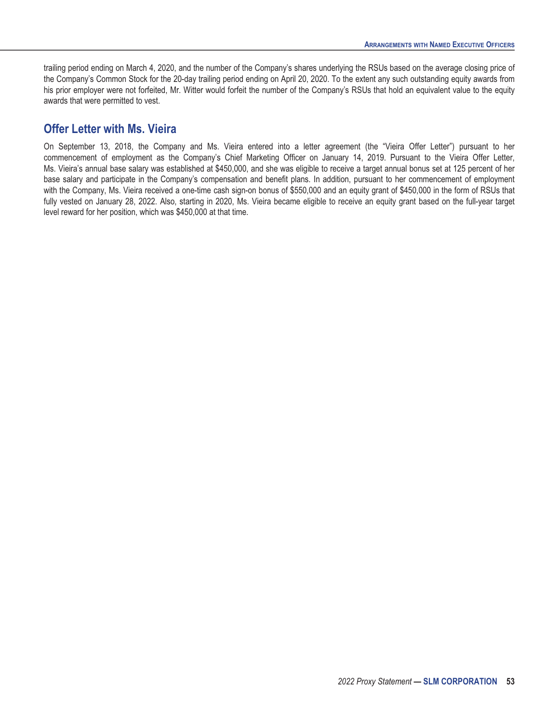trailing period ending on March 4, 2020, and the number of the Company's shares underlying the RSUs based on the average closing price of the Company's Common Stock for the 20-day trailing period ending on April 20, 2020. To the extent any such outstanding equity awards from his prior employer were not forfeited, Mr. Witter would forfeit the number of the Company's RSUs that hold an equivalent value to the equity awards that were permitted to vest.

#### <span id="page-58-0"></span>**Offer Letter with Ms. Vieira**

On September 13, 2018, the Company and Ms. Vieira entered into a letter agreement (the "Vieira Offer Letter") pursuant to her commencement of employment as the Company's Chief Marketing Officer on January 14, 2019. Pursuant to the Vieira Offer Letter, Ms. Vieira's annual base salary was established at \$450,000, and she was eligible to receive a target annual bonus set at 125 percent of her base salary and participate in the Company's compensation and benefit plans. In addition, pursuant to her commencement of employment with the Company, Ms. Vieira received a one-time cash sign-on bonus of \$550,000 and an equity grant of \$450,000 in the form of RSUs that fully vested on January 28, 2022. Also, starting in 2020, Ms. Vieira became eligible to receive an equity grant based on the full-year target level reward for her position, which was \$450,000 at that time.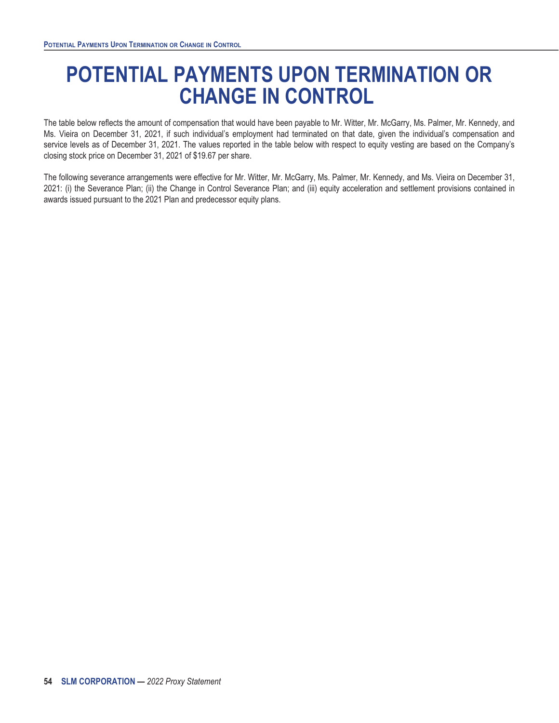# <span id="page-59-0"></span>**POTENTIAL PAYMENTS UPON TERMINATION OR CHANGE IN CONTROL**

The table below reflects the amount of compensation that would have been payable to Mr. Witter, Mr. McGarry, Ms. Palmer, Mr. Kennedy, and Ms. Vieira on December 31, 2021, if such individual's employment had terminated on that date, given the individual's compensation and service levels as of December 31, 2021. The values reported in the table below with respect to equity vesting are based on the Company's closing stock price on December 31, 2021 of \$19.67 per share.

The following severance arrangements were effective for Mr. Witter, Mr. McGarry, Ms. Palmer, Mr. Kennedy, and Ms. Vieira on December 31, 2021: (i) the Severance Plan; (ii) the Change in Control Severance Plan; and (iii) equity acceleration and settlement provisions contained in awards issued pursuant to the 2021 Plan and predecessor equity plans.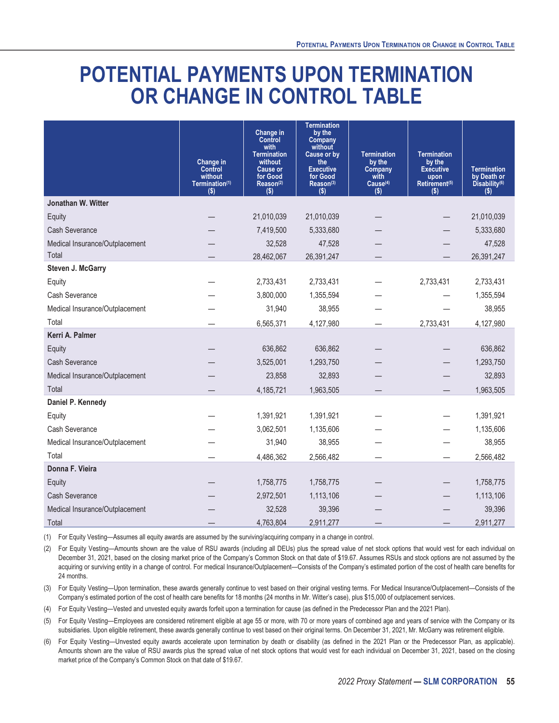# **POTENTIAL PAYMENTS UPON TERMINATION OR CHANGE IN CONTROL TABLE**

|                                | Change in<br><b>Control</b><br>without<br>Termination(1)<br>$($ \$) | <b>Change in</b><br><b>Control</b><br>with<br><b>Termination</b><br>without<br><b>Cause or</b><br>for Good<br>Reason <sup>(2)</sup><br>$($ \$) | <b>Termination</b><br>by the<br>Company<br>without<br>Cause or by<br>the<br><b>Executive</b><br>for Good<br>Reason(3)<br>$($ \$) | <b>Termination</b><br>by the<br>Company<br>with<br>Cause <sup>(4)</sup><br>$($ \$) | <b>Termination</b><br>by the<br><b>Executive</b><br>upon<br>Retirement <sup>(5)</sup><br>(s) | <b>Termination</b><br>by Death or<br>Disability <sup>(6)</sup><br>(S) |
|--------------------------------|---------------------------------------------------------------------|------------------------------------------------------------------------------------------------------------------------------------------------|----------------------------------------------------------------------------------------------------------------------------------|------------------------------------------------------------------------------------|----------------------------------------------------------------------------------------------|-----------------------------------------------------------------------|
| Jonathan W. Witter             |                                                                     |                                                                                                                                                |                                                                                                                                  |                                                                                    |                                                                                              |                                                                       |
| Equity                         |                                                                     | 21,010,039                                                                                                                                     | 21,010,039                                                                                                                       |                                                                                    |                                                                                              | 21,010,039                                                            |
| Cash Severance                 |                                                                     | 7,419,500                                                                                                                                      | 5,333,680                                                                                                                        |                                                                                    |                                                                                              | 5,333,680                                                             |
| Medical Insurance/Outplacement |                                                                     | 32,528                                                                                                                                         | 47,528                                                                                                                           |                                                                                    |                                                                                              | 47,528                                                                |
| Total                          |                                                                     | 28,462,067                                                                                                                                     | 26,391,247                                                                                                                       |                                                                                    |                                                                                              | 26,391,247                                                            |
| Steven J. McGarry              |                                                                     |                                                                                                                                                |                                                                                                                                  |                                                                                    |                                                                                              |                                                                       |
| Equity                         |                                                                     | 2,733,431                                                                                                                                      | 2,733,431                                                                                                                        |                                                                                    | 2,733,431                                                                                    | 2,733,431                                                             |
| Cash Severance                 |                                                                     | 3,800,000                                                                                                                                      | 1,355,594                                                                                                                        |                                                                                    |                                                                                              | 1,355,594                                                             |
| Medical Insurance/Outplacement |                                                                     | 31,940                                                                                                                                         | 38,955                                                                                                                           |                                                                                    |                                                                                              | 38,955                                                                |
| Total                          |                                                                     | 6,565,371                                                                                                                                      | 4,127,980                                                                                                                        |                                                                                    | 2,733,431                                                                                    | 4,127,980                                                             |
| Kerri A. Palmer                |                                                                     |                                                                                                                                                |                                                                                                                                  |                                                                                    |                                                                                              |                                                                       |
| Equity                         |                                                                     | 636,862                                                                                                                                        | 636,862                                                                                                                          |                                                                                    |                                                                                              | 636,862                                                               |
| Cash Severance                 |                                                                     | 3,525,001                                                                                                                                      | 1,293,750                                                                                                                        |                                                                                    |                                                                                              | 1,293,750                                                             |
| Medical Insurance/Outplacement |                                                                     | 23,858                                                                                                                                         | 32,893                                                                                                                           |                                                                                    |                                                                                              | 32,893                                                                |
| Total                          |                                                                     | 4,185,721                                                                                                                                      | 1,963,505                                                                                                                        |                                                                                    |                                                                                              | 1,963,505                                                             |
| Daniel P. Kennedy              |                                                                     |                                                                                                                                                |                                                                                                                                  |                                                                                    |                                                                                              |                                                                       |
| Equity                         |                                                                     | 1,391,921                                                                                                                                      | 1,391,921                                                                                                                        |                                                                                    |                                                                                              | 1,391,921                                                             |
| Cash Severance                 |                                                                     | 3,062,501                                                                                                                                      | 1,135,606                                                                                                                        |                                                                                    |                                                                                              | 1,135,606                                                             |
| Medical Insurance/Outplacement |                                                                     | 31,940                                                                                                                                         | 38,955                                                                                                                           |                                                                                    |                                                                                              | 38,955                                                                |
| Total                          |                                                                     | 4,486,362                                                                                                                                      | 2,566,482                                                                                                                        |                                                                                    |                                                                                              | 2,566,482                                                             |
| Donna F. Vieira                |                                                                     |                                                                                                                                                |                                                                                                                                  |                                                                                    |                                                                                              |                                                                       |
| Equity                         |                                                                     | 1,758,775                                                                                                                                      | 1,758,775                                                                                                                        |                                                                                    |                                                                                              | 1,758,775                                                             |
| Cash Severance                 |                                                                     | 2,972,501                                                                                                                                      | 1,113,106                                                                                                                        |                                                                                    |                                                                                              | 1,113,106                                                             |
| Medical Insurance/Outplacement |                                                                     | 32,528                                                                                                                                         | 39,396                                                                                                                           |                                                                                    |                                                                                              | 39,396                                                                |
| Total                          |                                                                     | 4,763,804                                                                                                                                      | 2,911,277                                                                                                                        |                                                                                    |                                                                                              | 2,911,277                                                             |

(1) For Equity Vesting—Assumes all equity awards are assumed by the surviving/acquiring company in a change in control.

(2) For Equity Vesting—Amounts shown are the value of RSU awards (including all DEUs) plus the spread value of net stock options that would vest for each individual on December 31, 2021, based on the closing market price of the Company's Common Stock on that date of \$19.67. Assumes RSUs and stock options are not assumed by the acquiring or surviving entity in a change of control. For medical Insurance/Outplacement—Consists of the Company's estimated portion of the cost of health care benefits for 24 months.

(3) For Equity Vesting—Upon termination, these awards generally continue to vest based on their original vesting terms. For Medical Insurance/Outplacement—Consists of the Company's estimated portion of the cost of health care benefits for 18 months (24 months in Mr. Witter's case), plus \$15,000 of outplacement services.

(4) For Equity Vesting—Vested and unvested equity awards forfeit upon a termination for cause (as defined in the Predecessor Plan and the 2021 Plan).

(5) For Equity Vesting—Employees are considered retirement eligible at age 55 or more, with 70 or more years of combined age and years of service with the Company or its subsidiaries. Upon eligible retirement, these awards generally continue to vest based on their original terms. On December 31, 2021, Mr. McGarry was retirement eligible.

(6) For Equity Vesting—Unvested equity awards accelerate upon termination by death or disability (as defined in the 2021 Plan or the Predecessor Plan, as applicable). Amounts shown are the value of RSU awards plus the spread value of net stock options that would vest for each individual on December 31, 2021, based on the closing market price of the Company's Common Stock on that date of \$19.67.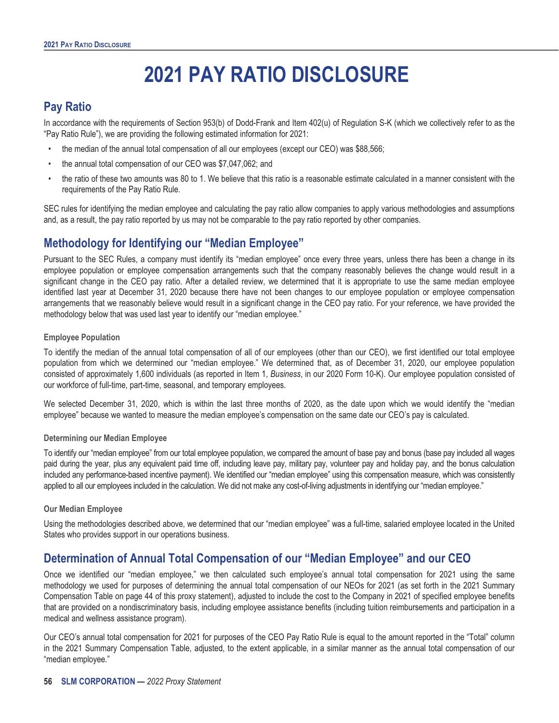# **2021 PAY RATIO DISCLOSURE**

## <span id="page-61-1"></span><span id="page-61-0"></span>**Pay Ratio**

In accordance with the requirements of Section 953(b) of Dodd-Frank and Item 402(u) of Regulation S-K (which we collectively refer to as the "Pay Ratio Rule"), we are providing the following estimated information for 2021:

- the median of the annual total compensation of all our employees (except our CEO) was \$88,566;
- the annual total compensation of our CEO was \$7,047,062; and
- the ratio of these two amounts was 80 to 1. We believe that this ratio is a reasonable estimate calculated in a manner consistent with the requirements of the Pay Ratio Rule.

SEC rules for identifying the median employee and calculating the pay ratio allow companies to apply various methodologies and assumptions and, as a result, the pay ratio reported by us may not be comparable to the pay ratio reported by other companies.

## <span id="page-61-2"></span>**Methodology for Identifying our "Median Employee"**

Pursuant to the SEC Rules, a company must identify its "median employee" once every three years, unless there has been a change in its employee population or employee compensation arrangements such that the company reasonably believes the change would result in a significant change in the CEO pay ratio. After a detailed review, we determined that it is appropriate to use the same median employee identified last year at December 31, 2020 because there have not been changes to our employee population or employee compensation arrangements that we reasonably believe would result in a significant change in the CEO pay ratio. For your reference, we have provided the methodology below that was used last year to identify our "median employee."

#### **Employee Population**

To identify the median of the annual total compensation of all of our employees (other than our CEO), we first identified our total employee population from which we determined our "median employee." We determined that, as of December 31, 2020, our employee population consisted of approximately 1,600 individuals (as reported in Item 1, *Business*, in our 2020 Form 10-K). Our employee population consisted of our workforce of full-time, part-time, seasonal, and temporary employees.

We selected December 31, 2020, which is within the last three months of 2020, as the date upon which we would identify the "median employee" because we wanted to measure the median employee's compensation on the same date our CEO's pay is calculated.

#### **Determining our Median Employee**

To identify our "median employee" from our total employee population, we compared the amount of base pay and bonus (base pay included all wages paid during the year, plus any equivalent paid time off, including leave pay, military pay, volunteer pay and holiday pay, and the bonus calculation included any performance-based incentive payment). We identified our "median employee" using this compensation measure, which was consistently applied to all our employees included in the calculation. We did not make any cost-of-living adjustments in identifying our "median employee."

#### **Our Median Employee**

Using the methodologies described above, we determined that our "median employee" was a full-time, salaried employee located in the United States who provides support in our operations business.

### <span id="page-61-3"></span>**Determination of Annual Total Compensation of our "Median Employee" and our CEO**

Once we identified our "median employee," we then calculated such employee's annual total compensation for 2021 using the same methodology we used for purposes of determining the annual total compensation of our NEOs for 2021 (as set forth in the 2021 Summary Compensation Table on page 44 of this proxy statement), adjusted to include the cost to the Company in 2021 of specified employee benefits that are provided on a nondiscriminatory basis, including employee assistance benefits (including tuition reimbursements and participation in a medical and wellness assistance program).

Our CEO's annual total compensation for 2021 for purposes of the CEO Pay Ratio Rule is equal to the amount reported in the "Total" column in the 2021 Summary Compensation Table, adjusted, to the extent applicable, in a similar manner as the annual total compensation of our "median employee."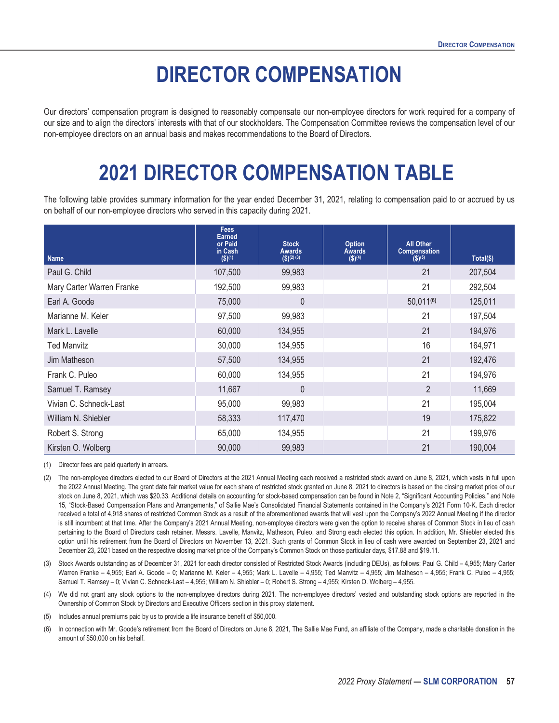# **DIRECTOR COMPENSATION**

<span id="page-62-1"></span><span id="page-62-0"></span>Our directors' compensation program is designed to reasonably compensate our non-employee directors for work required for a company of our size and to align the directors' interests with that of our stockholders. The Compensation Committee reviews the compensation level of our non-employee directors on an annual basis and makes recommendations to the Board of Directors.

# **2021 DIRECTOR COMPENSATION TABLE**

The following table provides summary information for the year ended December 31, 2021, relating to compensation paid to or accrued by us on behalf of our non-employee directors who served in this capacity during 2021.

| <b>Name</b>               | <b>Fees</b><br><b>Earned</b><br>or Paid<br>in Cash<br>$($ \$) $(1)$ | <b>Stock</b><br><b>Awards</b><br>$($ \$)(2)(3) | <b>Option</b><br>Awards<br>$({\$})^{(4)}$ | <b>All Other</b><br><b>Compensation</b><br>$($ \$) <sup>(5)</sup> | $Total(\$)$ |
|---------------------------|---------------------------------------------------------------------|------------------------------------------------|-------------------------------------------|-------------------------------------------------------------------|-------------|
| Paul G. Child             | 107,500                                                             | 99,983                                         |                                           | 21                                                                | 207,504     |
| Mary Carter Warren Franke | 192,500                                                             | 99,983                                         |                                           | 21                                                                | 292,504     |
| Earl A. Goode             | 75,000                                                              | $\overline{0}$                                 |                                           | 50,011(6)                                                         | 125,011     |
| Marianne M. Keler         | 97,500                                                              | 99,983                                         |                                           | 21                                                                | 197,504     |
| Mark L. Lavelle           | 60,000                                                              | 134,955                                        |                                           | 21                                                                | 194,976     |
| <b>Ted Manvitz</b>        | 30,000                                                              | 134,955                                        |                                           | 16                                                                | 164,971     |
| Jim Matheson              | 57,500                                                              | 134,955                                        |                                           | 21                                                                | 192,476     |
| Frank C. Puleo            | 60,000                                                              | 134,955                                        |                                           | 21                                                                | 194,976     |
| Samuel T. Ramsey          | 11,667                                                              | $\mathbf{0}$                                   |                                           | $\overline{2}$                                                    | 11,669      |
| Vivian C. Schneck-Last    | 95,000                                                              | 99,983                                         |                                           | 21                                                                | 195,004     |
| William N. Shiebler       | 58,333                                                              | 117,470                                        |                                           | 19                                                                | 175,822     |
| Robert S. Strong          | 65,000                                                              | 134,955                                        |                                           | 21                                                                | 199,976     |
| Kirsten O. Wolberg        | 90,000                                                              | 99,983                                         |                                           | 21                                                                | 190,004     |

(1) Director fees are paid quarterly in arrears.

(2) The non-employee directors elected to our Board of Directors at the 2021 Annual Meeting each received a restricted stock award on June 8, 2021, which vests in full upon the 2022 Annual Meeting. The grant date fair market value for each share of restricted stock granted on June 8, 2021 to directors is based on the closing market price of our stock on June 8, 2021, which was \$20.33. Additional details on accounting for stock-based compensation can be found in Note 2, "Significant Accounting Policies," and Note 15, "Stock-Based Compensation Plans and Arrangements," of Sallie Mae's Consolidated Financial Statements contained in the Company's 2021 Form 10-K. Each director received a total of 4,918 shares of restricted Common Stock as a result of the aforementioned awards that will vest upon the Company's 2022 Annual Meeting if the director is still incumbent at that time. After the Company's 2021 Annual Meeting, non-employee directors were given the option to receive shares of Common Stock in lieu of cash pertaining to the Board of Directors cash retainer. Messrs. Lavelle, Manvitz, Matheson, Puleo, and Strong each elected this option. In addition, Mr. Shiebler elected this option until his retirement from the Board of Directors on November 13, 2021. Such grants of Common Stock in lieu of cash were awarded on September 23, 2021 and December 23, 2021 based on the respective closing market price of the Company's Common Stock on those particular days, \$17.88 and \$19.11.

Stock Awards outstanding as of December 31, 2021 for each director consisted of Restricted Stock Awards (including DEUs), as follows: Paul G. Child – 4,955; Mary Carter Warren Franke - 4,955; Earl A. Goode - 0; Marianne M. Keler - 4,955; Mark L. Lavelle - 4,955; Ted Manvitz - 4,955; Jim Matheson - 4,955; Frank C. Puleo - 4,955; Samuel T. Ramsey – 0; Vivian C. Schneck-Last – 4,955; William N. Shiebler – 0; Robert S. Strong – 4,955; Kirsten O. Wolberg – 4,955.

(4) We did not grant any stock options to the non-employee directors during 2021. The non-employee directors' vested and outstanding stock options are reported in the Ownership of Common Stock by Directors and Executive Officers section in this proxy statement.

Includes annual premiums paid by us to provide a life insurance benefit of \$50,000.

(6) In connection with Mr. Goode's retirement from the Board of Directors on June 8, 2021, The Sallie Mae Fund, an affiliate of the Company, made a charitable donation in the amount of \$50,000 on his behalf.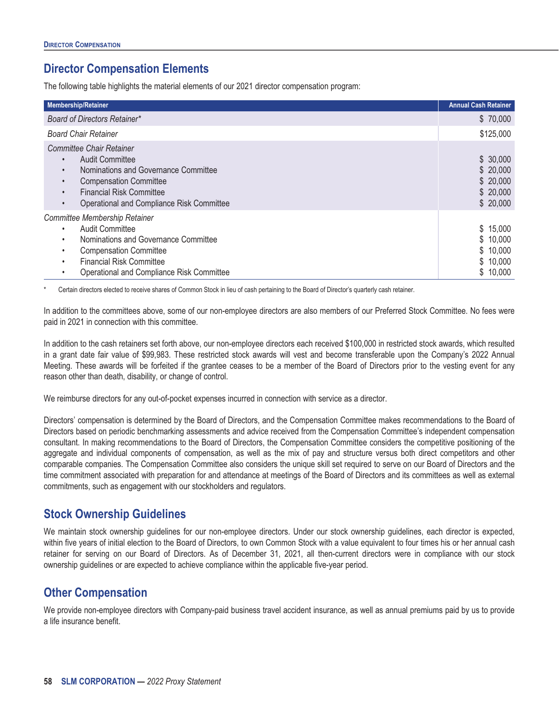## <span id="page-63-0"></span>**Director Compensation Elements**

The following table highlights the material elements of our 2021 director compensation program:

| <b>Membership/Retainer</b>                                                                                                                                                                                                                 | <b>Annual Cash Retainer</b>                              |
|--------------------------------------------------------------------------------------------------------------------------------------------------------------------------------------------------------------------------------------------|----------------------------------------------------------|
| Board of Directors Retainer*                                                                                                                                                                                                               | \$70,000                                                 |
| <b>Board Chair Retainer</b>                                                                                                                                                                                                                | \$125,000                                                |
| Committee Chair Retainer<br><b>Audit Committee</b><br>Nominations and Governance Committee<br>$\bullet$<br><b>Compensation Committee</b><br>۰<br><b>Financial Risk Committee</b><br>Operational and Compliance Risk Committee<br>$\bullet$ | \$30,000<br>\$20,000<br>\$20,000<br>\$20,000<br>\$20,000 |
| Committee Membership Retainer<br><b>Audit Committee</b><br>٠<br>Nominations and Governance Committee<br>٠<br><b>Compensation Committee</b><br><b>Financial Risk Committee</b><br>٠<br>Operational and Compliance Risk Committee            | \$15,000<br>\$10,000<br>\$10,000<br>\$10,000<br>\$10,000 |

Certain directors elected to receive shares of Common Stock in lieu of cash pertaining to the Board of Director's quarterly cash retainer.

In addition to the committees above, some of our non-employee directors are also members of our Preferred Stock Committee. No fees were paid in 2021 in connection with this committee.

In addition to the cash retainers set forth above, our non-employee directors each received \$100,000 in restricted stock awards, which resulted in a grant date fair value of \$99,983. These restricted stock awards will vest and become transferable upon the Company's 2022 Annual Meeting. These awards will be forfeited if the grantee ceases to be a member of the Board of Directors prior to the vesting event for any reason other than death, disability, or change of control.

We reimburse directors for any out-of-pocket expenses incurred in connection with service as a director.

Directors' compensation is determined by the Board of Directors, and the Compensation Committee makes recommendations to the Board of Directors based on periodic benchmarking assessments and advice received from the Compensation Committee's independent compensation consultant. In making recommendations to the Board of Directors, the Compensation Committee considers the competitive positioning of the aggregate and individual components of compensation, as well as the mix of pay and structure versus both direct competitors and other comparable companies. The Compensation Committee also considers the unique skill set required to serve on our Board of Directors and the time commitment associated with preparation for and attendance at meetings of the Board of Directors and its committees as well as external commitments, such as engagement with our stockholders and regulators.

### <span id="page-63-1"></span>**Stock Ownership Guidelines**

We maintain stock ownership guidelines for our non-employee directors. Under our stock ownership guidelines, each director is expected, within five years of initial election to the Board of Directors, to own Common Stock with a value equivalent to four times his or her annual cash retainer for serving on our Board of Directors. As of December 31, 2021, all then-current directors were in compliance with our stock ownership guidelines or are expected to achieve compliance within the applicable five-year period.

### <span id="page-63-2"></span>**Other Compensation**

We provide non-employee directors with Company-paid business travel accident insurance, as well as annual premiums paid by us to provide a life insurance benefit.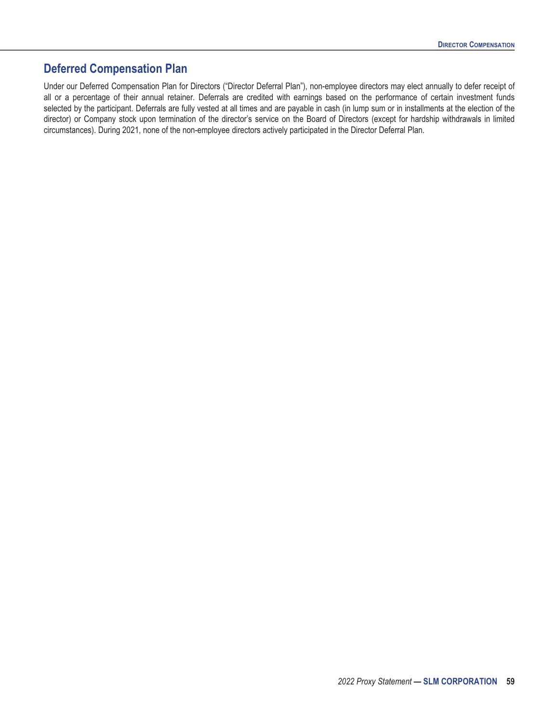### <span id="page-64-0"></span>**Deferred Compensation Plan**

Under our Deferred Compensation Plan for Directors ("Director Deferral Plan"), non-employee directors may elect annually to defer receipt of all or a percentage of their annual retainer. Deferrals are credited with earnings based on the performance of certain investment funds selected by the participant. Deferrals are fully vested at all times and are payable in cash (in lump sum or in installments at the election of the director) or Company stock upon termination of the director's service on the Board of Directors (except for hardship withdrawals in limited circumstances). During 2021, none of the non-employee directors actively participated in the Director Deferral Plan.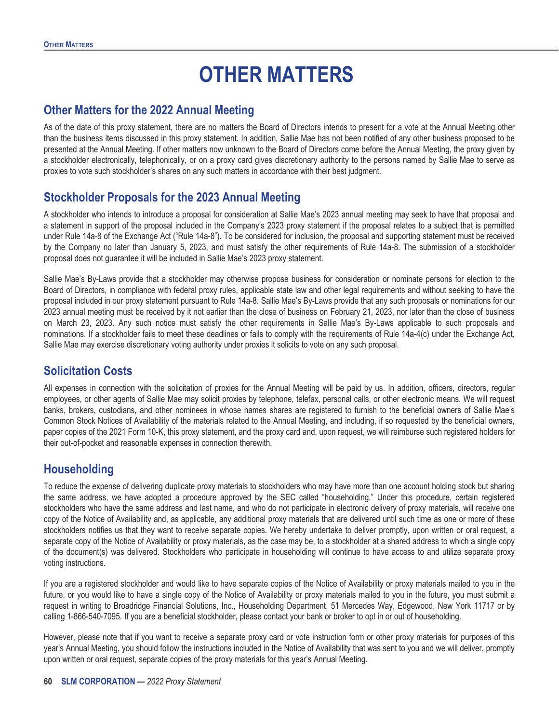# **OTHER MATTERS**

### <span id="page-65-1"></span><span id="page-65-0"></span>**Other Matters for the 2022 Annual Meeting**

As of the date of this proxy statement, there are no matters the Board of Directors intends to present for a vote at the Annual Meeting other than the business items discussed in this proxy statement. In addition, Sallie Mae has not been notified of any other business proposed to be presented at the Annual Meeting. If other matters now unknown to the Board of Directors come before the Annual Meeting, the proxy given by a stockholder electronically, telephonically, or on a proxy card gives discretionary authority to the persons named by Sallie Mae to serve as proxies to vote such stockholder's shares on any such matters in accordance with their best judgment.

### <span id="page-65-2"></span>**Stockholder Proposals for the 2023 Annual Meeting**

A stockholder who intends to introduce a proposal for consideration at Sallie Mae's 2023 annual meeting may seek to have that proposal and a statement in support of the proposal included in the Company's 2023 proxy statement if the proposal relates to a subject that is permitted under Rule 14a-8 of the Exchange Act ("Rule 14a-8"). To be considered for inclusion, the proposal and supporting statement must be received by the Company no later than January 5, 2023, and must satisfy the other requirements of Rule 14a-8. The submission of a stockholder proposal does not guarantee it will be included in Sallie Mae's 2023 proxy statement.

Sallie Mae's By-Laws provide that a stockholder may otherwise propose business for consideration or nominate persons for election to the Board of Directors, in compliance with federal proxy rules, applicable state law and other legal requirements and without seeking to have the proposal included in our proxy statement pursuant to Rule 14a-8. Sallie Mae's By-Laws provide that any such proposals or nominations for our 2023 annual meeting must be received by it not earlier than the close of business on February 21, 2023, nor later than the close of business on March 23, 2023. Any such notice must satisfy the other requirements in Sallie Mae's By-Laws applicable to such proposals and nominations. If a stockholder fails to meet these deadlines or fails to comply with the requirements of Rule 14a-4(c) under the Exchange Act, Sallie Mae may exercise discretionary voting authority under proxies it solicits to vote on any such proposal.

### <span id="page-65-3"></span>**Solicitation Costs**

All expenses in connection with the solicitation of proxies for the Annual Meeting will be paid by us. In addition, officers, directors, regular employees, or other agents of Sallie Mae may solicit proxies by telephone, telefax, personal calls, or other electronic means. We will request banks, brokers, custodians, and other nominees in whose names shares are registered to furnish to the beneficial owners of Sallie Mae's Common Stock Notices of Availability of the materials related to the Annual Meeting, and including, if so requested by the beneficial owners, paper copies of the 2021 Form 10-K, this proxy statement, and the proxy card and, upon request, we will reimburse such registered holders for their out-of-pocket and reasonable expenses in connection therewith.

# <span id="page-65-4"></span>**Householding**

To reduce the expense of delivering duplicate proxy materials to stockholders who may have more than one account holding stock but sharing the same address, we have adopted a procedure approved by the SEC called "householding." Under this procedure, certain registered stockholders who have the same address and last name, and who do not participate in electronic delivery of proxy materials, will receive one copy of the Notice of Availability and, as applicable, any additional proxy materials that are delivered until such time as one or more of these stockholders notifies us that they want to receive separate copies. We hereby undertake to deliver promptly, upon written or oral request, a separate copy of the Notice of Availability or proxy materials, as the case may be, to a stockholder at a shared address to which a single copy of the document(s) was delivered. Stockholders who participate in householding will continue to have access to and utilize separate proxy voting instructions.

If you are a registered stockholder and would like to have separate copies of the Notice of Availability or proxy materials mailed to you in the future, or you would like to have a single copy of the Notice of Availability or proxy materials mailed to you in the future, you must submit a request in writing to Broadridge Financial Solutions, Inc., Householding Department, 51 Mercedes Way, Edgewood, New York 11717 or by calling 1-866-540-7095. If you are a beneficial stockholder, please contact your bank or broker to opt in or out of householding.

However, please note that if you want to receive a separate proxy card or vote instruction form or other proxy materials for purposes of this year's Annual Meeting, you should follow the instructions included in the Notice of Availability that was sent to you and we will deliver, promptly upon written or oral request, separate copies of the proxy materials for this year's Annual Meeting.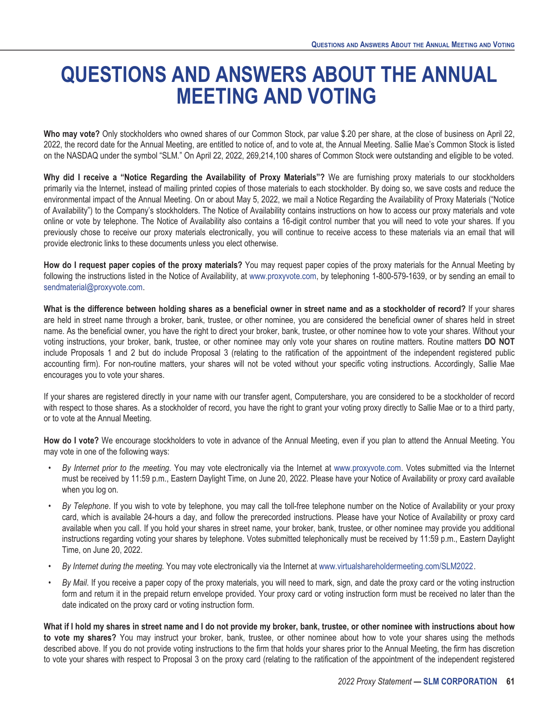# <span id="page-66-0"></span>**QUESTIONS AND ANSWERS ABOUT THE ANNUAL MEETING AND VOTING**

**Who may vote?** Only stockholders who owned shares of our Common Stock, par value \$.20 per share, at the close of business on April 22, 2022, the record date for the Annual Meeting, are entitled to notice of, and to vote at, the Annual Meeting. Sallie Mae's Common Stock is listed on the NASDAQ under the symbol "SLM." On April 22, 2022, 269,214,100 shares of Common Stock were outstanding and eligible to be voted.

**Why did I receive a "Notice Regarding the Availability of Proxy Materials"?** We are furnishing proxy materials to our stockholders primarily via the Internet, instead of mailing printed copies of those materials to each stockholder. By doing so, we save costs and reduce the environmental impact of the Annual Meeting. On or about May 5, 2022, we mail a Notice Regarding the Availability of Proxy Materials ("Notice of Availability") to the Company's stockholders. The Notice of Availability contains instructions on how to access our proxy materials and vote online or vote by telephone. The Notice of Availability also contains a 16-digit control number that you will need to vote your shares. If you previously chose to receive our proxy materials electronically, you will continue to receive access to these materials via an email that will provide electronic links to these documents unless you elect otherwise.

**How do I request paper copies of the proxy materials?** You may request paper copies of the proxy materials for the Annual Meeting by following the instructions listed in the Notice of Availability, at www.proxyvote.com, by telephoning 1-800-579-1639, or by sending an email to sendmaterial@proxyvote.com.

**What is the difference between holding shares as a beneficial owner in street name and as a stockholder of record?** If your shares are held in street name through a broker, bank, trustee, or other nominee, you are considered the beneficial owner of shares held in street name. As the beneficial owner, you have the right to direct your broker, bank, trustee, or other nominee how to vote your shares. Without your voting instructions, your broker, bank, trustee, or other nominee may only vote your shares on routine matters. Routine matters **DO NOT** include Proposals 1 and 2 but do include Proposal 3 (relating to the ratification of the appointment of the independent registered public accounting firm). For non-routine matters, your shares will not be voted without your specific voting instructions. Accordingly, Sallie Mae encourages you to vote your shares.

If your shares are registered directly in your name with our transfer agent, Computershare, you are considered to be a stockholder of record with respect to those shares. As a stockholder of record, you have the right to grant your voting proxy directly to Sallie Mae or to a third party, or to vote at the Annual Meeting.

**How do I vote?** We encourage stockholders to vote in advance of the Annual Meeting, even if you plan to attend the Annual Meeting. You may vote in one of the following ways:

- *By Internet prior to the meeting.* You may vote electronically via the Internet at www.proxyvote.com. Votes submitted via the Internet must be received by 11:59 p.m., Eastern Daylight Time, on June 20, 2022. Please have your Notice of Availability or proxy card available when you log on.
- *By Telephone*. If you wish to vote by telephone, you may call the toll-free telephone number on the Notice of Availability or your proxy card, which is available 24-hours a day, and follow the prerecorded instructions. Please have your Notice of Availability or proxy card available when you call. If you hold your shares in street name, your broker, bank, trustee, or other nominee may provide you additional instructions regarding voting your shares by telephone. Votes submitted telephonically must be received by 11:59 p.m., Eastern Daylight Time, on June 20, 2022.
- *By Internet during the meeting.* You may vote electronically via the Internet at www.virtualshareholdermeeting.com/SLM2022.
- *By Mail*. If you receive a paper copy of the proxy materials, you will need to mark, sign, and date the proxy card or the voting instruction form and return it in the prepaid return envelope provided. Your proxy card or voting instruction form must be received no later than the date indicated on the proxy card or voting instruction form.

**What if I hold my shares in street name and I do not provide my broker, bank, trustee, or other nominee with instructions about how to vote my shares?** You may instruct your broker, bank, trustee, or other nominee about how to vote your shares using the methods described above. If you do not provide voting instructions to the firm that holds your shares prior to the Annual Meeting, the firm has discretion to vote your shares with respect to Proposal 3 on the proxy card (relating to the ratification of the appointment of the independent registered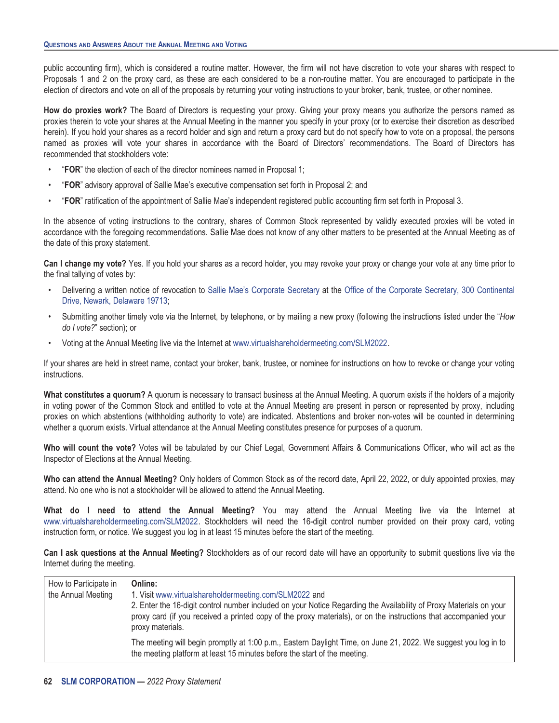public accounting firm), which is considered a routine matter. However, the firm will not have discretion to vote your shares with respect to Proposals 1 and 2 on the proxy card, as these are each considered to be a non-routine matter. You are encouraged to participate in the election of directors and vote on all of the proposals by returning your voting instructions to your broker, bank, trustee, or other nominee.

**How do proxies work?** The Board of Directors is requesting your proxy. Giving your proxy means you authorize the persons named as proxies therein to vote your shares at the Annual Meeting in the manner you specify in your proxy (or to exercise their discretion as described herein). If you hold your shares as a record holder and sign and return a proxy card but do not specify how to vote on a proposal, the persons named as proxies will vote your shares in accordance with the Board of Directors' recommendations. The Board of Directors has recommended that stockholders vote:

- "**FOR**" the election of each of the director nominees named in Proposal 1;
- "**FOR**" advisory approval of Sallie Mae's executive compensation set forth in Proposal 2; and
- "**FOR**" ratification of the appointment of Sallie Mae's independent registered public accounting firm set forth in Proposal 3.

In the absence of voting instructions to the contrary, shares of Common Stock represented by validly executed proxies will be voted in accordance with the foregoing recommendations. Sallie Mae does not know of any other matters to be presented at the Annual Meeting as of the date of this proxy statement.

**Can I change my vote?** Yes. If you hold your shares as a record holder, you may revoke your proxy or change your vote at any time prior to the final tallying of votes by:

- Delivering a written notice of revocation to Sallie Mae's Corporate Secretary at the Office of the Corporate Secretary, 300 Continental Drive, Newark, Delaware 19713;
- Submitting another timely vote via the Internet, by telephone, or by mailing a new proxy (following the instructions listed under the "*How do I vote?*" section); or
- Voting at the Annual Meeting live via the Internet at www.virtualshareholdermeeting.com/SLM2022.

If your shares are held in street name, contact your broker, bank, trustee, or nominee for instructions on how to revoke or change your voting instructions.

**What constitutes a quorum?** A quorum is necessary to transact business at the Annual Meeting. A quorum exists if the holders of a majority in voting power of the Common Stock and entitled to vote at the Annual Meeting are present in person or represented by proxy, including proxies on which abstentions (withholding authority to vote) are indicated. Abstentions and broker non-votes will be counted in determining whether a quorum exists. Virtual attendance at the Annual Meeting constitutes presence for purposes of a quorum.

**Who will count the vote?** Votes will be tabulated by our Chief Legal, Government Affairs & Communications Officer, who will act as the Inspector of Elections at the Annual Meeting.

**Who can attend the Annual Meeting?** Only holders of Common Stock as of the record date, April 22, 2022, or duly appointed proxies, may attend. No one who is not a stockholder will be allowed to attend the Annual Meeting.

**What do I need to attend the Annual Meeting?** You may attend the Annual Meeting live via the Internet at www.virtualshareholdermeeting.com/SLM2022. Stockholders will need the 16-digit control number provided on their proxy card, voting instruction form, or notice. We suggest you log in at least 15 minutes before the start of the meeting.

**Can I ask questions at the Annual Meeting?** Stockholders as of our record date will have an opportunity to submit questions live via the Internet during the meeting.

| How to Participate in<br>the Annual Meeting | Online:<br>1. Visit www.virtualshareholdermeeting.com/SLM2022 and<br>2. Enter the 16-digit control number included on your Notice Regarding the Availability of Proxy Materials on your<br>proxy card (if you received a printed copy of the proxy materials), or on the instructions that accompanied your<br>proxy materials. |
|---------------------------------------------|---------------------------------------------------------------------------------------------------------------------------------------------------------------------------------------------------------------------------------------------------------------------------------------------------------------------------------|
|                                             | The meeting will begin promptly at 1:00 p.m., Eastern Daylight Time, on June 21, 2022. We suggest you log in to<br>the meeting platform at least 15 minutes before the start of the meeting.                                                                                                                                    |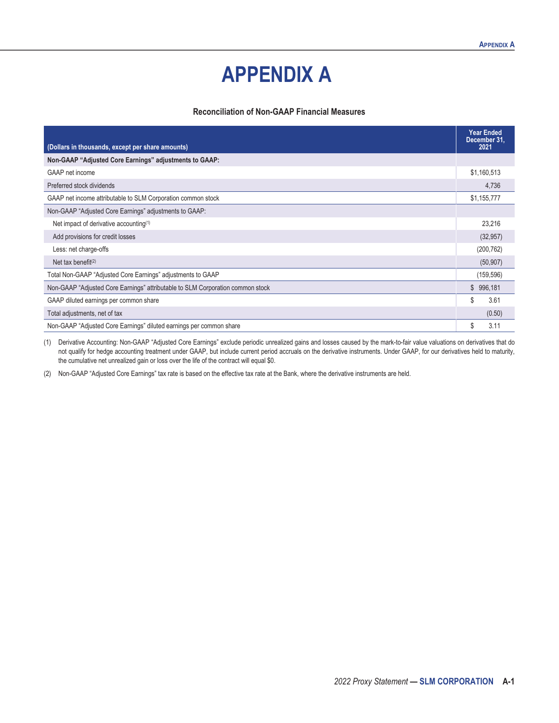# **APPENDIX A**

#### **Reconciliation of Non-GAAP Financial Measures**

<span id="page-68-0"></span>

|                                                                                | <b>Year Ended</b><br>December 31, |
|--------------------------------------------------------------------------------|-----------------------------------|
| (Dollars in thousands, except per share amounts)                               | 2021                              |
| Non-GAAP "Adjusted Core Earnings" adjustments to GAAP:                         |                                   |
| GAAP net income                                                                | \$1,160,513                       |
| Preferred stock dividends                                                      | 4,736                             |
| GAAP net income attributable to SLM Corporation common stock                   | \$1,155,777                       |
| Non-GAAP "Adjusted Core Earnings" adjustments to GAAP:                         |                                   |
| Net impact of derivative accounting <sup>(1)</sup>                             | 23,216                            |
| Add provisions for credit losses                                               | (32, 957)                         |
| Less: net charge-offs                                                          | (200, 762)                        |
| Net tax benefit $(2)$                                                          | (50, 907)                         |
| Total Non-GAAP "Adjusted Core Earnings" adjustments to GAAP                    | (159, 596)                        |
| Non-GAAP "Adjusted Core Earnings" attributable to SLM Corporation common stock | \$996,181                         |
| GAAP diluted earnings per common share                                         | \$<br>3.61                        |
| Total adjustments, net of tax                                                  | (0.50)                            |
| Non-GAAP "Adjusted Core Earnings" diluted earnings per common share            | \$<br>3.11                        |

(1) Derivative Accounting: Non-GAAP "Adjusted Core Earnings" exclude periodic unrealized gains and losses caused by the mark-to-fair value valuations on derivatives that do not qualify for hedge accounting treatment under GAAP, but include current period accruals on the derivative instruments. Under GAAP, for our derivatives held to maturity, the cumulative net unrealized gain or loss over the life of the contract will equal \$0.

(2) Non-GAAP "Adjusted Core Earnings" tax rate is based on the effective tax rate at the Bank, where the derivative instruments are held.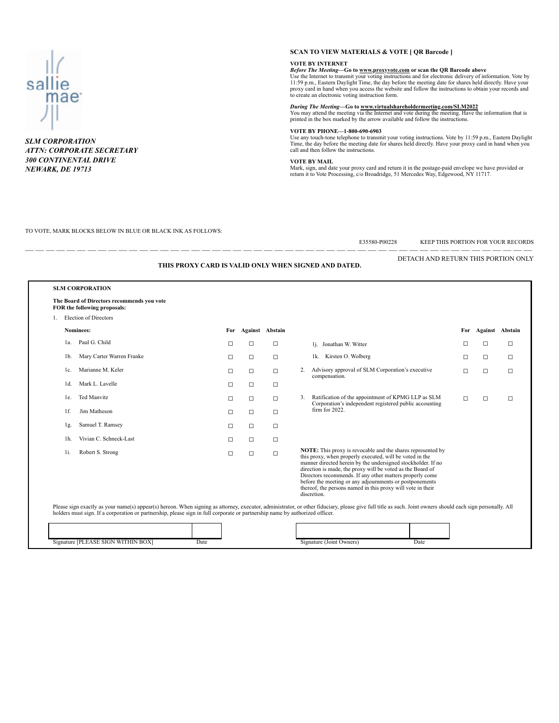

*SLM CORPORATION 300 CONTINENTAL DRIVE NEWARK, DE 19713 NEWARK, DE 19713*

#### **SCAN TO VIEW MATERIALS & VOTE [ QR Barcode ]**

**VOTE BY INTERNET**<br>*Before The Meeting*—Go to <u>www.proxyvote.com</u> or scan the QR Barcode above<br>Use the Internet to transmit your voting instructions and for electronic delivery of information. Vote by<br>11:59 p.m., Eastern D to create an electronic voting instruction form.

**During The Meeting—Go to www.virtualshareholdermeeting.com/SLM2022**<br>You may attend the meeting via the Internet and vote during the meeting. Have the information that is<br>printed in the box marked by the arrow available an

#### **VOTE BY PHONE—1-800-690-6903**

Use any touch-tone telephone to transmit your voting instructions. Vote by 11:59 p.m., Eastern Daylight<br>Time, the day before the meeting date for shares held directly. Have your proxy card in hand when you<br>call and then fo

#### **VOTE BY MAIL**

Mark, sign, and date your proxy card and return it in the postage-paid envelope we have provided or return it to Vote Processing, c/o Broadridge, 51 Mercedes Way, Edgewood, NY 11717.

#### TO VOTE, MARK BLOCKS BELOW IN BLUE OR BLACK INK AS FOLLOWS:

| DETACH AND RETURN THIS PORTION ONLY<br>THIS PROXY CARD IS VALID ONLY WHEN SIGNED AND DATED. |                                                                            |        |                     |        |                                                                                                                                                                                                                                                                                                                                                                                                                                                            |        |        |                     |  |  |  |  |
|---------------------------------------------------------------------------------------------|----------------------------------------------------------------------------|--------|---------------------|--------|------------------------------------------------------------------------------------------------------------------------------------------------------------------------------------------------------------------------------------------------------------------------------------------------------------------------------------------------------------------------------------------------------------------------------------------------------------|--------|--------|---------------------|--|--|--|--|
|                                                                                             | <b>SLM CORPORATION</b>                                                     |        |                     |        |                                                                                                                                                                                                                                                                                                                                                                                                                                                            |        |        |                     |  |  |  |  |
|                                                                                             | The Board of Directors recommends you vote<br>FOR the following proposals: |        |                     |        |                                                                                                                                                                                                                                                                                                                                                                                                                                                            |        |        |                     |  |  |  |  |
|                                                                                             | 1. Election of Directors                                                   |        |                     |        |                                                                                                                                                                                                                                                                                                                                                                                                                                                            |        |        |                     |  |  |  |  |
|                                                                                             | Nominees:                                                                  |        | For Against Abstain |        |                                                                                                                                                                                                                                                                                                                                                                                                                                                            |        |        | For Against Abstain |  |  |  |  |
| 1a.                                                                                         | Paul G. Child                                                              | $\Box$ | $\Box$              | $\Box$ | 1j. Jonathan W. Witter                                                                                                                                                                                                                                                                                                                                                                                                                                     | □      | $\Box$ | ◻                   |  |  |  |  |
| 1b.                                                                                         | Mary Carter Warren Franke                                                  | $\Box$ | $\Box$              | $\Box$ | 1k. Kirsten O. Wolberg                                                                                                                                                                                                                                                                                                                                                                                                                                     | □      | $\Box$ | $\Box$              |  |  |  |  |
| 1c.                                                                                         | Marianne M. Keler                                                          | $\Box$ | $\Box$              | $\Box$ | Advisory approval of SLM Corporation's executive<br>2.                                                                                                                                                                                                                                                                                                                                                                                                     | $\Box$ | $\Box$ | $\Box$              |  |  |  |  |
| $1d$ .                                                                                      | Mark L. Lavelle                                                            | $\Box$ | $\Box$              | $\Box$ | compensation.                                                                                                                                                                                                                                                                                                                                                                                                                                              |        |        |                     |  |  |  |  |
| le.                                                                                         | <b>Ted Manvitz</b>                                                         | $\Box$ | $\Box$              | $\Box$ | Ratification of the appointment of KPMG LLP as SLM<br>3.                                                                                                                                                                                                                                                                                                                                                                                                   | $\Box$ | $\Box$ | $\Box$              |  |  |  |  |
| $1f$ .                                                                                      | Jim Matheson                                                               | $\Box$ | $\Box$              | $\Box$ | Corporation's independent registered public accounting<br>$firm$ for 2022.                                                                                                                                                                                                                                                                                                                                                                                 |        |        |                     |  |  |  |  |
| lg.                                                                                         | Samuel T. Ramsey                                                           | $\Box$ | $\Box$              | $\Box$ |                                                                                                                                                                                                                                                                                                                                                                                                                                                            |        |        |                     |  |  |  |  |
| 1h.                                                                                         | Vivian C. Schneck-Last                                                     | $\Box$ | $\Box$              | $\Box$ |                                                                                                                                                                                                                                                                                                                                                                                                                                                            |        |        |                     |  |  |  |  |
| Robert S. Strong<br>1i.                                                                     |                                                                            | $\Box$ | $\Box$              | $\Box$ | NOTE: This proxy is revocable and the shares represented by<br>this proxy, when properly executed, will be voted in the<br>manner directed herein by the undersigned stockholder. If no<br>direction is made, the proxy will be voted as the Board of<br>Directors recommends. If any other matters properly come<br>before the meeting or any adjournments or postponements<br>thereof, the persons named in this proxy will vote in their<br>discretion. |        |        |                     |  |  |  |  |